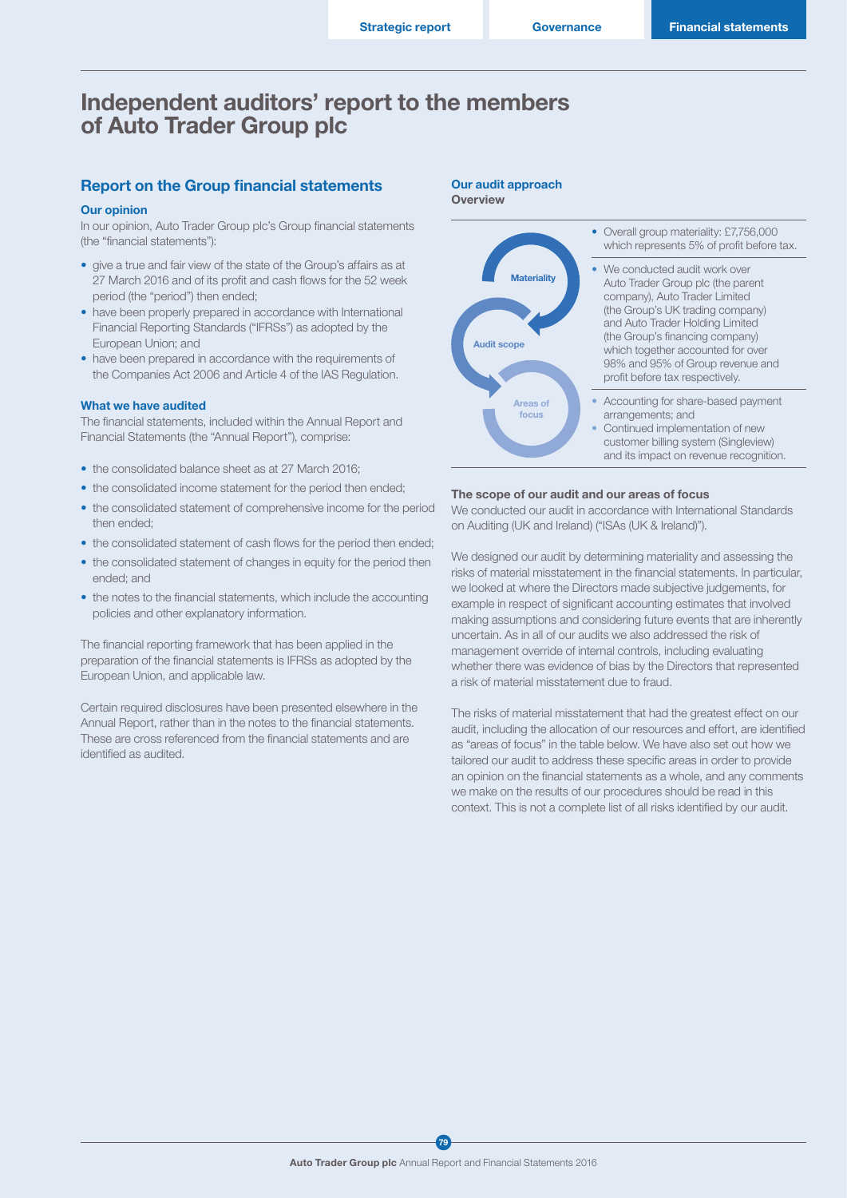## Independent auditors' report to the members of Auto Trader Group plc

### Report on the Group financial statements

#### Our opinion

In our opinion, Auto Trader Group plc's Group financial statements (the "financial statements"):

- give a true and fair view of the state of the Group's affairs as at 27 March 2016 and of its profit and cash flows for the 52 week period (the "period") then ended;
- have been properly prepared in accordance with International Financial Reporting Standards ("IFRSs") as adopted by the European Union; and
- have been prepared in accordance with the requirements of the Companies Act 2006 and Article 4 of the IAS Regulation.

#### What we have audited

The financial statements, included within the Annual Report and Financial Statements (the "Annual Report"), comprise:

- the consolidated balance sheet as at 27 March 2016;
- the consolidated income statement for the period then ended;
- the consolidated statement of comprehensive income for the period then ended;
- the consolidated statement of cash flows for the period then ended;
- the consolidated statement of changes in equity for the period then ended; and
- the notes to the financial statements, which include the accounting policies and other explanatory information.

The financial reporting framework that has been applied in the preparation of the financial statements is IFRSs as adopted by the European Union, and applicable law.

Certain required disclosures have been presented elsewhere in the Annual Report, rather than in the notes to the financial statements. These are cross referenced from the financial statements and are identified as audited.





#### The scope of our audit and our areas of focus

We conducted our audit in accordance with International Standards on Auditing (UK and Ireland) ("ISAs (UK & Ireland)").

We designed our audit by determining materiality and assessing the risks of material misstatement in the financial statements. In particular, we looked at where the Directors made subjective judgements, for example in respect of significant accounting estimates that involved making assumptions and considering future events that are inherently uncertain. As in all of our audits we also addressed the risk of management override of internal controls, including evaluating whether there was evidence of bias by the Directors that represented a risk of material misstatement due to fraud.

The risks of material misstatement that had the greatest effect on our audit, including the allocation of our resources and effort, are identified as "areas of focus" in the table below. We have also set out how we tailored our audit to address these specific areas in order to provide an opinion on the financial statements as a whole, and any comments we make on the results of our procedures should be read in this context. This is not a complete list of all risks identified by our audit.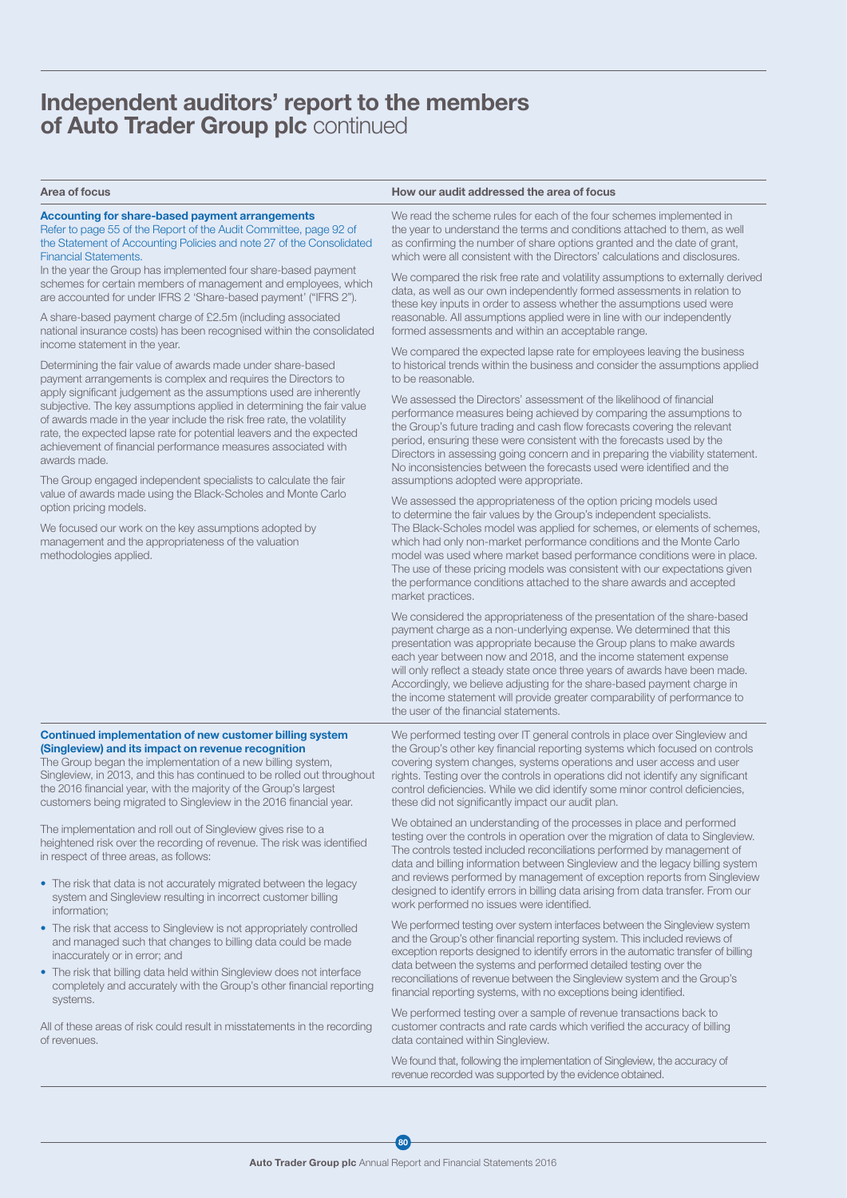## Independent auditors' report to the members of Auto Trader Group plc continued

#### Area of focus **How our audit addressed the area of focus**  $\blacksquare$

#### Accounting for share-based payment arrangements Refer to page 55 of the Report of the Audit Committee, page 92 of

the Statement of Accounting Policies and note 27 of the Consolidated Financial Statements.

In the year the Group has implemented four share-based payment schemes for certain members of management and employees, which are accounted for under IFRS 2 'Share-based payment' ("IFRS 2").

A share-based payment charge of £2.5m (including associated national insurance costs) has been recognised within the consolidated income statement in the year.

Determining the fair value of awards made under share-based payment arrangements is complex and requires the Directors to apply significant judgement as the assumptions used are inherently subjective. The key assumptions applied in determining the fair value of awards made in the year include the risk free rate, the volatility rate, the expected lapse rate for potential leavers and the expected achievement of financial performance measures associated with awards made.

The Group engaged independent specialists to calculate the fair value of awards made using the Black-Scholes and Monte Carlo option pricing models.

We focused our work on the key assumptions adopted by management and the appropriateness of the valuation methodologies applied.

We read the scheme rules for each of the four schemes implemented in the year to understand the terms and conditions attached to them, as well as confirming the number of share options granted and the date of grant, which were all consistent with the Directors' calculations and disclosures.

We compared the risk free rate and volatility assumptions to externally derived data, as well as our own independently formed assessments in relation to these key inputs in order to assess whether the assumptions used were reasonable. All assumptions applied were in line with our independently formed assessments and within an acceptable range.

We compared the expected lapse rate for employees leaving the business to historical trends within the business and consider the assumptions applied to be reasonable.

We assessed the Directors' assessment of the likelihood of financial performance measures being achieved by comparing the assumptions to the Group's future trading and cash flow forecasts covering the relevant period, ensuring these were consistent with the forecasts used by the Directors in assessing going concern and in preparing the viability statement. No inconsistencies between the forecasts used were identified and the assumptions adopted were appropriate.

We assessed the appropriateness of the option pricing models used to determine the fair values by the Group's independent specialists. The Black-Scholes model was applied for schemes, or elements of schemes, which had only non-market performance conditions and the Monte Carlo model was used where market based performance conditions were in place. The use of these pricing models was consistent with our expectations given the performance conditions attached to the share awards and accepted market practices.

We considered the appropriateness of the presentation of the share-based payment charge as a non-underlying expense. We determined that this presentation was appropriate because the Group plans to make awards each year between now and 2018, and the income statement expense will only reflect a steady state once three years of awards have been made. Accordingly, we believe adjusting for the share-based payment charge in the income statement will provide greater comparability of performance to the user of the financial statements.

#### Continued implementation of new customer billing system (Singleview) and its impact on revenue recognition

The Group began the implementation of a new billing system, Singleview, in 2013, and this has continued to be rolled out throughout the 2016 financial year, with the majority of the Group's largest customers being migrated to Singleview in the 2016 financial year.

The implementation and roll out of Singleview gives rise to a heightened risk over the recording of revenue. The risk was identified in respect of three areas, as follows:

- The risk that data is not accurately migrated between the legacy system and Singleview resulting in incorrect customer billing information;
- The risk that access to Singleview is not appropriately controlled and managed such that changes to billing data could be made inaccurately or in error; and
- The risk that billing data held within Singleview does not interface completely and accurately with the Group's other financial reporting systems.

All of these areas of risk could result in misstatements in the recording of revenues.

We performed testing over IT general controls in place over Singleview and the Group's other key financial reporting systems which focused on controls covering system changes, systems operations and user access and user rights. Testing over the controls in operations did not identify any significant control deficiencies. While we did identify some minor control deficiencies, these did not significantly impact our audit plan.

We obtained an understanding of the processes in place and performed testing over the controls in operation over the migration of data to Singleview. The controls tested included reconciliations performed by management of data and billing information between Singleview and the legacy billing system and reviews performed by management of exception reports from Singleview designed to identify errors in billing data arising from data transfer. From our work performed no issues were identified.

We performed testing over system interfaces between the Singleview system and the Group's other financial reporting system. This included reviews of exception reports designed to identify errors in the automatic transfer of billing data between the systems and performed detailed testing over the reconciliations of revenue between the Singleview system and the Group's financial reporting systems, with no exceptions being identified.

We performed testing over a sample of revenue transactions back to customer contracts and rate cards which verified the accuracy of billing data contained within Singleview.

We found that, following the implementation of Singleview, the accuracy of revenue recorded was supported by the evidence obtained.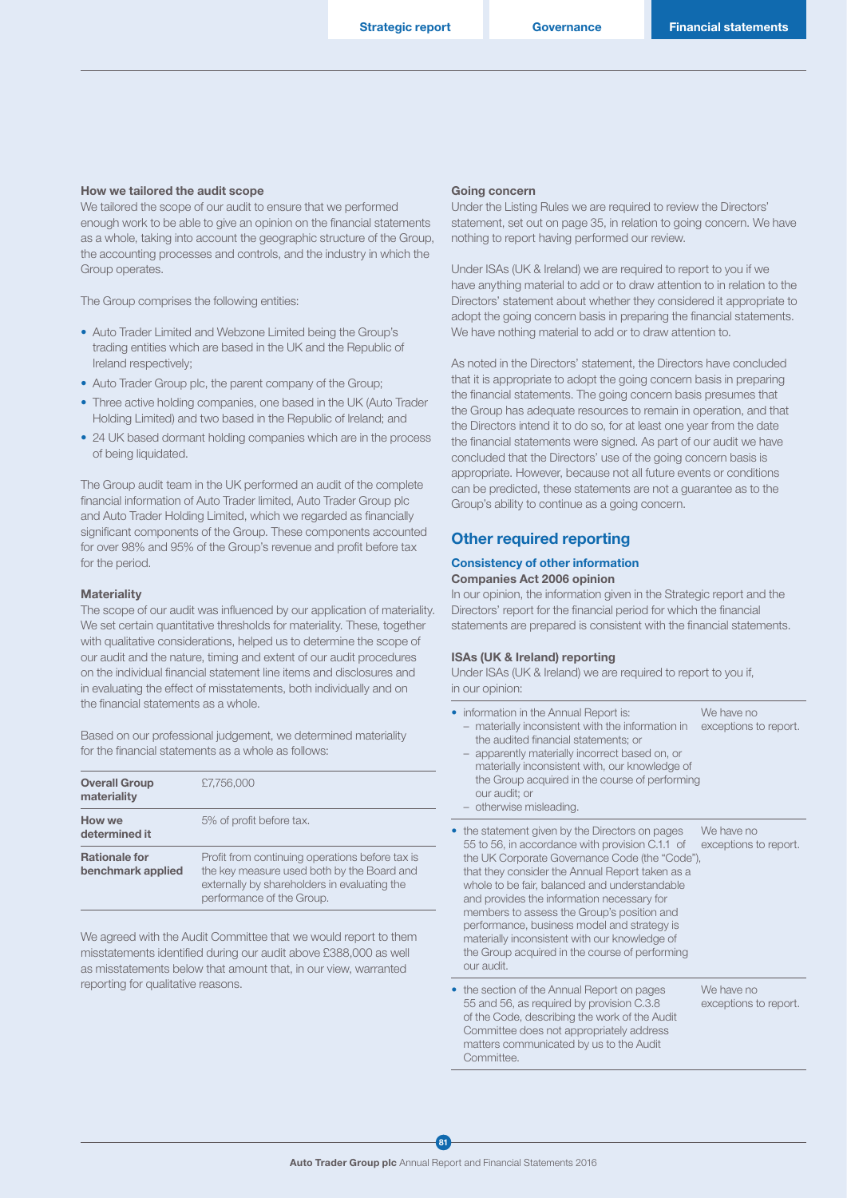#### How we tailored the audit scope

We tailored the scope of our audit to ensure that we performed enough work to be able to give an opinion on the financial statements as a whole, taking into account the geographic structure of the Group, the accounting processes and controls, and the industry in which the Group operates.

The Group comprises the following entities:

- Auto Trader Limited and Webzone Limited being the Group's trading entities which are based in the UK and the Republic of Ireland respectively;
- Auto Trader Group plc, the parent company of the Group;
- Three active holding companies, one based in the UK (Auto Trader Holding Limited) and two based in the Republic of Ireland; and
- 24 UK based dormant holding companies which are in the process of being liquidated.

The Group audit team in the UK performed an audit of the complete financial information of Auto Trader limited, Auto Trader Group plc and Auto Trader Holding Limited, which we regarded as financially significant components of the Group. These components accounted for over 98% and 95% of the Group's revenue and profit before tax for the period.

#### **Materiality**

The scope of our audit was influenced by our application of materiality. We set certain quantitative thresholds for materiality. These, together with qualitative considerations, helped us to determine the scope of our audit and the nature, timing and extent of our audit procedures on the individual financial statement line items and disclosures and in evaluating the effect of misstatements, both individually and on the financial statements as a whole.

Based on our professional judgement, we determined materiality for the financial statements as a whole as follows:

| <b>Overall Group</b><br>materiality       | £7,756,000                                                                                                                                                                 |
|-------------------------------------------|----------------------------------------------------------------------------------------------------------------------------------------------------------------------------|
| How we<br>determined it                   | 5% of profit before tax.                                                                                                                                                   |
| <b>Rationale for</b><br>benchmark applied | Profit from continuing operations before tax is<br>the key measure used both by the Board and<br>externally by shareholders in evaluating the<br>performance of the Group. |

We agreed with the Audit Committee that we would report to them misstatements identified during our audit above £388,000 as well as misstatements below that amount that, in our view, warranted reporting for qualitative reasons.

#### Going concern

Under the Listing Rules we are required to review the Directors' statement, set out on page 35, in relation to going concern. We have nothing to report having performed our review.

Under ISAs (UK & Ireland) we are required to report to you if we have anything material to add or to draw attention to in relation to the Directors' statement about whether they considered it appropriate to adopt the going concern basis in preparing the financial statements. We have nothing material to add or to draw attention to.

As noted in the Directors' statement, the Directors have concluded that it is appropriate to adopt the going concern basis in preparing the financial statements. The going concern basis presumes that the Group has adequate resources to remain in operation, and that the Directors intend it to do so, for at least one year from the date the financial statements were signed. As part of our audit we have concluded that the Directors' use of the going concern basis is appropriate. However, because not all future events or conditions can be predicted, these statements are not a guarantee as to the Group's ability to continue as a going concern.

### Other required reporting

#### Consistency of other information Companies Act 2006 opinion

In our opinion, the information given in the Strategic report and the Directors' report for the financial period for which the financial statements are prepared is consistent with the financial statements.

#### ISAs (UK & Ireland) reporting

Under ISAs (UK & Ireland) we are required to report to you if, in our opinion:

| information in the Annual Report is:<br>materially inconsistent with the information in<br>the audited financial statements; or<br>apparently materially incorrect based on, or<br>materially inconsistent with, our knowledge of<br>the Group acquired in the course of performing<br>our audit; or<br>otherwise misleading.                                                                                                                                                                                        | We have no<br>exceptions to report. |
|----------------------------------------------------------------------------------------------------------------------------------------------------------------------------------------------------------------------------------------------------------------------------------------------------------------------------------------------------------------------------------------------------------------------------------------------------------------------------------------------------------------------|-------------------------------------|
| • the statement given by the Directors on pages<br>55 to 56, in accordance with provision C.1.1 of<br>the UK Corporate Governance Code (the "Code"),<br>that they consider the Annual Report taken as a<br>whole to be fair, balanced and understandable<br>and provides the information necessary for<br>members to assess the Group's position and<br>performance, business model and strategy is<br>materially inconsistent with our knowledge of<br>the Group acquired in the course of performing<br>our audit. | We have no<br>exceptions to report. |
| • the section of the Annual Report on pages<br>55 and 56, as required by provision C.3.8<br>of the Code, describing the work of the Audit<br>Committee does not appropriately address<br>matters communicated by us to the Audit<br>Committee.                                                                                                                                                                                                                                                                       | We have no<br>exceptions to report. |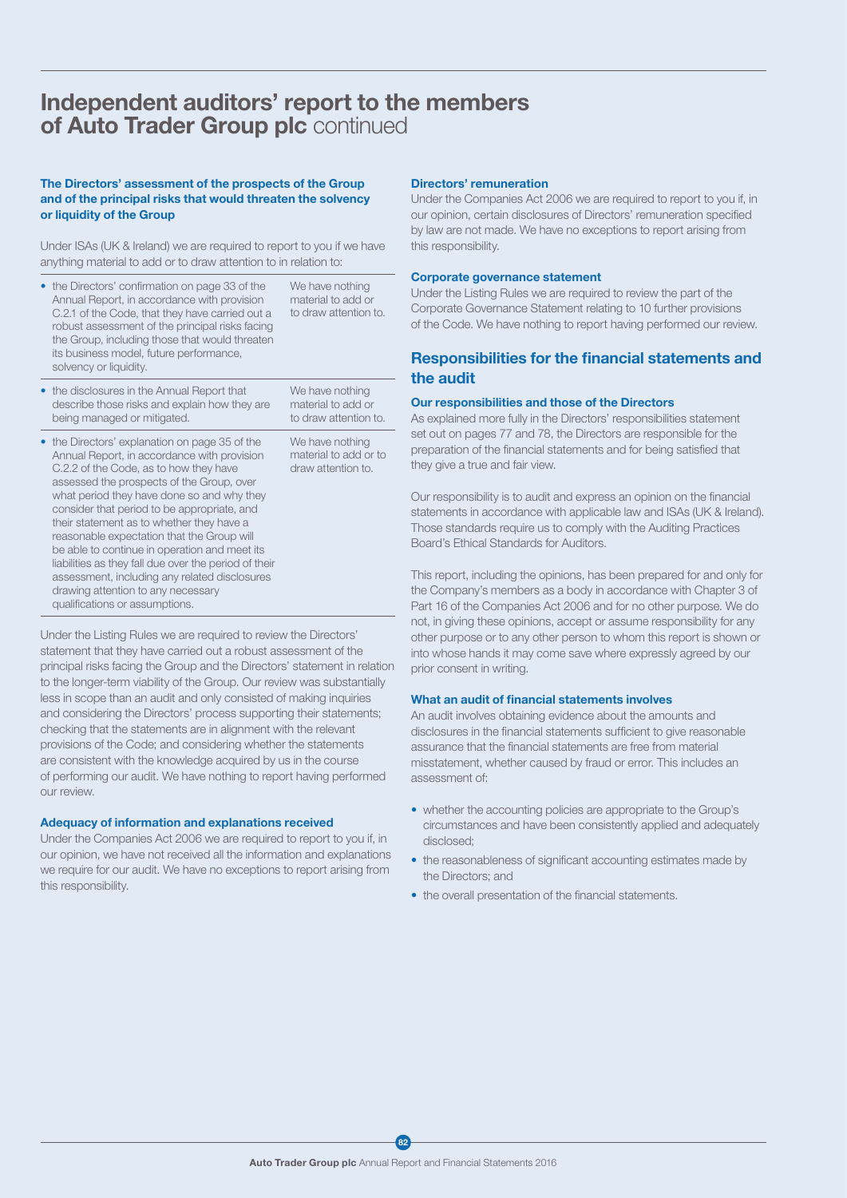## Independent auditors' report to the members of Auto Trader Group plc continued

#### The Directors' assessment of the prospects of the Group and of the principal risks that would threaten the solvency or liquidity of the Group

Under ISAs (UK & Ireland) we are required to report to you if we have anything material to add or to draw attention to in relation to:

| • the Directors' confirmation on page 33 of the<br>Annual Report, in accordance with provision<br>C.2.1 of the Code, that they have carried out a<br>robust assessment of the principal risks facing<br>the Group, including those that would threaten<br>its business model, future performance,<br>solvency or liquidity. | We have nothing<br>material to add or<br>to draw attention to. |
|-----------------------------------------------------------------------------------------------------------------------------------------------------------------------------------------------------------------------------------------------------------------------------------------------------------------------------|----------------------------------------------------------------|
| • the disclosures in the Annual Report that                                                                                                                                                                                                                                                                                 | We have nothing                                                |

- the disclosures in the Annual Report that describe those risks and explain how they are being managed or mitigated. material to add or to draw attention to.
- the Directors' explanation on page 35 of the Annual Report, in accordance with provision C.2.2 of the Code, as to how they have assessed the prospects of the Group, over what period they have done so and why they consider that period to be appropriate, and their statement as to whether they have a reasonable expectation that the Group will be able to continue in operation and meet its liabilities as they fall due over the period of their assessment, including any related disclosures drawing attention to any necessary qualifications or assumptions. We have nothing material to add or to draw attention to.

Under the Listing Rules we are required to review the Directors' statement that they have carried out a robust assessment of the principal risks facing the Group and the Directors' statement in relation to the longer-term viability of the Group. Our review was substantially less in scope than an audit and only consisted of making inquiries and considering the Directors' process supporting their statements; checking that the statements are in alignment with the relevant provisions of the Code; and considering whether the statements are consistent with the knowledge acquired by us in the course of performing our audit. We have nothing to report having performed our review.

#### Adequacy of information and explanations received

Under the Companies Act 2006 we are required to report to you if, in our opinion, we have not received all the information and explanations we require for our audit. We have no exceptions to report arising from this responsibility.

#### Directors' remuneration

Under the Companies Act 2006 we are required to report to you if, in our opinion, certain disclosures of Directors' remuneration specified by law are not made. We have no exceptions to report arising from this responsibility.

#### Corporate governance statement

Under the Listing Rules we are required to review the part of the Corporate Governance Statement relating to 10 further provisions of the Code. We have nothing to report having performed our review.

### Responsibilities for the financial statements and the audit

#### Our responsibilities and those of the Directors

As explained more fully in the Directors' responsibilities statement set out on pages 77 and 78, the Directors are responsible for the preparation of the financial statements and for being satisfied that they give a true and fair view.

Our responsibility is to audit and express an opinion on the financial statements in accordance with applicable law and ISAs (UK & Ireland). Those standards require us to comply with the Auditing Practices Board's Ethical Standards for Auditors.

This report, including the opinions, has been prepared for and only for the Company's members as a body in accordance with Chapter 3 of Part 16 of the Companies Act 2006 and for no other purpose. We do not, in giving these opinions, accept or assume responsibility for any other purpose or to any other person to whom this report is shown or into whose hands it may come save where expressly agreed by our prior consent in writing.

#### What an audit of financial statements involves

An audit involves obtaining evidence about the amounts and disclosures in the financial statements sufficient to give reasonable assurance that the financial statements are free from material misstatement, whether caused by fraud or error. This includes an assessment of:

- whether the accounting policies are appropriate to the Group's circumstances and have been consistently applied and adequately disclosed;
- the reasonableness of significant accounting estimates made by the Directors; and
- the overall presentation of the financial statements.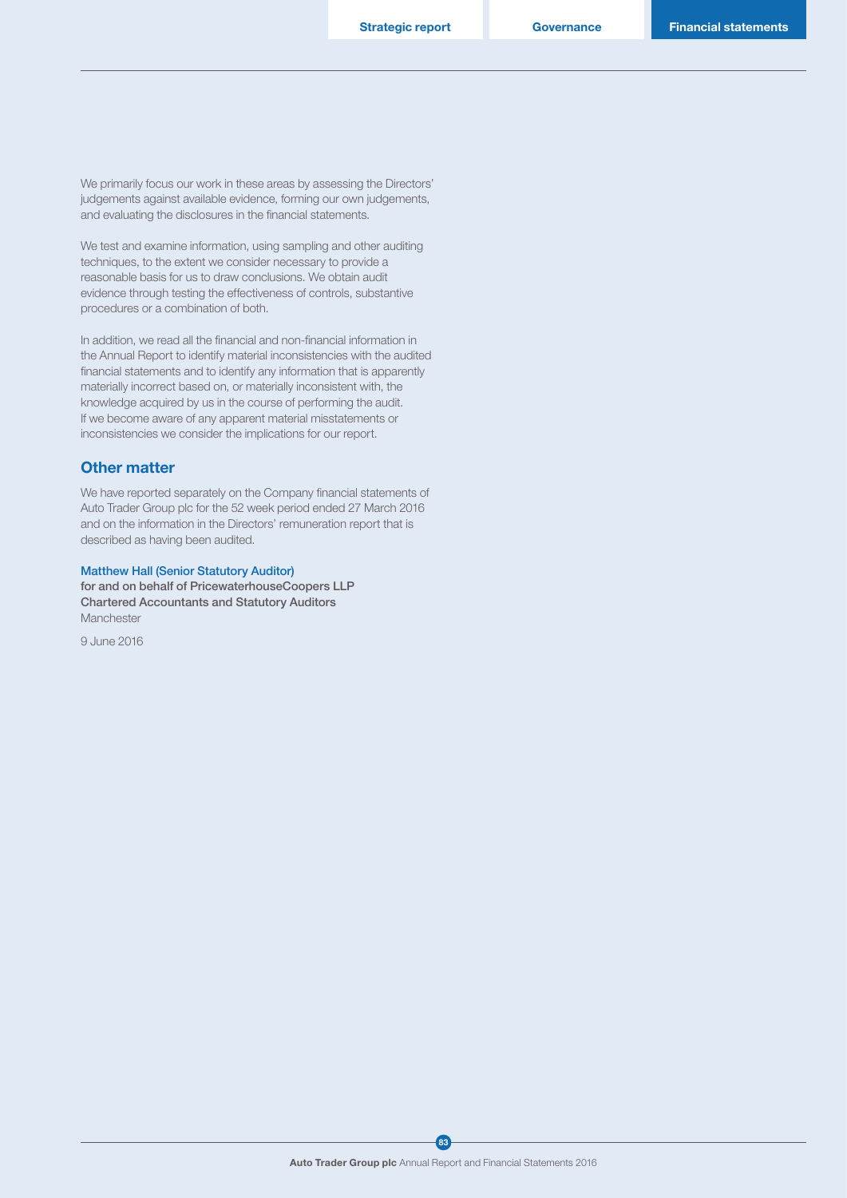We primarily focus our work in these areas by assessing the Directors' judgements against available evidence, forming our own judgements, and evaluating the disclosures in the financial statements.

We test and examine information, using sampling and other auditing techniques, to the extent we consider necessary to provide a reasonable basis for us to draw conclusions. We obtain audit evidence through testing the effectiveness of controls, substantive procedures or a combination of both.

In addition, we read all the financial and non-financial information in the Annual Report to identify material inconsistencies with the audited financial statements and to identify any information that is apparently materially incorrect based on, or materially inconsistent with, the knowledge acquired by us in the course of performing the audit. If we become aware of any apparent material misstatements or inconsistencies we consider the implications for our report.

#### Other matter

We have reported separately on the Company financial statements of Auto Trader Group plc for the 52 week period ended 27 March 2016 and on the information in the Directors' remuneration report that is described as having been audited.

#### Matthew Hall (Senior Statutory Auditor)

for and on behalf of PricewaterhouseCoopers LLP Chartered Accountants and Statutory Auditors **Manchester** 

9 June 2016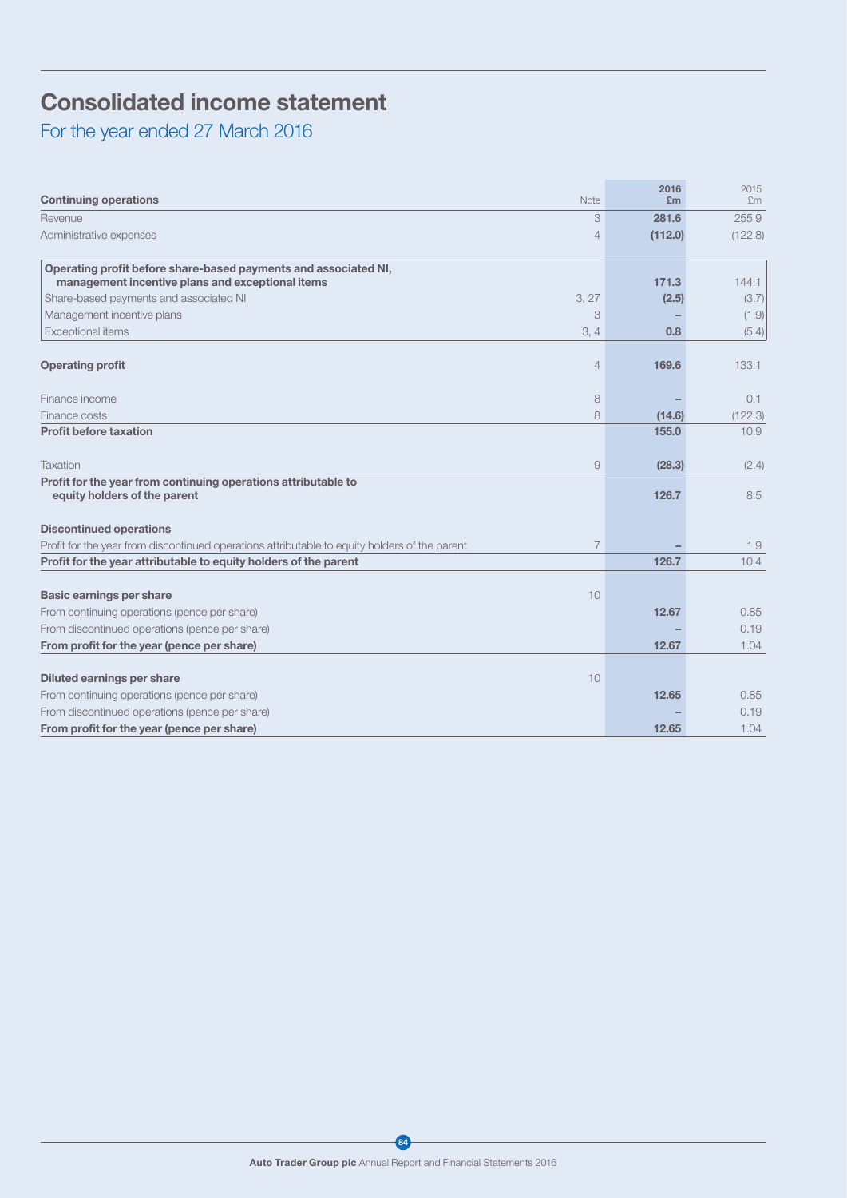## Consolidated income statement

For the year ended 27 March 2016

| <b>Continuing operations</b>                                                                                        | Note           | 2016<br>£m | 2015<br>£m     |
|---------------------------------------------------------------------------------------------------------------------|----------------|------------|----------------|
| Revenue                                                                                                             | 3              | 281.6      | 255.9          |
| Administrative expenses                                                                                             | $\overline{4}$ | (112.0)    | (122.8)        |
| Operating profit before share-based payments and associated NI,<br>management incentive plans and exceptional items |                | 171.3      |                |
| Share-based payments and associated NI                                                                              | 3, 27          | (2.5)      | 144.1<br>(3.7) |
| Management incentive plans                                                                                          | 3              |            |                |
| Exceptional items                                                                                                   | 3, 4           | 0.8        | (1.9)<br>(5.4) |
|                                                                                                                     |                |            |                |
| <b>Operating profit</b>                                                                                             | $\overline{4}$ | 169.6      | 133.1          |
| Finance income                                                                                                      | 8              |            | 0.1            |
| Finance costs                                                                                                       | 8              | (14.6)     | (122.3)        |
| <b>Profit before taxation</b>                                                                                       |                | 155.0      | 10.9           |
| Taxation                                                                                                            | $\Theta$       | (28.3)     | (2.4)          |
| Profit for the year from continuing operations attributable to<br>equity holders of the parent                      |                | 126.7      | 8.5            |
| <b>Discontinued operations</b>                                                                                      |                |            |                |
| Profit for the year from discontinued operations attributable to equity holders of the parent                       | $\overline{7}$ |            | 1.9            |
| Profit for the year attributable to equity holders of the parent                                                    |                | 126.7      | 10.4           |
|                                                                                                                     |                |            |                |
| <b>Basic earnings per share</b>                                                                                     | 10             |            |                |
| From continuing operations (pence per share)                                                                        |                | 12.67      | 0.85           |
| From discontinued operations (pence per share)                                                                      |                |            | 0.19           |
| From profit for the year (pence per share)                                                                          |                | 12.67      | 1.04           |
|                                                                                                                     |                |            |                |
| Diluted earnings per share                                                                                          | 10             |            |                |
| From continuing operations (pence per share)                                                                        |                | 12.65      | 0.85           |
| From discontinued operations (pence per share)                                                                      |                |            | 0.19           |
| From profit for the year (pence per share)                                                                          |                | 12.65      | 1.04           |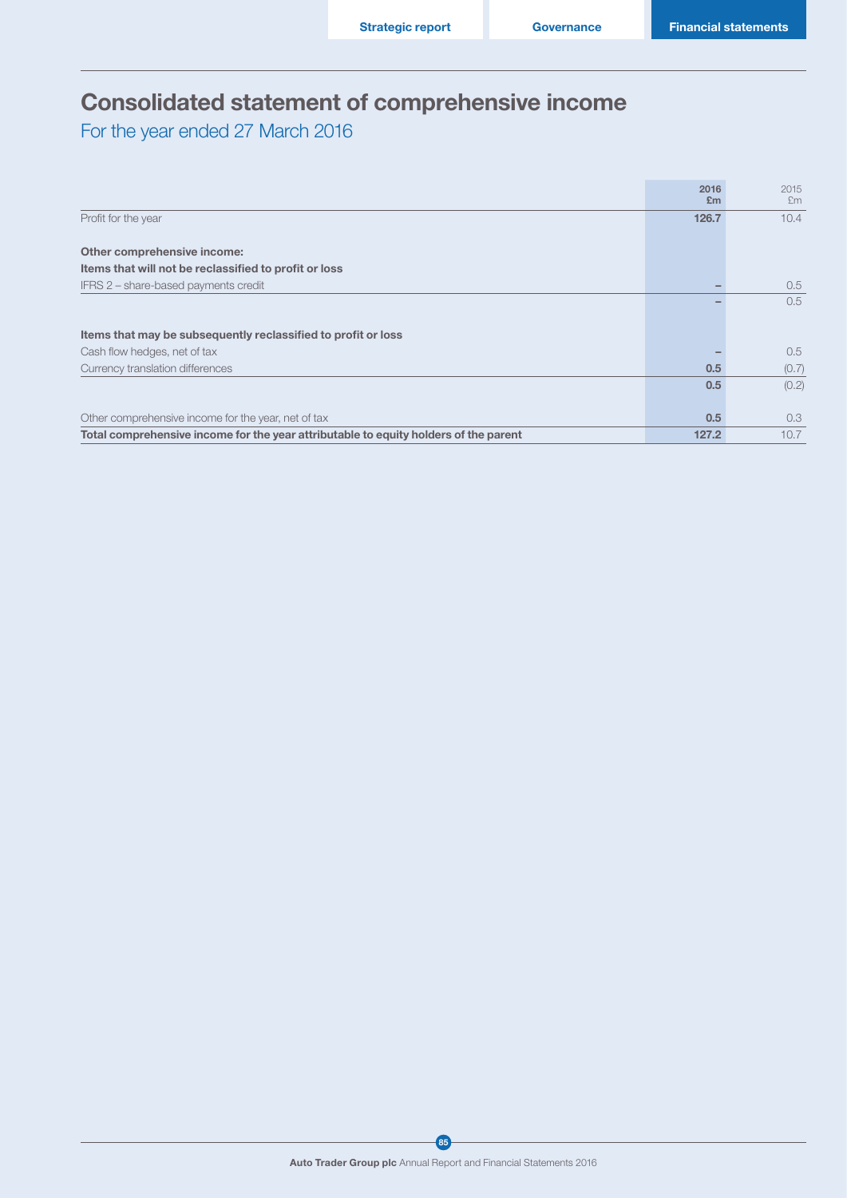## Consolidated statement of comprehensive income

For the year ended 27 March 2016

|                                                                                      | 2016  | 2015  |
|--------------------------------------------------------------------------------------|-------|-------|
|                                                                                      | Em    | Em    |
| Profit for the year                                                                  | 126.7 | 10.4  |
|                                                                                      |       |       |
| Other comprehensive income:                                                          |       |       |
| Items that will not be reclassified to profit or loss                                |       |       |
| IFRS 2 – share-based payments credit                                                 |       | 0.5   |
|                                                                                      |       | 0.5   |
|                                                                                      |       |       |
| Items that may be subsequently reclassified to profit or loss                        |       |       |
| Cash flow hedges, net of tax                                                         |       | 0.5   |
| Currency translation differences                                                     | 0.5   | (0.7) |
|                                                                                      | 0.5   | (0.2) |
|                                                                                      |       |       |
| Other comprehensive income for the year, net of tax                                  | 0.5   | 0.3   |
| Total comprehensive income for the year attributable to equity holders of the parent | 127.2 | 10.7  |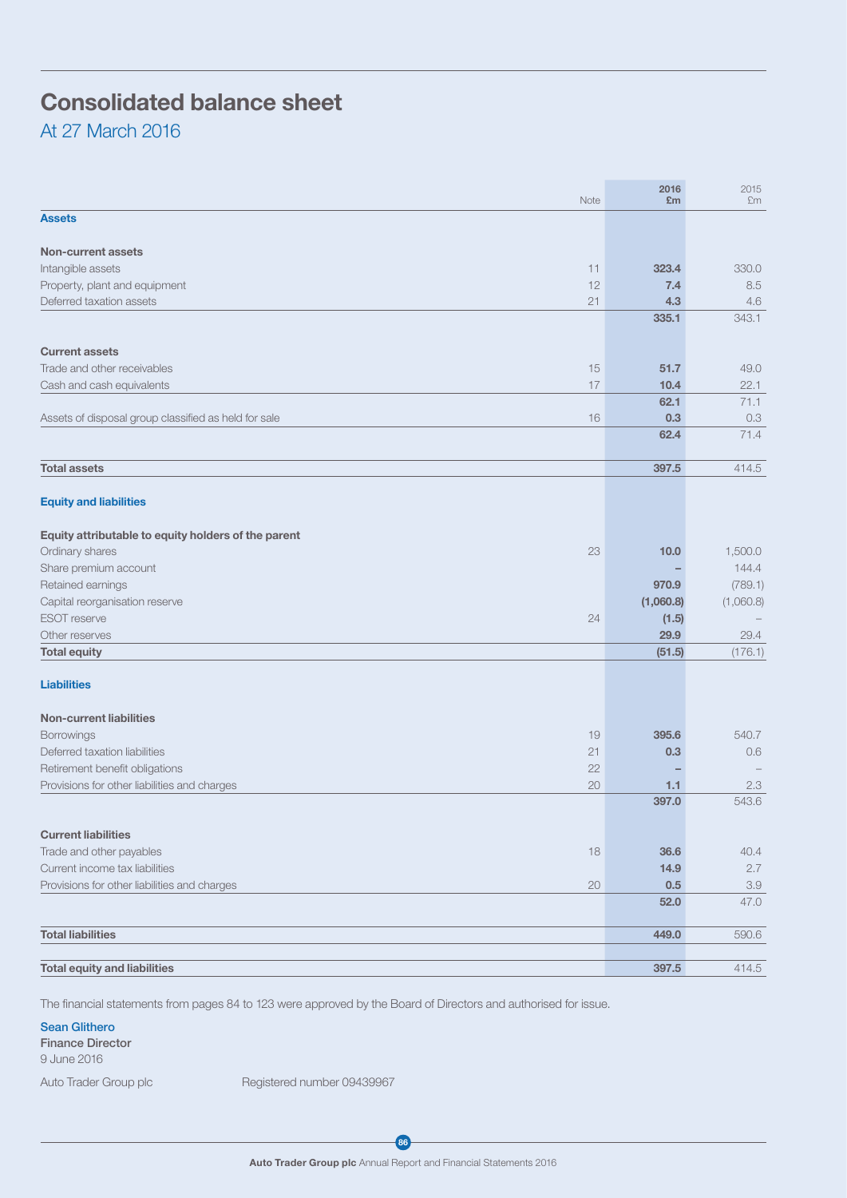# Consolidated balance sheet

At 27 March 2016

| Note                                                 | 2016<br>£m  | 2015<br>£m  |
|------------------------------------------------------|-------------|-------------|
| <b>Assets</b>                                        |             |             |
| <b>Non-current assets</b>                            |             |             |
| Intangible assets<br>11                              | 323.4       | 330.0       |
| Property, plant and equipment<br>12                  | 7.4         | 8.5         |
| Deferred taxation assets<br>21                       | 4.3         | 4.6         |
|                                                      | 335.1       | 343.1       |
| <b>Current assets</b>                                |             |             |
| Trade and other receivables<br>15                    | 51.7        | 49.0        |
|                                                      |             |             |
| Cash and cash equivalents<br>17                      | 10.4        | 22.1        |
| 16                                                   | 62.1<br>0.3 | 71.1<br>0.3 |
| Assets of disposal group classified as held for sale | 62.4        | 71.4        |
|                                                      |             |             |
| <b>Total assets</b>                                  | 397.5       | 414.5       |
|                                                      |             |             |
| <b>Equity and liabilities</b>                        |             |             |
| Equity attributable to equity holders of the parent  |             |             |
| Ordinary shares<br>23                                | 10.0        | 1,500.0     |
| Share premium account                                |             | 144.4       |
| Retained earnings                                    | 970.9       | (789.1)     |
| Capital reorganisation reserve                       | (1,060.8)   | (1,060.8)   |
| <b>ESOT</b> reserve<br>24                            | (1.5)       |             |
| Other reserves                                       | 29.9        | 29.4        |
| <b>Total equity</b>                                  | (51.5)      | (176.1)     |
| <b>Liabilities</b>                                   |             |             |
| <b>Non-current liabilities</b>                       |             |             |
| Borrowings<br>19                                     | 395.6       | 540.7       |
| Deferred taxation liabilities<br>21                  | 0.3         | 0.6         |
| Retirement benefit obligations<br>22                 |             |             |
| Provisions for other liabilities and charges<br>20   | 1.1         | 2.3         |
|                                                      | 397.0       | 543.6       |
|                                                      |             |             |
| <b>Current liabilities</b>                           |             |             |
| Trade and other payables<br>18                       | 36.6        | 40.4        |
| Current income tax liabilities                       | 14.9        | 2.7         |
| Provisions for other liabilities and charges<br>20   | 0.5         | $3.9\,$     |
|                                                      | 52.0        | 47.0        |
| <b>Total liabilities</b>                             | 449.0       | 590.6       |
|                                                      |             |             |
| <b>Total equity and liabilities</b>                  | 397.5       | 414.5       |
|                                                      |             |             |

The financial statements from pages 84 to 123 were approved by the Board of Directors and authorised for issue.

#### Sean Glithero

Finance Director 9 June 2016

Auto Trader Group plc Registered number 09439967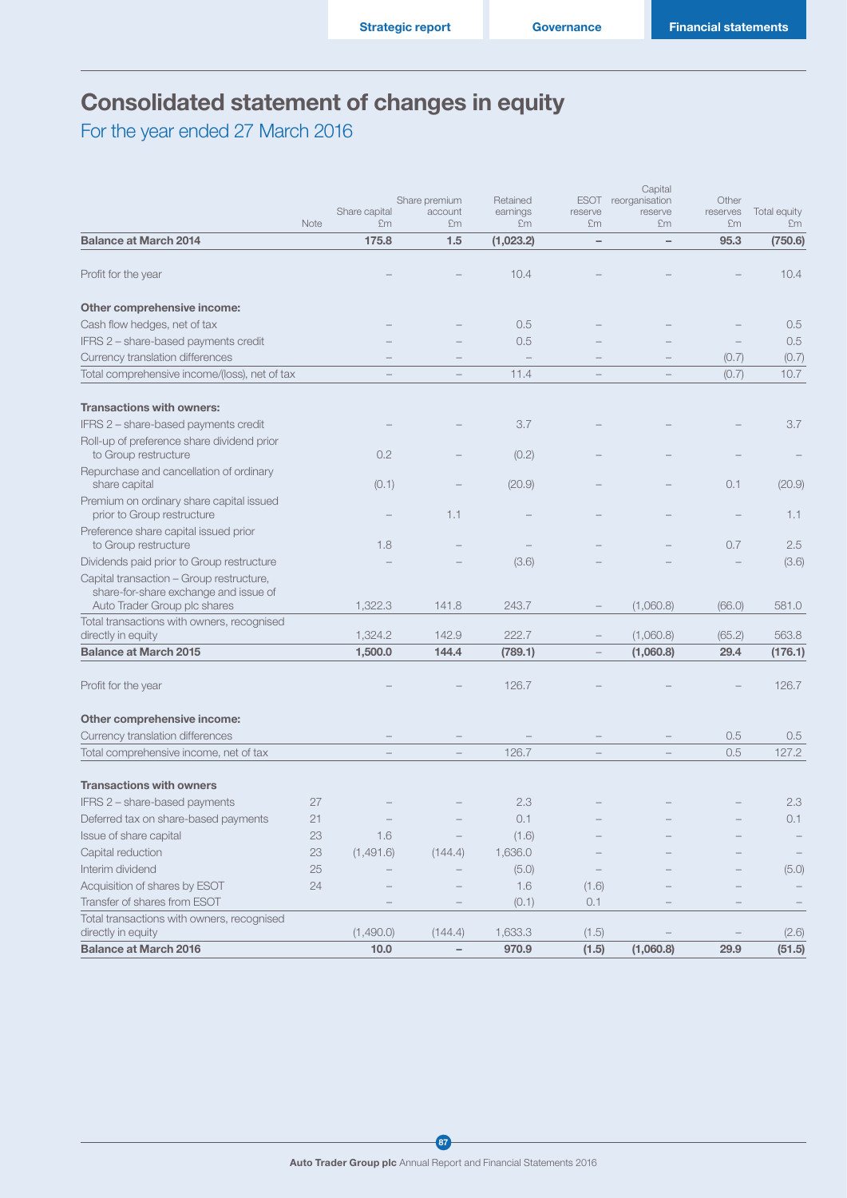## Consolidated statement of changes in equity

For the year ended 27 March 2016

|                                                                                   |      |               |                          |                      |                        | Capital                   |                   |              |
|-----------------------------------------------------------------------------------|------|---------------|--------------------------|----------------------|------------------------|---------------------------|-------------------|--------------|
|                                                                                   |      | Share capital | Share premium<br>account | Retained<br>earnings | <b>ESOT</b><br>reserve | reorganisation<br>reserve | Other<br>reserves | Total equity |
|                                                                                   | Note | £m            | £m                       | £m                   | £m                     | £m                        | £m                | £m           |
| <b>Balance at March 2014</b>                                                      |      | 175.8         | 1.5                      | (1,023.2)            | $\qquad \qquad -$      | $\overline{\phantom{0}}$  | 95.3              | (750.6)      |
| Profit for the year                                                               |      |               |                          | 10.4                 |                        |                           |                   | 10.4         |
| Other comprehensive income:                                                       |      |               |                          |                      |                        |                           |                   |              |
| Cash flow hedges, net of tax                                                      |      |               |                          | 0.5                  |                        |                           |                   | 0.5          |
| IFRS 2 - share-based payments credit                                              |      |               |                          | 0.5                  |                        |                           |                   | 0.5          |
| Currency translation differences                                                  |      |               |                          |                      |                        |                           | (0.7)             | (0.7)        |
| Total comprehensive income/(loss), net of tax                                     |      |               |                          | 11.4                 |                        |                           | (0.7)             | 10.7         |
| <b>Transactions with owners:</b>                                                  |      |               |                          |                      |                        |                           |                   |              |
| IFRS 2 - share-based payments credit                                              |      |               |                          | 3.7                  |                        |                           |                   | 3.7          |
| Roll-up of preference share dividend prior<br>to Group restructure                |      | 0.2           |                          | (0.2)                |                        |                           |                   |              |
| Repurchase and cancellation of ordinary                                           |      |               |                          |                      |                        |                           |                   |              |
| share capital                                                                     |      | (0.1)         |                          | (20.9)               |                        |                           | 0.1               | (20.9)       |
| Premium on ordinary share capital issued<br>prior to Group restructure            |      |               | 1.1                      |                      |                        |                           |                   | 1.1          |
| Preference share capital issued prior                                             |      |               |                          |                      |                        |                           |                   |              |
| to Group restructure                                                              |      | 1.8           |                          |                      |                        |                           | 0.7               | 2.5          |
| Dividends paid prior to Group restructure                                         |      |               |                          | (3.6)                |                        |                           |                   | (3.6)        |
| Capital transaction - Group restructure,<br>share-for-share exchange and issue of |      |               |                          |                      |                        |                           |                   |              |
| Auto Trader Group plc shares                                                      |      | 1,322.3       | 141.8                    | 243.7                |                        | (1,060.8)                 | (66.0)            | 581.0        |
| Total transactions with owners, recognised                                        |      |               |                          |                      |                        |                           |                   |              |
| directly in equity                                                                |      | 1,324.2       | 142.9                    | 222.7                |                        | (1,060.8)                 | (65.2)            | 563.8        |
| <b>Balance at March 2015</b>                                                      |      | 1,500.0       | 144.4                    | (789.1)              |                        | (1,060.8)                 | 29.4              | (176.1)      |
| Profit for the year                                                               |      |               |                          | 126.7                |                        |                           |                   | 126.7        |
| Other comprehensive income:                                                       |      |               |                          |                      |                        |                           |                   |              |
| Currency translation differences                                                  |      |               |                          |                      |                        |                           | 0.5               | 0.5          |
| Total comprehensive income, net of tax                                            |      |               |                          | 126.7                |                        |                           | 0.5               | 127.2        |
|                                                                                   |      |               |                          |                      |                        |                           |                   |              |
| <b>Transactions with owners</b>                                                   |      |               |                          |                      |                        |                           |                   |              |
| IFRS 2 - share-based payments                                                     | 27   |               |                          | 2.3                  |                        |                           |                   | 2.3          |
| Deferred tax on share-based payments                                              | 21   |               |                          | 0.1                  |                        |                           |                   | 0.1          |
| Issue of share capital                                                            | 23   | 1.6           |                          | (1.6)                |                        |                           |                   |              |
| Capital reduction                                                                 | 23   | (1,491.6)     | (144.4)                  | 1,636.0              |                        |                           |                   |              |
| Interim dividend                                                                  | 25   |               |                          | (5.0)                |                        |                           |                   | (5.0)        |
| Acquisition of shares by ESOT                                                     | 24   |               |                          | 1.6                  | (1.6)                  |                           |                   |              |
| Transfer of shares from ESOT                                                      |      |               |                          | (0.1)                | 0.1                    |                           |                   |              |
| Total transactions with owners, recognised                                        |      |               |                          |                      |                        |                           |                   |              |
| directly in equity                                                                |      | (1,490.0)     | (144.4)                  | 1,633.3              | (1.5)                  |                           |                   | (2.6)        |
| <b>Balance at March 2016</b>                                                      |      | 10.0          | $\qquad \qquad -$        | 970.9                | (1.5)                  | (1,060.8)                 | 29.9              | (51.5)       |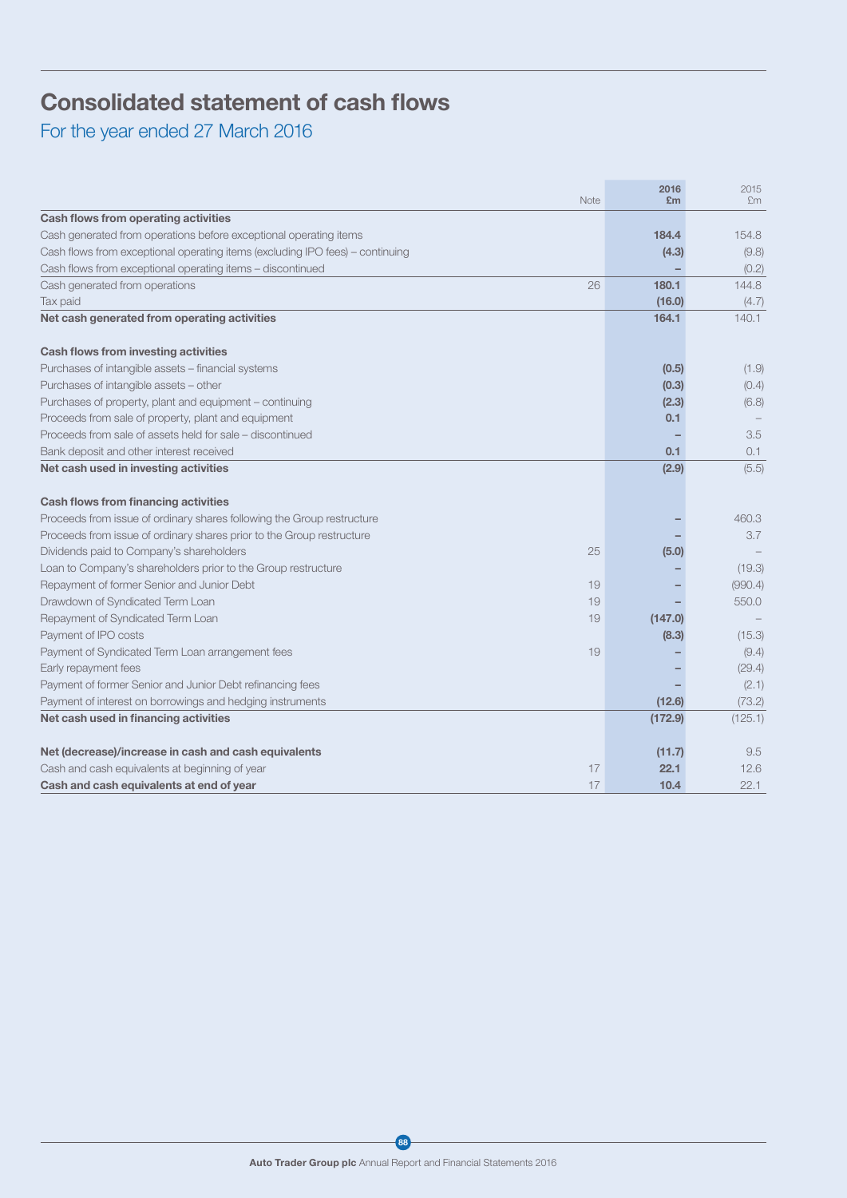## Consolidated statement of cash flows

For the year ended 27 March 2016

| <b>Note</b>                                                                   | 2016<br>£m | 2015<br>£m |
|-------------------------------------------------------------------------------|------------|------------|
| Cash flows from operating activities                                          |            |            |
| Cash generated from operations before exceptional operating items             | 184.4      | 154.8      |
| Cash flows from exceptional operating items (excluding IPO fees) - continuing | (4.3)      | (9.8)      |
| Cash flows from exceptional operating items - discontinued                    |            | (0.2)      |
| 26<br>Cash generated from operations                                          | 180.1      | 144.8      |
| Tax paid                                                                      | (16.0)     | (4.7)      |
| Net cash generated from operating activities                                  | 164.1      | 140.1      |
| Cash flows from investing activities                                          |            |            |
| Purchases of intangible assets - financial systems                            | (0.5)      | (1.9)      |
| Purchases of intangible assets - other                                        | (0.3)      | (0.4)      |
| Purchases of property, plant and equipment - continuing                       | (2.3)      | (6.8)      |
| Proceeds from sale of property, plant and equipment                           | 0.1        |            |
| Proceeds from sale of assets held for sale – discontinued                     |            | 3.5        |
| Bank deposit and other interest received                                      | 0.1        | 0.1        |
| Net cash used in investing activities                                         | (2.9)      | (5.5)      |
| <b>Cash flows from financing activities</b>                                   |            |            |
| Proceeds from issue of ordinary shares following the Group restructure        |            | 460.3      |
| Proceeds from issue of ordinary shares prior to the Group restructure         |            | 3.7        |
| Dividends paid to Company's shareholders<br>25                                | (5.0)      |            |
| Loan to Company's shareholders prior to the Group restructure                 |            | (19.3)     |
| Repayment of former Senior and Junior Debt<br>19                              |            | (990.4)    |
| Drawdown of Syndicated Term Loan<br>19                                        |            | 550.0      |
| Repayment of Syndicated Term Loan<br>19                                       | (147.0)    |            |
| Payment of IPO costs                                                          | (8.3)      | (15.3)     |
| Payment of Syndicated Term Loan arrangement fees<br>19                        |            | (9.4)      |
| Early repayment fees                                                          |            | (29.4)     |
| Payment of former Senior and Junior Debt refinancing fees                     |            | (2.1)      |
| Payment of interest on borrowings and hedging instruments                     | (12.6)     | (73.2)     |
| Net cash used in financing activities                                         | (172.9)    | (125.1)    |
| Net (decrease)/increase in cash and cash equivalents                          | (11.7)     | 9.5        |
| Cash and cash equivalents at beginning of year<br>17                          | 22.1       | 12.6       |
| 17<br>Cash and cash equivalents at end of year                                | 10.4       | 22.1       |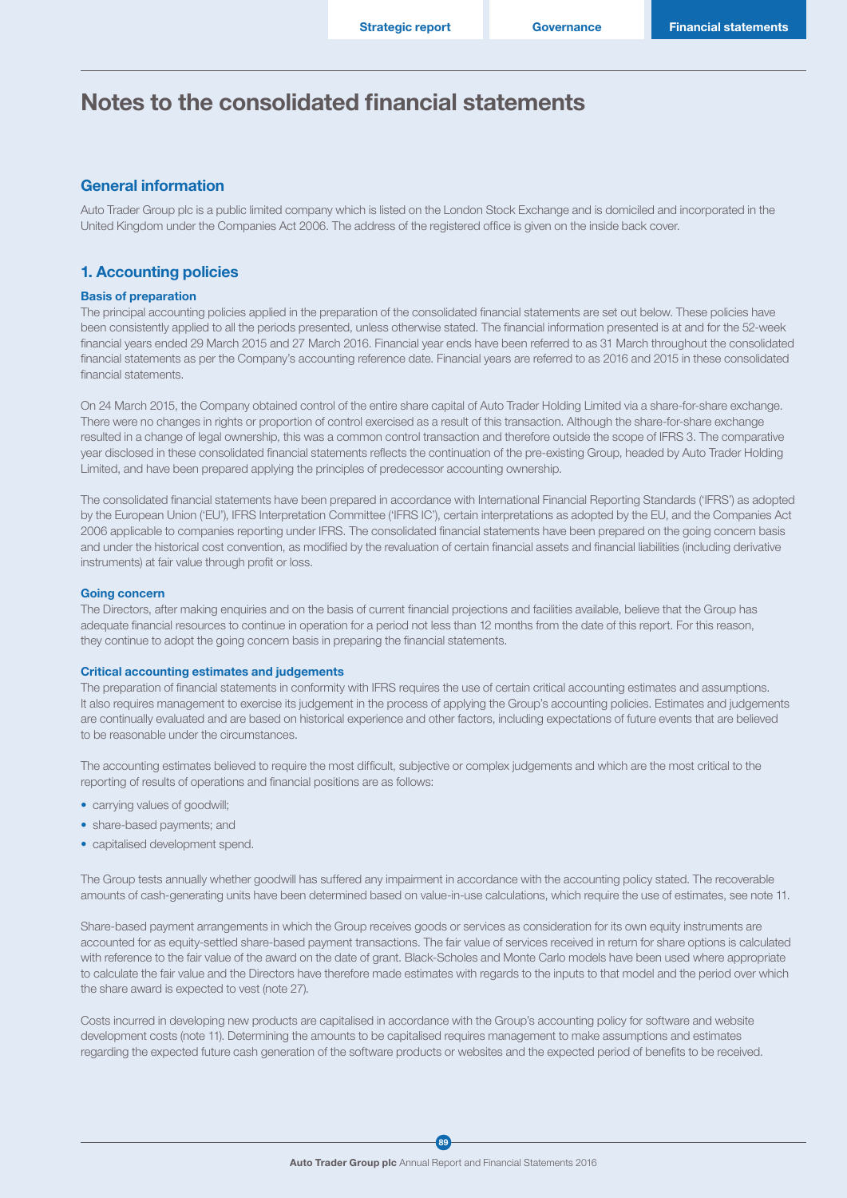### General information

Auto Trader Group plc is a public limited company which is listed on the London Stock Exchange and is domiciled and incorporated in the United Kingdom under the Companies Act 2006. The address of the registered office is given on the inside back cover.

### 1. Accounting policies

#### Basis of preparation

The principal accounting policies applied in the preparation of the consolidated financial statements are set out below. These policies have been consistently applied to all the periods presented, unless otherwise stated. The financial information presented is at and for the 52-week financial years ended 29 March 2015 and 27 March 2016. Financial year ends have been referred to as 31 March throughout the consolidated financial statements as per the Company's accounting reference date. Financial years are referred to as 2016 and 2015 in these consolidated financial statements.

On 24 March 2015, the Company obtained control of the entire share capital of Auto Trader Holding Limited via a share-for-share exchange. There were no changes in rights or proportion of control exercised as a result of this transaction. Although the share-for-share exchange resulted in a change of legal ownership, this was a common control transaction and therefore outside the scope of IFRS 3. The comparative year disclosed in these consolidated financial statements reflects the continuation of the pre-existing Group, headed by Auto Trader Holding Limited, and have been prepared applying the principles of predecessor accounting ownership.

The consolidated financial statements have been prepared in accordance with International Financial Reporting Standards ('IFRS') as adopted by the European Union ('EU'), IFRS Interpretation Committee ('IFRS IC'), certain interpretations as adopted by the EU, and the Companies Act 2006 applicable to companies reporting under IFRS. The consolidated financial statements have been prepared on the going concern basis and under the historical cost convention, as modified by the revaluation of certain financial assets and financial liabilities (including derivative instruments) at fair value through profit or loss.

#### Going concern

The Directors, after making enquiries and on the basis of current financial projections and facilities available, believe that the Group has adequate financial resources to continue in operation for a period not less than 12 months from the date of this report. For this reason, they continue to adopt the going concern basis in preparing the financial statements.

#### Critical accounting estimates and judgements

The preparation of financial statements in conformity with IFRS requires the use of certain critical accounting estimates and assumptions. It also requires management to exercise its judgement in the process of applying the Group's accounting policies. Estimates and judgements are continually evaluated and are based on historical experience and other factors, including expectations of future events that are believed to be reasonable under the circumstances.

The accounting estimates believed to require the most difficult, subjective or complex judgements and which are the most critical to the reporting of results of operations and financial positions are as follows:

- carrying values of goodwill;
- share-based payments; and
- capitalised development spend.

The Group tests annually whether goodwill has suffered any impairment in accordance with the accounting policy stated. The recoverable amounts of cash-generating units have been determined based on value-in-use calculations, which require the use of estimates, see note 11.

Share-based payment arrangements in which the Group receives goods or services as consideration for its own equity instruments are accounted for as equity-settled share-based payment transactions. The fair value of services received in return for share options is calculated with reference to the fair value of the award on the date of grant. Black-Scholes and Monte Carlo models have been used where appropriate to calculate the fair value and the Directors have therefore made estimates with regards to the inputs to that model and the period over which the share award is expected to vest (note 27).

Costs incurred in developing new products are capitalised in accordance with the Group's accounting policy for software and website development costs (note 11). Determining the amounts to be capitalised requires management to make assumptions and estimates regarding the expected future cash generation of the software products or websites and the expected period of benefits to be received.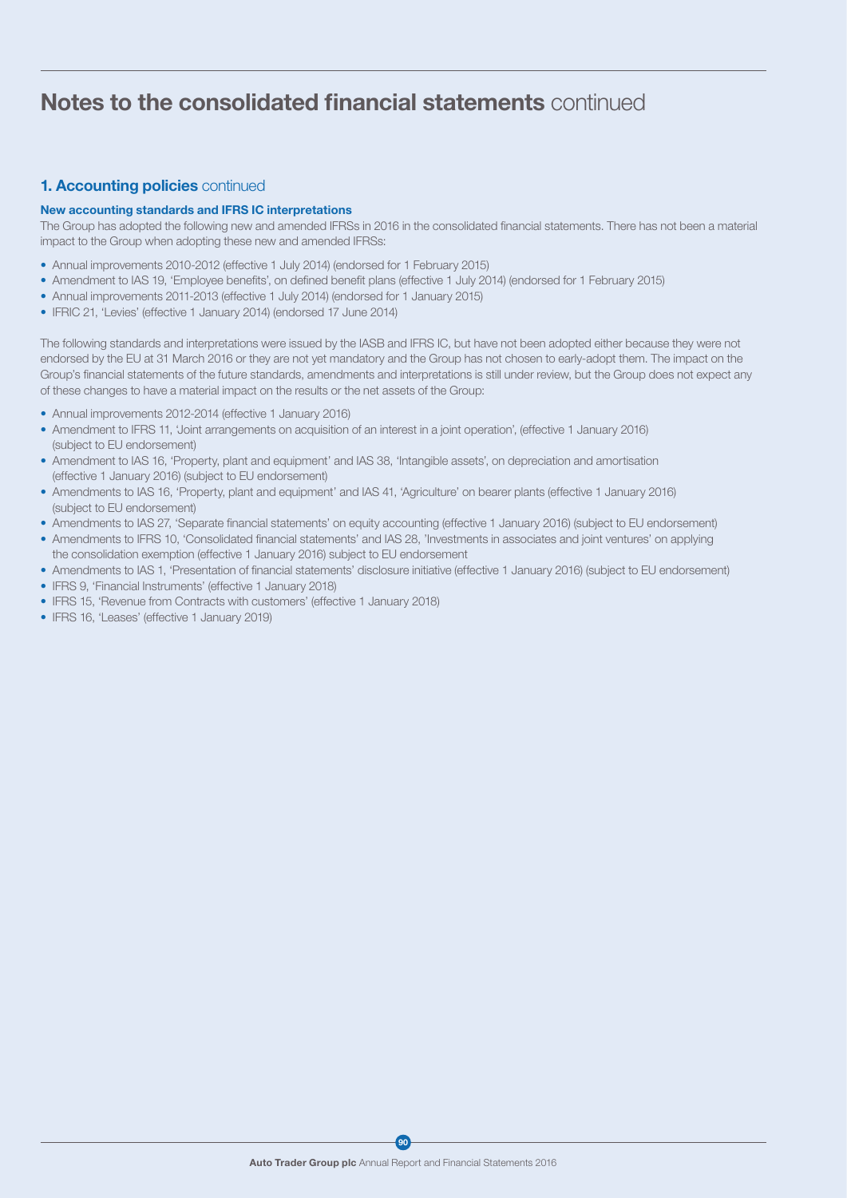## 1. Accounting policies continued

#### New accounting standards and IFRS IC interpretations

The Group has adopted the following new and amended IFRSs in 2016 in the consolidated financial statements. There has not been a material impact to the Group when adopting these new and amended IFRSs:

- Annual improvements 2010-2012 (effective 1 July 2014) (endorsed for 1 February 2015)
- Amendment to IAS 19, 'Employee benefits', on defined benefit plans (effective 1 July 2014) (endorsed for 1 February 2015)
- Annual improvements 2011-2013 (effective 1 July 2014) (endorsed for 1 January 2015)
- IFRIC 21, 'Levies' (effective 1 January 2014) (endorsed 17 June 2014)

The following standards and interpretations were issued by the IASB and IFRS IC, but have not been adopted either because they were not endorsed by the EU at 31 March 2016 or they are not yet mandatory and the Group has not chosen to early-adopt them. The impact on the Group's financial statements of the future standards, amendments and interpretations is still under review, but the Group does not expect any of these changes to have a material impact on the results or the net assets of the Group:

- Annual improvements 2012-2014 (effective 1 January 2016)
- Amendment to IFRS 11, 'Joint arrangements on acquisition of an interest in a joint operation', (effective 1 January 2016) (subject to EU endorsement)
- Amendment to IAS 16, 'Property, plant and equipment' and IAS 38, 'Intangible assets', on depreciation and amortisation (effective 1 January 2016) (subject to EU endorsement)
- Amendments to IAS 16, 'Property, plant and equipment' and IAS 41, 'Agriculture' on bearer plants (effective 1 January 2016) (subject to EU endorsement)
- Amendments to IAS 27, 'Separate financial statements' on equity accounting (effective 1 January 2016) (subject to EU endorsement)
- Amendments to IFRS 10, 'Consolidated financial statements' and IAS 28, 'Investments in associates and joint ventures' on applying the consolidation exemption (effective 1 January 2016) subject to EU endorsement
- Amendments to IAS 1, 'Presentation of financial statements' disclosure initiative (effective 1 January 2016) (subject to EU endorsement)
- IFRS 9, 'Financial Instruments' (effective 1 January 2018)
- IFRS 15, 'Revenue from Contracts with customers' (effective 1 January 2018)
- IFRS 16, 'Leases' (effective 1 January 2019)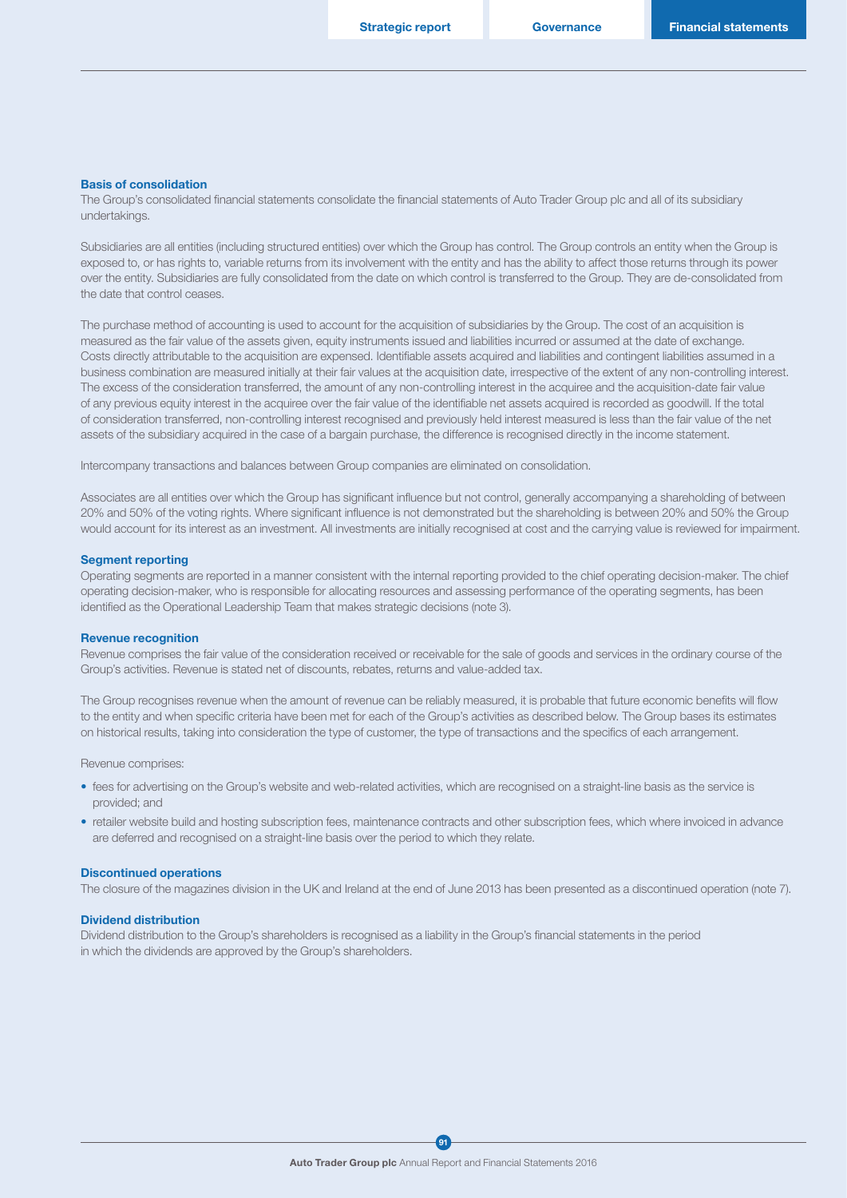#### Basis of consolidation

The Group's consolidated financial statements consolidate the financial statements of Auto Trader Group plc and all of its subsidiary undertakings.

Subsidiaries are all entities (including structured entities) over which the Group has control. The Group controls an entity when the Group is exposed to, or has rights to, variable returns from its involvement with the entity and has the ability to affect those returns through its power over the entity. Subsidiaries are fully consolidated from the date on which control is transferred to the Group. They are de-consolidated from the date that control ceases.

The purchase method of accounting is used to account for the acquisition of subsidiaries by the Group. The cost of an acquisition is measured as the fair value of the assets given, equity instruments issued and liabilities incurred or assumed at the date of exchange. Costs directly attributable to the acquisition are expensed. Identifiable assets acquired and liabilities and contingent liabilities assumed in a business combination are measured initially at their fair values at the acquisition date, irrespective of the extent of any non-controlling interest. The excess of the consideration transferred, the amount of any non-controlling interest in the acquiree and the acquisition-date fair value of any previous equity interest in the acquiree over the fair value of the identifiable net assets acquired is recorded as goodwill. If the total of consideration transferred, non-controlling interest recognised and previously held interest measured is less than the fair value of the net assets of the subsidiary acquired in the case of a bargain purchase, the difference is recognised directly in the income statement.

Intercompany transactions and balances between Group companies are eliminated on consolidation.

Associates are all entities over which the Group has significant influence but not control, generally accompanying a shareholding of between 20% and 50% of the voting rights. Where significant influence is not demonstrated but the shareholding is between 20% and 50% the Group would account for its interest as an investment. All investments are initially recognised at cost and the carrying value is reviewed for impairment.

#### Segment reporting

Operating segments are reported in a manner consistent with the internal reporting provided to the chief operating decision-maker. The chief operating decision-maker, who is responsible for allocating resources and assessing performance of the operating segments, has been identified as the Operational Leadership Team that makes strategic decisions (note 3).

#### Revenue recognition

Revenue comprises the fair value of the consideration received or receivable for the sale of goods and services in the ordinary course of the Group's activities. Revenue is stated net of discounts, rebates, returns and value-added tax.

The Group recognises revenue when the amount of revenue can be reliably measured, it is probable that future economic benefits will flow to the entity and when specific criteria have been met for each of the Group's activities as described below. The Group bases its estimates on historical results, taking into consideration the type of customer, the type of transactions and the specifics of each arrangement.

Revenue comprises:

- fees for advertising on the Group's website and web-related activities, which are recognised on a straight-line basis as the service is provided; and
- retailer website build and hosting subscription fees, maintenance contracts and other subscription fees, which where invoiced in advance are deferred and recognised on a straight-line basis over the period to which they relate.

#### Discontinued operations

The closure of the magazines division in the UK and Ireland at the end of June 2013 has been presented as a discontinued operation (note 7).

#### Dividend distribution

Dividend distribution to the Group's shareholders is recognised as a liability in the Group's financial statements in the period in which the dividends are approved by the Group's shareholders.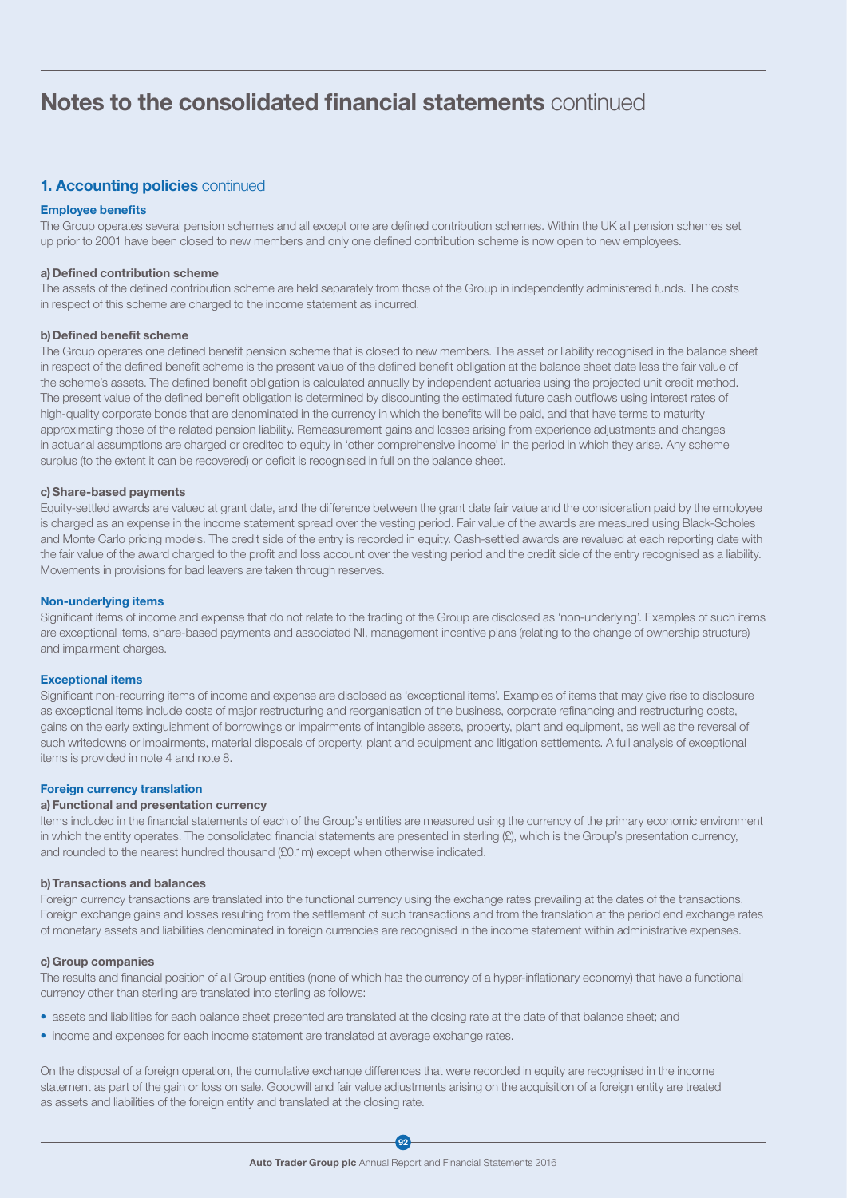## 1. Accounting policies continued

#### Employee benefits

The Group operates several pension schemes and all except one are defined contribution schemes. Within the UK all pension schemes set up prior to 2001 have been closed to new members and only one defined contribution scheme is now open to new employees.

#### a) Defined contribution scheme

The assets of the defined contribution scheme are held separately from those of the Group in independently administered funds. The costs in respect of this scheme are charged to the income statement as incurred.

#### b) Defined benefit scheme

The Group operates one defined benefit pension scheme that is closed to new members. The asset or liability recognised in the balance sheet in respect of the defined benefit scheme is the present value of the defined benefit obligation at the balance sheet date less the fair value of the scheme's assets. The defined benefit obligation is calculated annually by independent actuaries using the projected unit credit method. The present value of the defined benefit obligation is determined by discounting the estimated future cash outflows using interest rates of high-quality corporate bonds that are denominated in the currency in which the benefits will be paid, and that have terms to maturity approximating those of the related pension liability. Remeasurement gains and losses arising from experience adjustments and changes in actuarial assumptions are charged or credited to equity in 'other comprehensive income' in the period in which they arise. Any scheme surplus (to the extent it can be recovered) or deficit is recognised in full on the balance sheet.

#### c) Share-based payments

Equity-settled awards are valued at grant date, and the difference between the grant date fair value and the consideration paid by the employee is charged as an expense in the income statement spread over the vesting period. Fair value of the awards are measured using Black-Scholes and Monte Carlo pricing models. The credit side of the entry is recorded in equity. Cash-settled awards are revalued at each reporting date with the fair value of the award charged to the profit and loss account over the vesting period and the credit side of the entry recognised as a liability. Movements in provisions for bad leavers are taken through reserves.

#### Non-underlying items

Significant items of income and expense that do not relate to the trading of the Group are disclosed as 'non-underlying'. Examples of such items are exceptional items, share-based payments and associated NI, management incentive plans (relating to the change of ownership structure) and impairment charges.

#### Exceptional items

Significant non-recurring items of income and expense are disclosed as 'exceptional items'. Examples of items that may give rise to disclosure as exceptional items include costs of major restructuring and reorganisation of the business, corporate refinancing and restructuring costs, gains on the early extinguishment of borrowings or impairments of intangible assets, property, plant and equipment, as well as the reversal of such writedowns or impairments, material disposals of property, plant and equipment and litigation settlements. A full analysis of exceptional items is provided in note 4 and note 8.

#### Foreign currency translation

#### a)Functional and presentation currency

Items included in the financial statements of each of the Group's entities are measured using the currency of the primary economic environment in which the entity operates. The consolidated financial statements are presented in sterling (£), which is the Group's presentation currency, and rounded to the nearest hundred thousand (£0.1m) except when otherwise indicated.

#### b)Transactions and balances

Foreign currency transactions are translated into the functional currency using the exchange rates prevailing at the dates of the transactions. Foreign exchange gains and losses resulting from the settlement of such transactions and from the translation at the period end exchange rates of monetary assets and liabilities denominated in foreign currencies are recognised in the income statement within administrative expenses.

#### c) Group companies

The results and financial position of all Group entities (none of which has the currency of a hyper-inflationary economy) that have a functional currency other than sterling are translated into sterling as follows:

- assets and liabilities for each balance sheet presented are translated at the closing rate at the date of that balance sheet; and
- income and expenses for each income statement are translated at average exchange rates.

On the disposal of a foreign operation, the cumulative exchange differences that were recorded in equity are recognised in the income statement as part of the gain or loss on sale. Goodwill and fair value adjustments arising on the acquisition of a foreign entity are treated as assets and liabilities of the foreign entity and translated at the closing rate.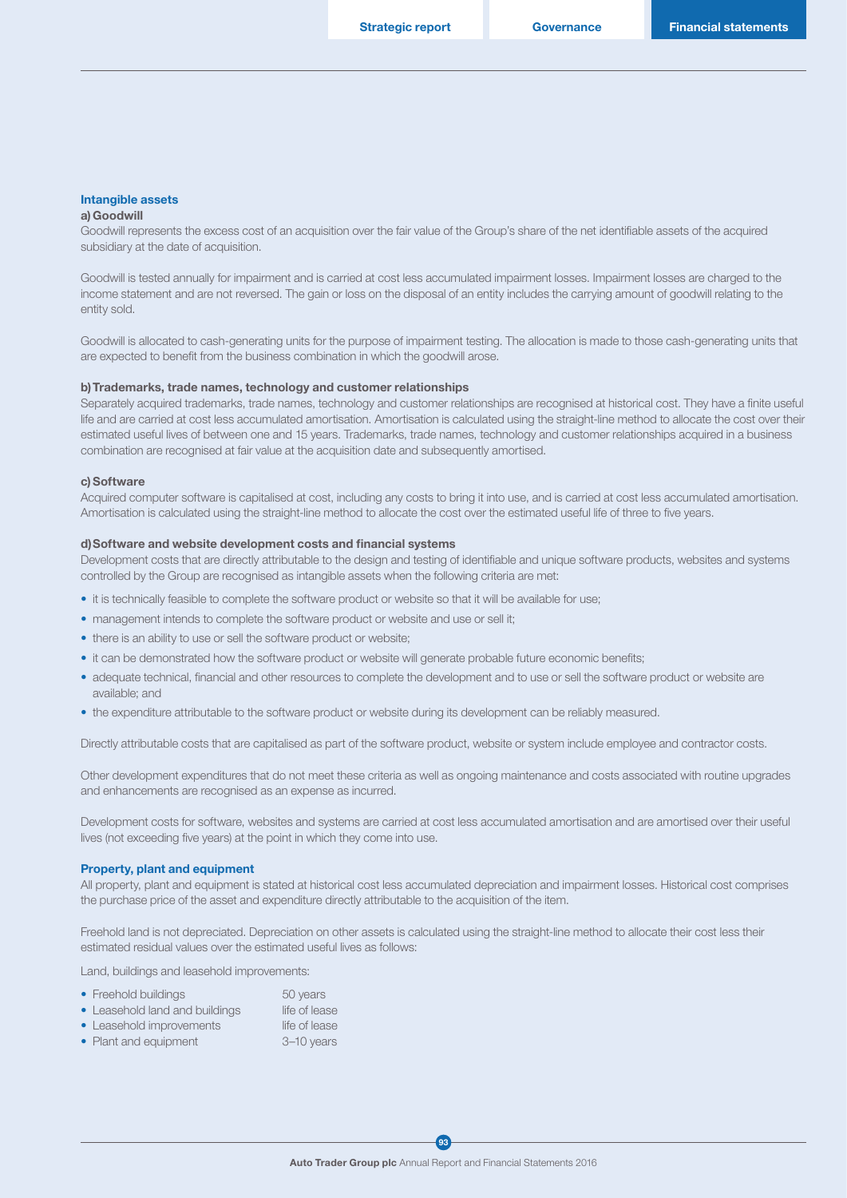#### Intangible assets

#### a)Goodwill

Goodwill represents the excess cost of an acquisition over the fair value of the Group's share of the net identifiable assets of the acquired subsidiary at the date of acquisition.

Goodwill is tested annually for impairment and is carried at cost less accumulated impairment losses. Impairment losses are charged to the income statement and are not reversed. The gain or loss on the disposal of an entity includes the carrying amount of goodwill relating to the entity sold.

Goodwill is allocated to cash-generating units for the purpose of impairment testing. The allocation is made to those cash-generating units that are expected to benefit from the business combination in which the goodwill arose.

#### b)Trademarks, trade names, technology and customer relationships

Separately acquired trademarks, trade names, technology and customer relationships are recognised at historical cost. They have a finite useful life and are carried at cost less accumulated amortisation. Amortisation is calculated using the straight-line method to allocate the cost over their estimated useful lives of between one and 15 years. Trademarks, trade names, technology and customer relationships acquired in a business combination are recognised at fair value at the acquisition date and subsequently amortised.

#### c) Software

Acquired computer software is capitalised at cost, including any costs to bring it into use, and is carried at cost less accumulated amortisation. Amortisation is calculated using the straight-line method to allocate the cost over the estimated useful life of three to five years.

#### d)Software and website development costs and financial systems

Development costs that are directly attributable to the design and testing of identifiable and unique software products, websites and systems controlled by the Group are recognised as intangible assets when the following criteria are met:

- it is technically feasible to complete the software product or website so that it will be available for use;
- management intends to complete the software product or website and use or sell it;
- there is an ability to use or sell the software product or website;
- it can be demonstrated how the software product or website will generate probable future economic benefits;
- adequate technical, financial and other resources to complete the development and to use or sell the software product or website are available; and
- the expenditure attributable to the software product or website during its development can be reliably measured.

Directly attributable costs that are capitalised as part of the software product, website or system include employee and contractor costs.

Other development expenditures that do not meet these criteria as well as ongoing maintenance and costs associated with routine upgrades and enhancements are recognised as an expense as incurred.

Development costs for software, websites and systems are carried at cost less accumulated amortisation and are amortised over their useful lives (not exceeding five years) at the point in which they come into use.

#### Property, plant and equipment

All property, plant and equipment is stated at historical cost less accumulated depreciation and impairment losses. Historical cost comprises the purchase price of the asset and expenditure directly attributable to the acquisition of the item.

Freehold land is not depreciated. Depreciation on other assets is calculated using the straight-line method to allocate their cost less their estimated residual values over the estimated useful lives as follows:

Land, buildings and leasehold improvements:

| • Freehold buildings           | 50 years      |
|--------------------------------|---------------|
| • Leasehold land and buildings | life of lease |
| • Leasehold improvements       | life of lease |
| • Plant and equipment          | 3-10 years    |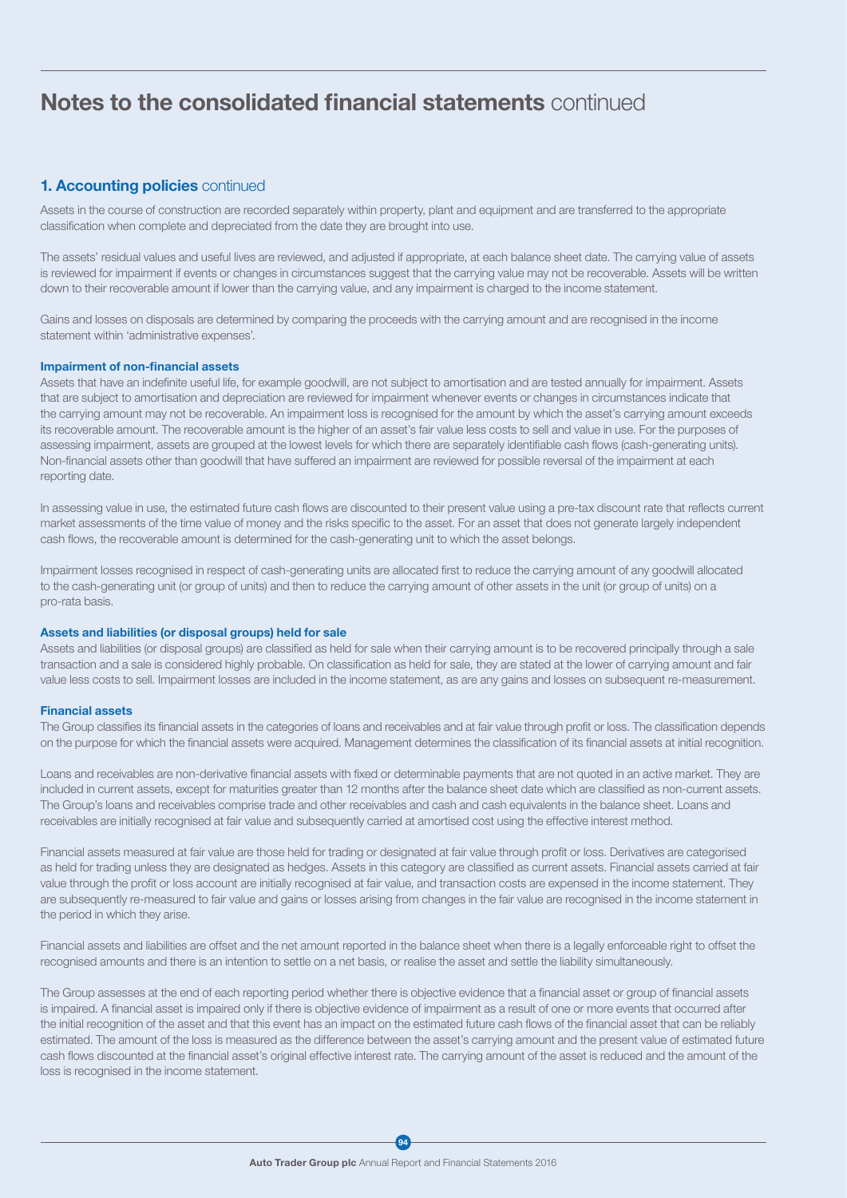## 1. Accounting policies continued

Assets in the course of construction are recorded separately within property, plant and equipment and are transferred to the appropriate classification when complete and depreciated from the date they are brought into use.

The assets' residual values and useful lives are reviewed, and adjusted if appropriate, at each balance sheet date. The carrying value of assets is reviewed for impairment if events or changes in circumstances suggest that the carrying value may not be recoverable. Assets will be written down to their recoverable amount if lower than the carrying value, and any impairment is charged to the income statement.

Gains and losses on disposals are determined by comparing the proceeds with the carrying amount and are recognised in the income statement within 'administrative expenses'.

#### Impairment of non-financial assets

Assets that have an indefinite useful life, for example goodwill, are not subject to amortisation and are tested annually for impairment. Assets that are subject to amortisation and depreciation are reviewed for impairment whenever events or changes in circumstances indicate that the carrying amount may not be recoverable. An impairment loss is recognised for the amount by which the asset's carrying amount exceeds its recoverable amount. The recoverable amount is the higher of an asset's fair value less costs to sell and value in use. For the purposes of assessing impairment, assets are grouped at the lowest levels for which there are separately identifiable cash flows (cash-generating units). Non-financial assets other than goodwill that have suffered an impairment are reviewed for possible reversal of the impairment at each reporting date.

In assessing value in use, the estimated future cash flows are discounted to their present value using a pre-tax discount rate that reflects current market assessments of the time value of money and the risks specific to the asset. For an asset that does not generate largely independent cash flows, the recoverable amount is determined for the cash-generating unit to which the asset belongs.

Impairment losses recognised in respect of cash-generating units are allocated first to reduce the carrying amount of any goodwill allocated to the cash-generating unit (or group of units) and then to reduce the carrying amount of other assets in the unit (or group of units) on a pro-rata basis.

#### Assets and liabilities (or disposal groups) held for sale

Assets and liabilities (or disposal groups) are classified as held for sale when their carrying amount is to be recovered principally through a sale transaction and a sale is considered highly probable. On classification as held for sale, they are stated at the lower of carrying amount and fair value less costs to sell. Impairment losses are included in the income statement, as are any gains and losses on subsequent re-measurement.

#### Financial assets

The Group classifies its financial assets in the categories of loans and receivables and at fair value through profit or loss. The classification depends on the purpose for which the financial assets were acquired. Management determines the classification of its financial assets at initial recognition.

Loans and receivables are non-derivative financial assets with fixed or determinable payments that are not quoted in an active market. They are included in current assets, except for maturities greater than 12 months after the balance sheet date which are classified as non-current assets. The Group's loans and receivables comprise trade and other receivables and cash and cash equivalents in the balance sheet. Loans and receivables are initially recognised at fair value and subsequently carried at amortised cost using the effective interest method.

Financial assets measured at fair value are those held for trading or designated at fair value through profit or loss. Derivatives are categorised as held for trading unless they are designated as hedges. Assets in this category are classified as current assets. Financial assets carried at fair value through the profit or loss account are initially recognised at fair value, and transaction costs are expensed in the income statement. They are subsequently re-measured to fair value and gains or losses arising from changes in the fair value are recognised in the income statement in the period in which they arise.

Financial assets and liabilities are offset and the net amount reported in the balance sheet when there is a legally enforceable right to offset the recognised amounts and there is an intention to settle on a net basis, or realise the asset and settle the liability simultaneously.

The Group assesses at the end of each reporting period whether there is objective evidence that a financial asset or group of financial assets is impaired. A financial asset is impaired only if there is objective evidence of impairment as a result of one or more events that occurred after the initial recognition of the asset and that this event has an impact on the estimated future cash flows of the financial asset that can be reliably estimated. The amount of the loss is measured as the difference between the asset's carrying amount and the present value of estimated future cash flows discounted at the financial asset's original effective interest rate. The carrying amount of the asset is reduced and the amount of the loss is recognised in the income statement.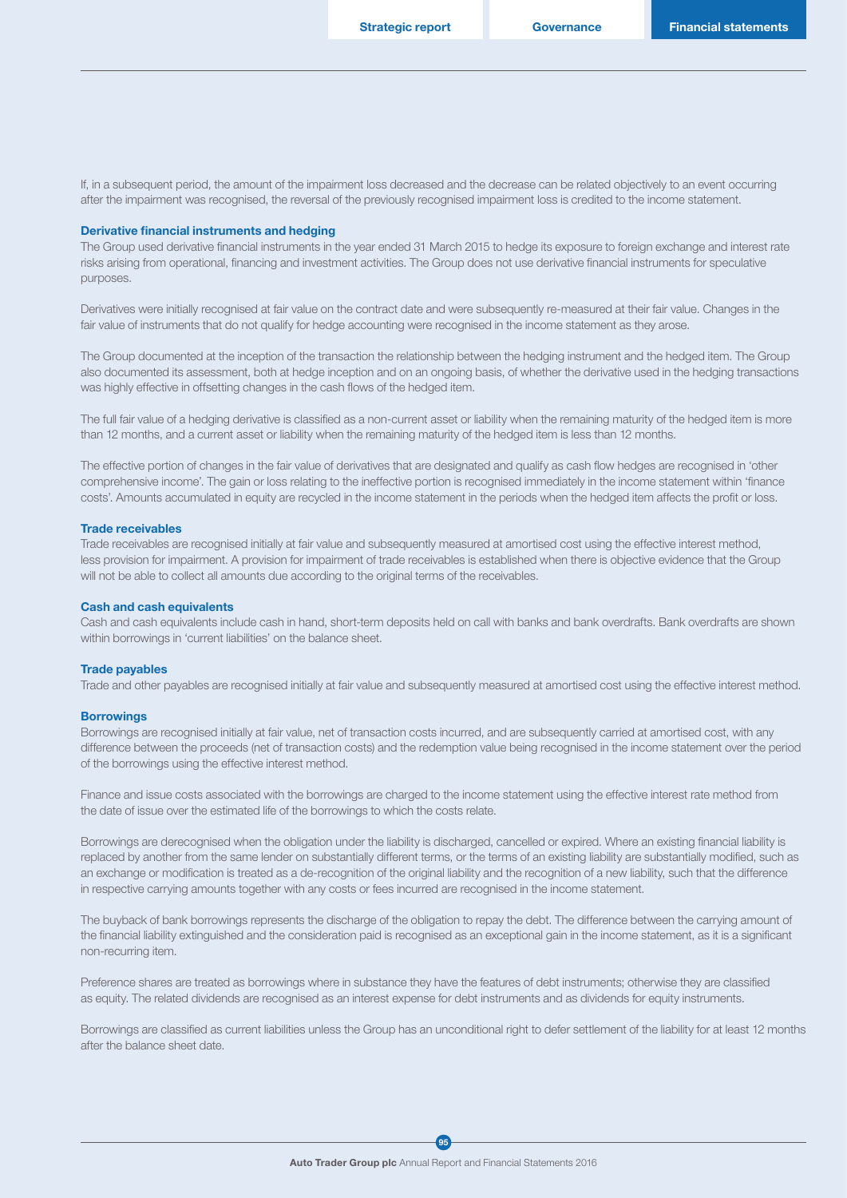If, in a subsequent period, the amount of the impairment loss decreased and the decrease can be related objectively to an event occurring after the impairment was recognised, the reversal of the previously recognised impairment loss is credited to the income statement.

#### Derivative financial instruments and hedging

The Group used derivative financial instruments in the year ended 31 March 2015 to hedge its exposure to foreign exchange and interest rate risks arising from operational, financing and investment activities. The Group does not use derivative financial instruments for speculative purposes.

Derivatives were initially recognised at fair value on the contract date and were subsequently re-measured at their fair value. Changes in the fair value of instruments that do not qualify for hedge accounting were recognised in the income statement as they arose.

The Group documented at the inception of the transaction the relationship between the hedging instrument and the hedged item. The Group also documented its assessment, both at hedge inception and on an ongoing basis, of whether the derivative used in the hedging transactions was highly effective in offsetting changes in the cash flows of the hedged item.

The full fair value of a hedging derivative is classified as a non-current asset or liability when the remaining maturity of the hedged item is more than 12 months, and a current asset or liability when the remaining maturity of the hedged item is less than 12 months.

The effective portion of changes in the fair value of derivatives that are designated and qualify as cash flow hedges are recognised in 'other comprehensive income'. The gain or loss relating to the ineffective portion is recognised immediately in the income statement within 'finance costs'. Amounts accumulated in equity are recycled in the income statement in the periods when the hedged item affects the profit or loss.

#### Trade receivables

Trade receivables are recognised initially at fair value and subsequently measured at amortised cost using the effective interest method. less provision for impairment. A provision for impairment of trade receivables is established when there is objective evidence that the Group will not be able to collect all amounts due according to the original terms of the receivables.

#### Cash and cash equivalents

Cash and cash equivalents include cash in hand, short-term deposits held on call with banks and bank overdrafts. Bank overdrafts are shown within borrowings in 'current liabilities' on the balance sheet.

#### Trade payables

Trade and other payables are recognised initially at fair value and subsequently measured at amortised cost using the effective interest method.

#### **Borrowings**

Borrowings are recognised initially at fair value, net of transaction costs incurred, and are subsequently carried at amortised cost, with any difference between the proceeds (net of transaction costs) and the redemption value being recognised in the income statement over the period of the borrowings using the effective interest method.

Finance and issue costs associated with the borrowings are charged to the income statement using the effective interest rate method from the date of issue over the estimated life of the borrowings to which the costs relate.

Borrowings are derecognised when the obligation under the liability is discharged, cancelled or expired. Where an existing financial liability is replaced by another from the same lender on substantially different terms, or the terms of an existing liability are substantially modified, such as an exchange or modification is treated as a de-recognition of the original liability and the recognition of a new liability, such that the difference in respective carrying amounts together with any costs or fees incurred are recognised in the income statement.

The buyback of bank borrowings represents the discharge of the obligation to repay the debt. The difference between the carrying amount of the financial liability extinguished and the consideration paid is recognised as an exceptional gain in the income statement, as it is a significant non-recurring item.

Preference shares are treated as borrowings where in substance they have the features of debt instruments; otherwise they are classified as equity. The related dividends are recognised as an interest expense for debt instruments and as dividends for equity instruments.

Borrowings are classified as current liabilities unless the Group has an unconditional right to defer settlement of the liability for at least 12 months after the balance sheet date.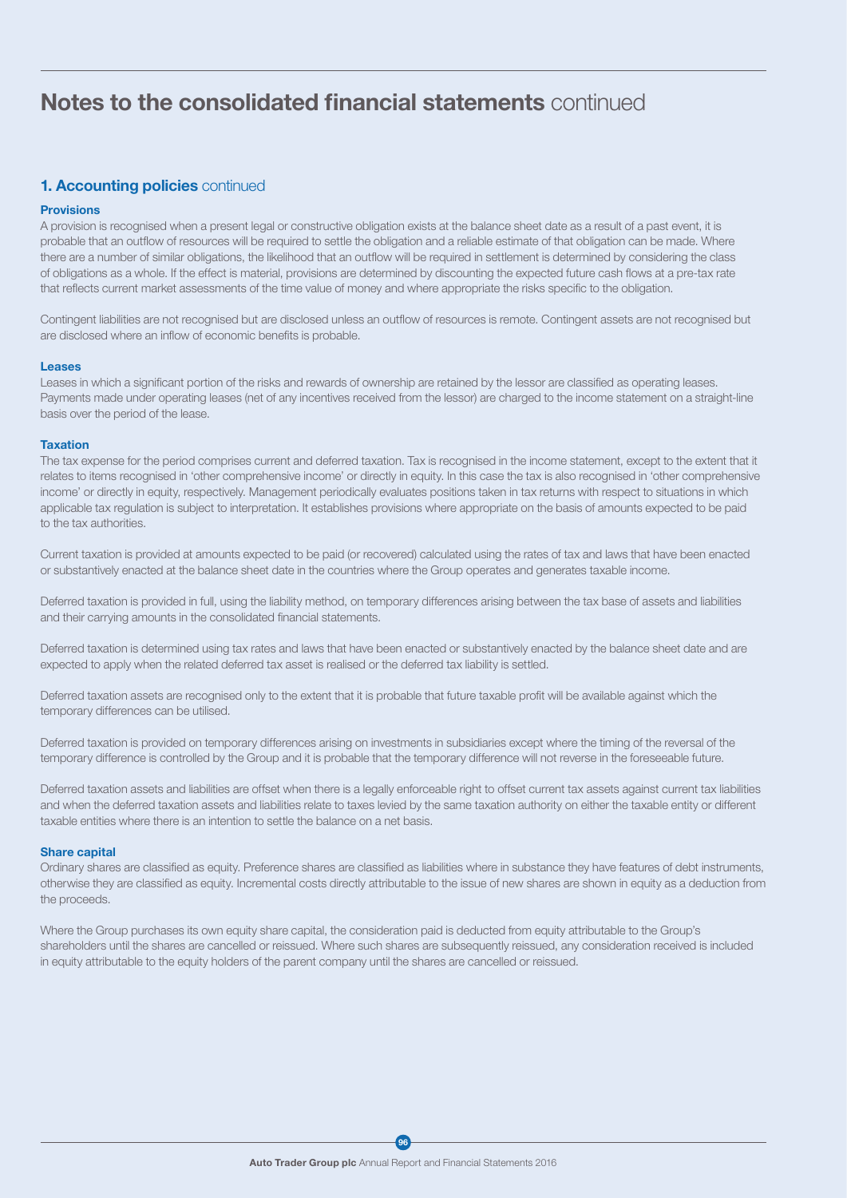## 1. Accounting policies continued

#### **Provisions**

A provision is recognised when a present legal or constructive obligation exists at the balance sheet date as a result of a past event, it is probable that an outflow of resources will be required to settle the obligation and a reliable estimate of that obligation can be made. Where there are a number of similar obligations, the likelihood that an outflow will be required in settlement is determined by considering the class of obligations as a whole. If the effect is material, provisions are determined by discounting the expected future cash flows at a pre-tax rate that reflects current market assessments of the time value of money and where appropriate the risks specific to the obligation.

Contingent liabilities are not recognised but are disclosed unless an outflow of resources is remote. Contingent assets are not recognised but are disclosed where an inflow of economic benefits is probable.

#### Leases

Leases in which a significant portion of the risks and rewards of ownership are retained by the lessor are classified as operating leases. Payments made under operating leases (net of any incentives received from the lessor) are charged to the income statement on a straight-line basis over the period of the lease.

#### Taxation

The tax expense for the period comprises current and deferred taxation. Tax is recognised in the income statement, except to the extent that it relates to items recognised in 'other comprehensive income' or directly in equity. In this case the tax is also recognised in 'other comprehensive income' or directly in equity, respectively. Management periodically evaluates positions taken in tax returns with respect to situations in which applicable tax regulation is subject to interpretation. It establishes provisions where appropriate on the basis of amounts expected to be paid to the tax authorities.

Current taxation is provided at amounts expected to be paid (or recovered) calculated using the rates of tax and laws that have been enacted or substantively enacted at the balance sheet date in the countries where the Group operates and generates taxable income.

Deferred taxation is provided in full, using the liability method, on temporary differences arising between the tax base of assets and liabilities and their carrying amounts in the consolidated financial statements.

Deferred taxation is determined using tax rates and laws that have been enacted or substantively enacted by the balance sheet date and are expected to apply when the related deferred tax asset is realised or the deferred tax liability is settled.

Deferred taxation assets are recognised only to the extent that it is probable that future taxable profit will be available against which the temporary differences can be utilised.

Deferred taxation is provided on temporary differences arising on investments in subsidiaries except where the timing of the reversal of the temporary difference is controlled by the Group and it is probable that the temporary difference will not reverse in the foreseeable future.

Deferred taxation assets and liabilities are offset when there is a legally enforceable right to offset current tax assets against current tax liabilities and when the deferred taxation assets and liabilities relate to taxes levied by the same taxation authority on either the taxable entity or different taxable entities where there is an intention to settle the balance on a net basis.

#### Share capital

Ordinary shares are classified as equity. Preference shares are classified as liabilities where in substance they have features of debt instruments, otherwise they are classified as equity. Incremental costs directly attributable to the issue of new shares are shown in equity as a deduction from the proceeds.

Where the Group purchases its own equity share capital, the consideration paid is deducted from equity attributable to the Group's shareholders until the shares are cancelled or reissued. Where such shares are subsequently reissued, any consideration received is included in equity attributable to the equity holders of the parent company until the shares are cancelled or reissued.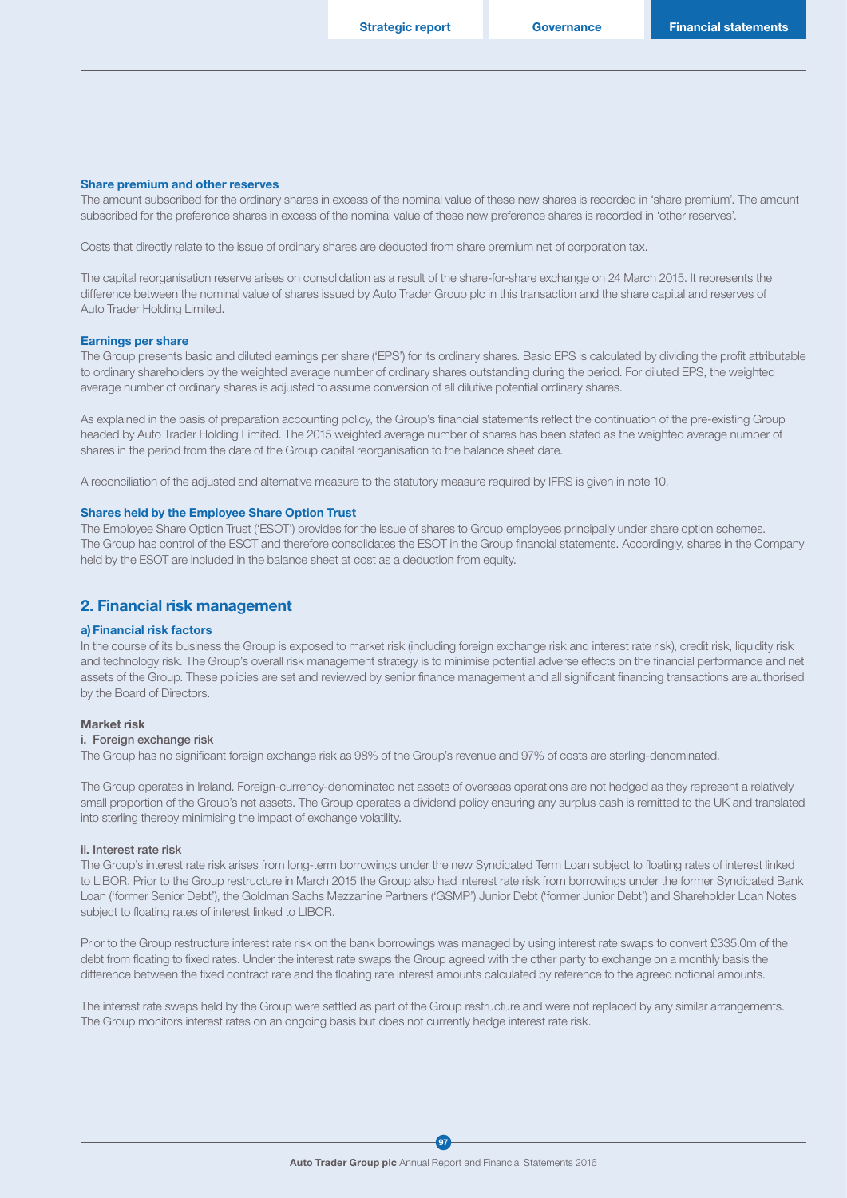#### Share premium and other reserves

The amount subscribed for the ordinary shares in excess of the nominal value of these new shares is recorded in 'share premium'. The amount subscribed for the preference shares in excess of the nominal value of these new preference shares is recorded in 'other reserves'.

Costs that directly relate to the issue of ordinary shares are deducted from share premium net of corporation tax.

The capital reorganisation reserve arises on consolidation as a result of the share-for-share exchange on 24 March 2015. It represents the difference between the nominal value of shares issued by Auto Trader Group plc in this transaction and the share capital and reserves of Auto Trader Holding Limited.

#### Earnings per share

The Group presents basic and diluted earnings per share ('EPS') for its ordinary shares. Basic EPS is calculated by dividing the profit attributable to ordinary shareholders by the weighted average number of ordinary shares outstanding during the period. For diluted EPS, the weighted average number of ordinary shares is adjusted to assume conversion of all dilutive potential ordinary shares.

As explained in the basis of preparation accounting policy, the Group's financial statements reflect the continuation of the pre-existing Group headed by Auto Trader Holding Limited. The 2015 weighted average number of shares has been stated as the weighted average number of shares in the period from the date of the Group capital reorganisation to the balance sheet date.

A reconciliation of the adjusted and alternative measure to the statutory measure required by IFRS is given in note 10.

#### Shares held by the Employee Share Option Trust

The Employee Share Option Trust ('ESOT') provides for the issue of shares to Group employees principally under share option schemes. The Group has control of the ESOT and therefore consolidates the ESOT in the Group financial statements. Accordingly, shares in the Company held by the ESOT are included in the balance sheet at cost as a deduction from equity.

### 2. Financial risk management

#### a)Financial risk factors

In the course of its business the Group is exposed to market risk (including foreign exchange risk and interest rate risk), credit risk, liquidity risk and technology risk. The Group's overall risk management strategy is to minimise potential adverse effects on the financial performance and net assets of the Group. These policies are set and reviewed by senior finance management and all significant financing transactions are authorised by the Board of Directors.

#### Market risk

#### i. Foreign exchange risk

The Group has no significant foreign exchange risk as 98% of the Group's revenue and 97% of costs are sterling-denominated.

The Group operates in Ireland. Foreign-currency-denominated net assets of overseas operations are not hedged as they represent a relatively small proportion of the Group's net assets. The Group operates a dividend policy ensuring any surplus cash is remitted to the UK and translated into sterling thereby minimising the impact of exchange volatility.

#### ii. Interest rate risk

The Group's interest rate risk arises from long-term borrowings under the new Syndicated Term Loan subject to floating rates of interest linked to LIBOR. Prior to the Group restructure in March 2015 the Group also had interest rate risk from borrowings under the former Syndicated Bank Loan ('former Senior Debt'), the Goldman Sachs Mezzanine Partners ('GSMP') Junior Debt ('former Junior Debt') and Shareholder Loan Notes subject to floating rates of interest linked to LIBOR.

Prior to the Group restructure interest rate risk on the bank borrowings was managed by using interest rate swaps to convert £335.0m of the debt from floating to fixed rates. Under the interest rate swaps the Group agreed with the other party to exchange on a monthly basis the difference between the fixed contract rate and the floating rate interest amounts calculated by reference to the agreed notional amounts.

The interest rate swaps held by the Group were settled as part of the Group restructure and were not replaced by any similar arrangements. The Group monitors interest rates on an ongoing basis but does not currently hedge interest rate risk.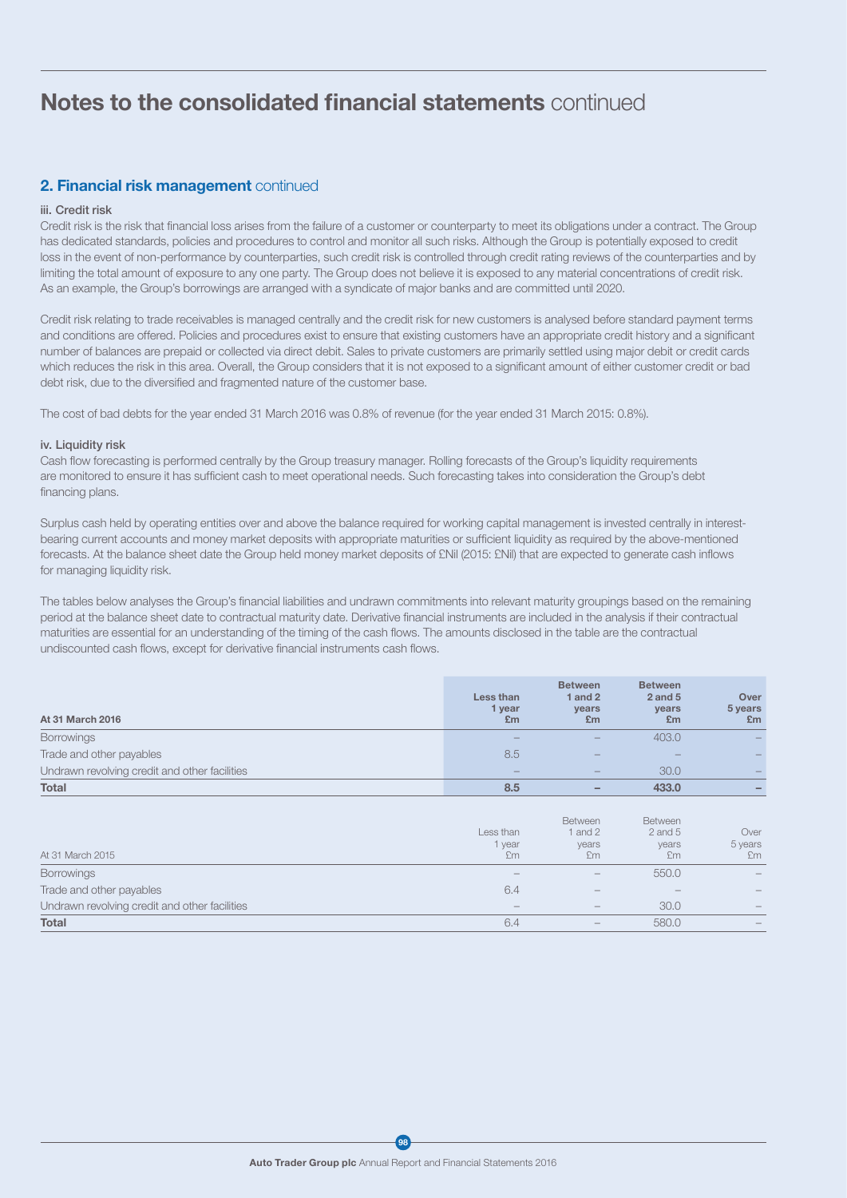## 2. Financial risk management continued

#### iii. Credit risk

Credit risk is the risk that financial loss arises from the failure of a customer or counterparty to meet its obligations under a contract. The Group has dedicated standards, policies and procedures to control and monitor all such risks. Although the Group is potentially exposed to credit loss in the event of non-performance by counterparties, such credit risk is controlled through credit rating reviews of the counterparties and by limiting the total amount of exposure to any one party. The Group does not believe it is exposed to any material concentrations of credit risk. As an example, the Group's borrowings are arranged with a syndicate of major banks and are committed until 2020.

Credit risk relating to trade receivables is managed centrally and the credit risk for new customers is analysed before standard payment terms and conditions are offered. Policies and procedures exist to ensure that existing customers have an appropriate credit history and a significant number of balances are prepaid or collected via direct debit. Sales to private customers are primarily settled using major debit or credit cards which reduces the risk in this area. Overall, the Group considers that it is not exposed to a significant amount of either customer credit or bad debt risk, due to the diversified and fragmented nature of the customer base.

The cost of bad debts for the year ended 31 March 2016 was 0.8% of revenue (for the year ended 31 March 2015: 0.8%).

#### iv. Liquidity risk

Cash flow forecasting is performed centrally by the Group treasury manager. Rolling forecasts of the Group's liquidity requirements are monitored to ensure it has sufficient cash to meet operational needs. Such forecasting takes into consideration the Group's debt financing plans.

Surplus cash held by operating entities over and above the balance required for working capital management is invested centrally in interestbearing current accounts and money market deposits with appropriate maturities or sufficient liquidity as required by the above-mentioned forecasts. At the balance sheet date the Group held money market deposits of £Nil (2015: £Nil) that are expected to generate cash inflows for managing liquidity risk.

The tables below analyses the Group's financial liabilities and undrawn commitments into relevant maturity groupings based on the remaining period at the balance sheet date to contractual maturity date. Derivative financial instruments are included in the analysis if their contractual maturities are essential for an understanding of the timing of the cash flows. The amounts disclosed in the table are the contractual undiscounted cash flows, except for derivative financial instruments cash flows.

| At 31 March 2016                              | Less than<br>1 vear<br>E <sub>m</sub> | <b>Between</b><br>1 and $2$<br>years<br>£m | <b>Between</b><br>$2$ and $5$<br>years<br>£m | Over<br>5 years<br>£m |
|-----------------------------------------------|---------------------------------------|--------------------------------------------|----------------------------------------------|-----------------------|
| <b>Borrowings</b>                             | $\overline{\phantom{a}}$              | $\qquad \qquad -$                          | 403.0                                        |                       |
| Trade and other payables                      | 8.5                                   | $-$                                        | $\qquad \qquad -$                            |                       |
| Undrawn revolving credit and other facilities | $\overline{\phantom{a}}$              | $\sim$                                     | 30.0                                         |                       |
| <b>Total</b>                                  | 8.5                                   | $\overline{\phantom{a}}$                   | 433.0                                        |                       |

| At 31 March 2015                              | Less than<br>1 year<br>£m | <b>Between</b><br>and 2<br>years<br>£m | <b>Between</b><br>$2$ and $5$<br>years<br>£m | Over<br>5 years<br>£m           |
|-----------------------------------------------|---------------------------|----------------------------------------|----------------------------------------------|---------------------------------|
| <b>Borrowings</b>                             | $\sim$                    | $\hspace{0.1mm}-\hspace{0.1mm}$        | 550.0                                        | $\hspace{0.1mm}-\hspace{0.1mm}$ |
| Trade and other payables                      | 6.4                       | $\hspace{0.1mm}-\hspace{0.1mm}$        | $\sim$                                       |                                 |
| Undrawn revolving credit and other facilities | $-$                       | $\overline{\phantom{a}}$               | 30.0                                         | $\overline{\phantom{a}}$        |
| Total                                         | 6.4                       | $\overline{\phantom{a}}$               | 580.0                                        |                                 |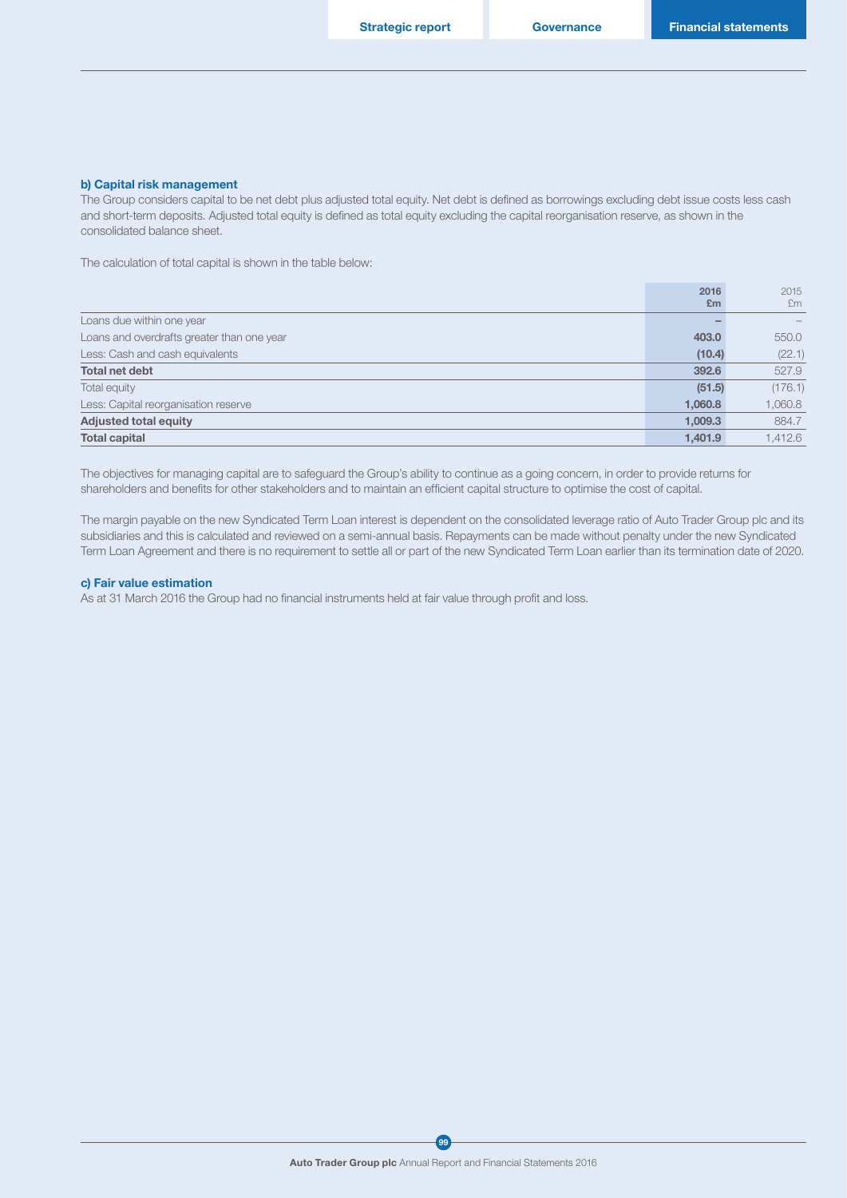#### b) Capital risk management

The Group considers capital to be net debt plus adjusted total equity. Net debt is defined as borrowings excluding debt issue costs less cash and short-term deposits. Adjusted total equity is defined as total equity excluding the capital reorganisation reserve, as shown in the consolidated balance sheet.

The calculation of total capital is shown in the table below:

|                                            | 2016    | 2015    |
|--------------------------------------------|---------|---------|
|                                            | Em      | £m      |
| Loans due within one year                  |         |         |
| Loans and overdrafts greater than one year | 403.0   | 550.0   |
| Less: Cash and cash equivalents            | (10.4)  | (22.1)  |
| Total net debt                             | 392.6   | 527.9   |
| Total equity                               | (51.5)  | (176.1) |
| Less: Capital reorganisation reserve       | 1.060.8 | 1,060.8 |
| <b>Adjusted total equity</b>               | 1.009.3 | 884.7   |
| <b>Total capital</b>                       | 1,401.9 | 1,412.6 |

The objectives for managing capital are to safeguard the Group's ability to continue as a going concern, in order to provide returns for shareholders and benefits for other stakeholders and to maintain an efficient capital structure to optimise the cost of capital.

The margin payable on the new Syndicated Term Loan interest is dependent on the consolidated leverage ratio of Auto Trader Group plc and its subsidiaries and this is calculated and reviewed on a semi-annual basis. Repayments can be made without penalty under the new Syndicated Term Loan Agreement and there is no requirement to settle all or part of the new Syndicated Term Loan earlier than its termination date of 2020.

#### c) Fair value estimation

As at 31 March 2016 the Group had no financial instruments held at fair value through profit and loss.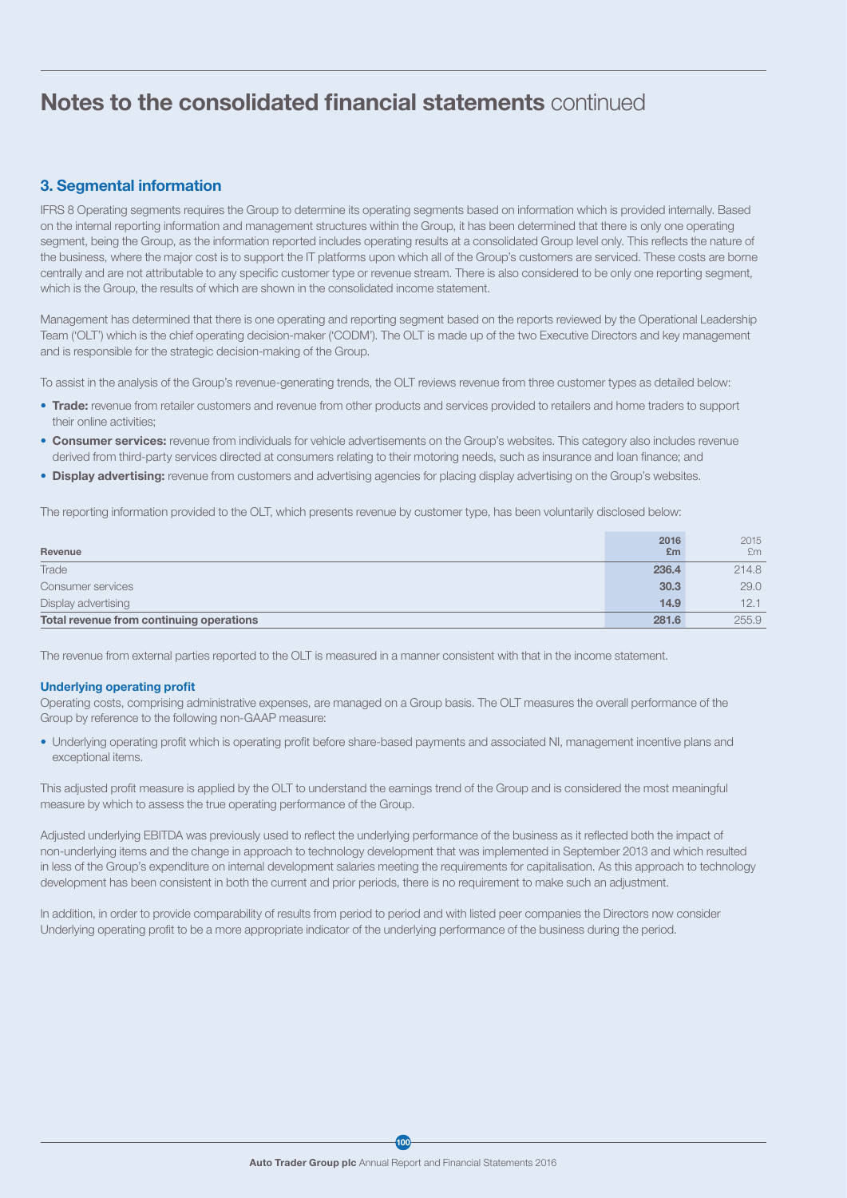## 3. Segmental information

IFRS 8 Operating segments requires the Group to determine its operating segments based on information which is provided internally. Based on the internal reporting information and management structures within the Group, it has been determined that there is only one operating segment, being the Group, as the information reported includes operating results at a consolidated Group level only. This reflects the nature of the business, where the major cost is to support the IT platforms upon which all of the Group's customers are serviced. These costs are borne centrally and are not attributable to any specific customer type or revenue stream. There is also considered to be only one reporting segment, which is the Group, the results of which are shown in the consolidated income statement.

Management has determined that there is one operating and reporting segment based on the reports reviewed by the Operational Leadership Team ('OLT') which is the chief operating decision-maker ('CODM'). The OLT is made up of the two Executive Directors and key management and is responsible for the strategic decision-making of the Group.

To assist in the analysis of the Group's revenue-generating trends, the OLT reviews revenue from three customer types as detailed below:

- Trade: revenue from retailer customers and revenue from other products and services provided to retailers and home traders to support their online activities;
- Consumer services: revenue from individuals for vehicle advertisements on the Group's websites. This category also includes revenue derived from third-party services directed at consumers relating to their motoring needs, such as insurance and loan finance; and
- Display advertising: revenue from customers and advertising agencies for placing display advertising on the Group's websites.

The reporting information provided to the OLT, which presents revenue by customer type, has been voluntarily disclosed below:

| Revenue                                  | 2016<br>£m | 2015<br>£m |
|------------------------------------------|------------|------------|
| Trade                                    | 236.4      | 214.8      |
| Consumer services                        | 30.3       | 29.0       |
| Display advertising                      | 14.9       | 12.1       |
| Total revenue from continuing operations | 281.6      | 255.9      |

The revenue from external parties reported to the OLT is measured in a manner consistent with that in the income statement.

#### Underlying operating profit

Operating costs, comprising administrative expenses, are managed on a Group basis. The OLT measures the overall performance of the Group by reference to the following non-GAAP measure:

• Underlying operating profit which is operating profit before share-based payments and associated NI, management incentive plans and exceptional items.

This adjusted profit measure is applied by the OLT to understand the earnings trend of the Group and is considered the most meaningful measure by which to assess the true operating performance of the Group.

Adjusted underlying EBITDA was previously used to reflect the underlying performance of the business as it reflected both the impact of non-underlying items and the change in approach to technology development that was implemented in September 2013 and which resulted in less of the Group's expenditure on internal development salaries meeting the requirements for capitalisation. As this approach to technology development has been consistent in both the current and prior periods, there is no requirement to make such an adjustment.

In addition, in order to provide comparability of results from period to period and with listed peer companies the Directors now consider Underlying operating profit to be a more appropriate indicator of the underlying performance of the business during the period.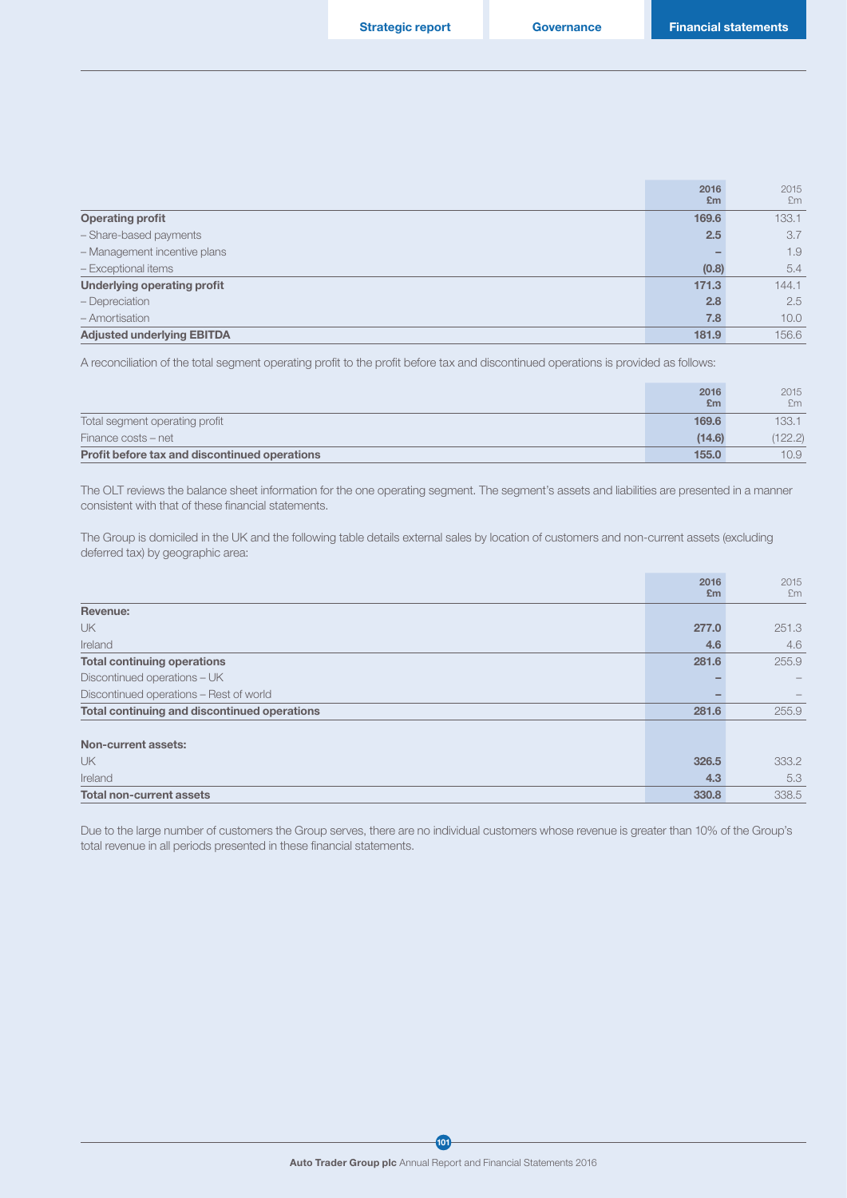|                                    | 2016  | 2015  |
|------------------------------------|-------|-------|
|                                    | Em    | £m    |
| <b>Operating profit</b>            | 169.6 | 133.1 |
| - Share-based payments             | 2.5   | 3.7   |
| - Management incentive plans       |       | 1.9   |
| - Exceptional items                | (0.8) | 5.4   |
| <b>Underlying operating profit</b> | 171.3 | 144.1 |
| - Depreciation                     | 2.8   | 2.5   |
| - Amortisation                     | 7.8   | 10.0  |
| <b>Adjusted underlying EBITDA</b>  | 181.9 | 156.6 |

A reconciliation of the total segment operating profit to the profit before tax and discontinued operations is provided as follows:

|                                               | 2016<br>Em | 2015<br>£m        |
|-----------------------------------------------|------------|-------------------|
| Total segment operating profit                | 169.6      | 133.1             |
| Finance costs – net                           | (14.6)     | (122.2)           |
| Profit before tax and discontinued operations | 155.0      | 10.9 <sub>1</sub> |

The OLT reviews the balance sheet information for the one operating segment. The segment's assets and liabilities are presented in a manner consistent with that of these financial statements.

The Group is domiciled in the UK and the following table details external sales by location of customers and non-current assets (excluding deferred tax) by geographic area:

|                                              | 2016<br>E <sub>m</sub> | 2015<br>£m               |
|----------------------------------------------|------------------------|--------------------------|
| Revenue:                                     |                        |                          |
| <b>UK</b>                                    | 277.0                  | 251.3                    |
| Ireland                                      | 4.6                    | 4.6                      |
| <b>Total continuing operations</b>           | 281.6                  | 255.9                    |
| Discontinued operations - UK                 |                        | $\overline{\phantom{0}}$ |
| Discontinued operations - Rest of world      |                        |                          |
| Total continuing and discontinued operations | 281.6                  | 255.9                    |
| Non-current assets:                          |                        |                          |
| <b>UK</b>                                    | 326.5                  | 333.2                    |
| Ireland                                      | 4.3                    | 5.3                      |
| <b>Total non-current assets</b>              | 330.8                  | 338.5                    |

Due to the large number of customers the Group serves, there are no individual customers whose revenue is greater than 10% of the Group's total revenue in all periods presented in these financial statements.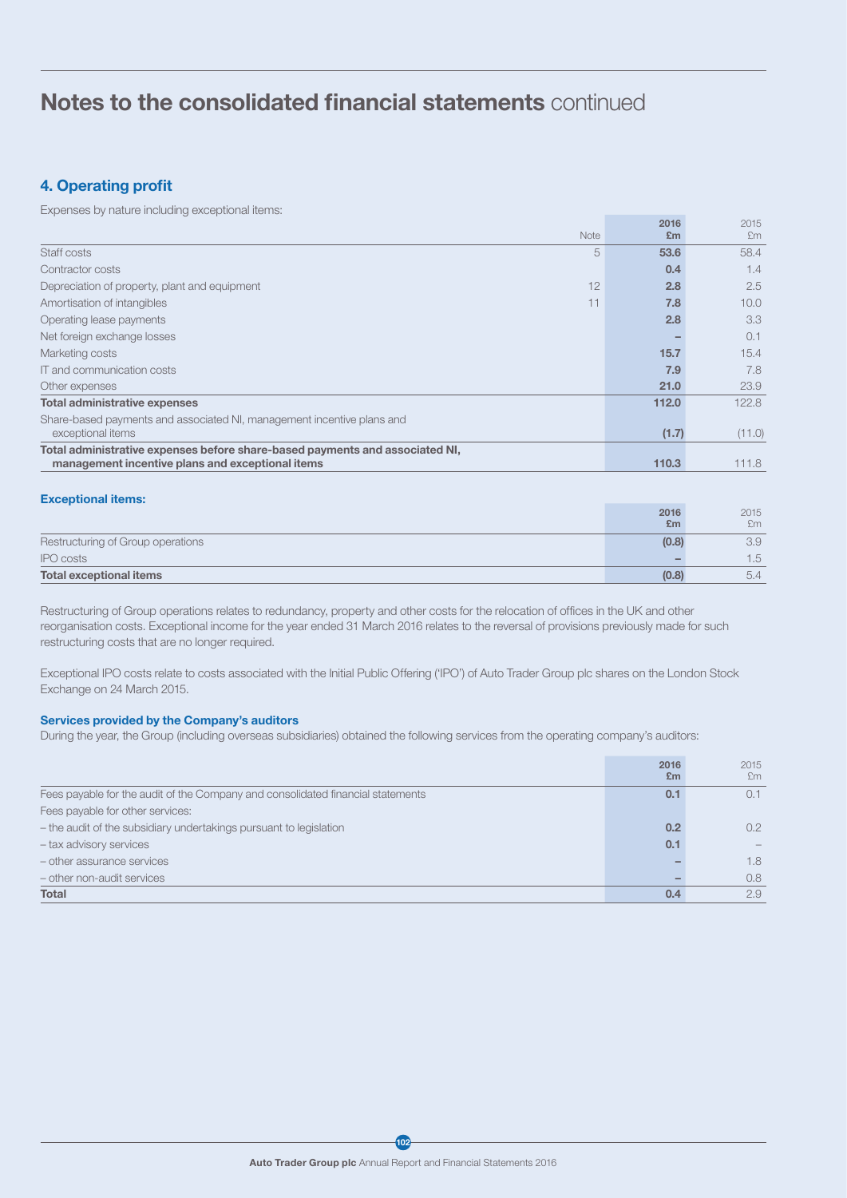## 4. Operating profit

Expenses by nature including exceptional items:

|                                                                              | 2016      | 2015   |
|------------------------------------------------------------------------------|-----------|--------|
| <b>Note</b>                                                                  | Em        | £m     |
| Staff costs                                                                  | 5<br>53.6 | 58.4   |
| Contractor costs                                                             | 0.4       | 1.4    |
| 12<br>Depreciation of property, plant and equipment                          | 2.8       | 2.5    |
| 11<br>Amortisation of intangibles                                            | 7.8       | 10.0   |
| Operating lease payments                                                     | 2.8       | 3.3    |
| Net foreign exchange losses                                                  |           | 0.1    |
| Marketing costs                                                              | 15.7      | 15.4   |
| IT and communication costs                                                   | 7.9       | 7.8    |
| Other expenses                                                               | 21.0      | 23.9   |
| <b>Total administrative expenses</b>                                         | 112.0     | 122.8  |
| Share-based payments and associated NI, management incentive plans and       |           |        |
| exceptional items                                                            | (1.7)     | (11.0) |
| Total administrative expenses before share-based payments and associated NI, |           |        |
| management incentive plans and exceptional items                             | 110.3     | 111.8  |

#### Exceptional items:

|                                   | 2016  | 2015 |
|-----------------------------------|-------|------|
|                                   | £m    | £m   |
| Restructuring of Group operations | (0.8) | 3.9  |
| <b>IPO</b> costs                  |       | 1.5  |
| <b>Total exceptional items</b>    | (0.8) | 5.4  |

Restructuring of Group operations relates to redundancy, property and other costs for the relocation of offices in the UK and other reorganisation costs. Exceptional income for the year ended 31 March 2016 relates to the reversal of provisions previously made for such restructuring costs that are no longer required.

Exceptional IPO costs relate to costs associated with the Initial Public Offering ('IPO') of Auto Trader Group plc shares on the London Stock Exchange on 24 March 2015.

## Services provided by the Company's auditors

During the year, the Group (including overseas subsidiaries) obtained the following services from the operating company's auditors:

|                                                                                 | 2016<br>E <sub>m</sub> | 2015<br>£m       |
|---------------------------------------------------------------------------------|------------------------|------------------|
| Fees payable for the audit of the Company and consolidated financial statements | 0.1                    |                  |
| Fees payable for other services:                                                |                        |                  |
| - the audit of the subsidiary undertakings pursuant to legislation              | 0.2                    | $0.2^{\circ}$    |
| - tax advisory services                                                         | 0.1                    |                  |
| - other assurance services                                                      |                        | 1.8              |
| - other non-audit services                                                      |                        | 0.8 <sub>0</sub> |
| <b>Total</b>                                                                    | 0.4                    | 2.9              |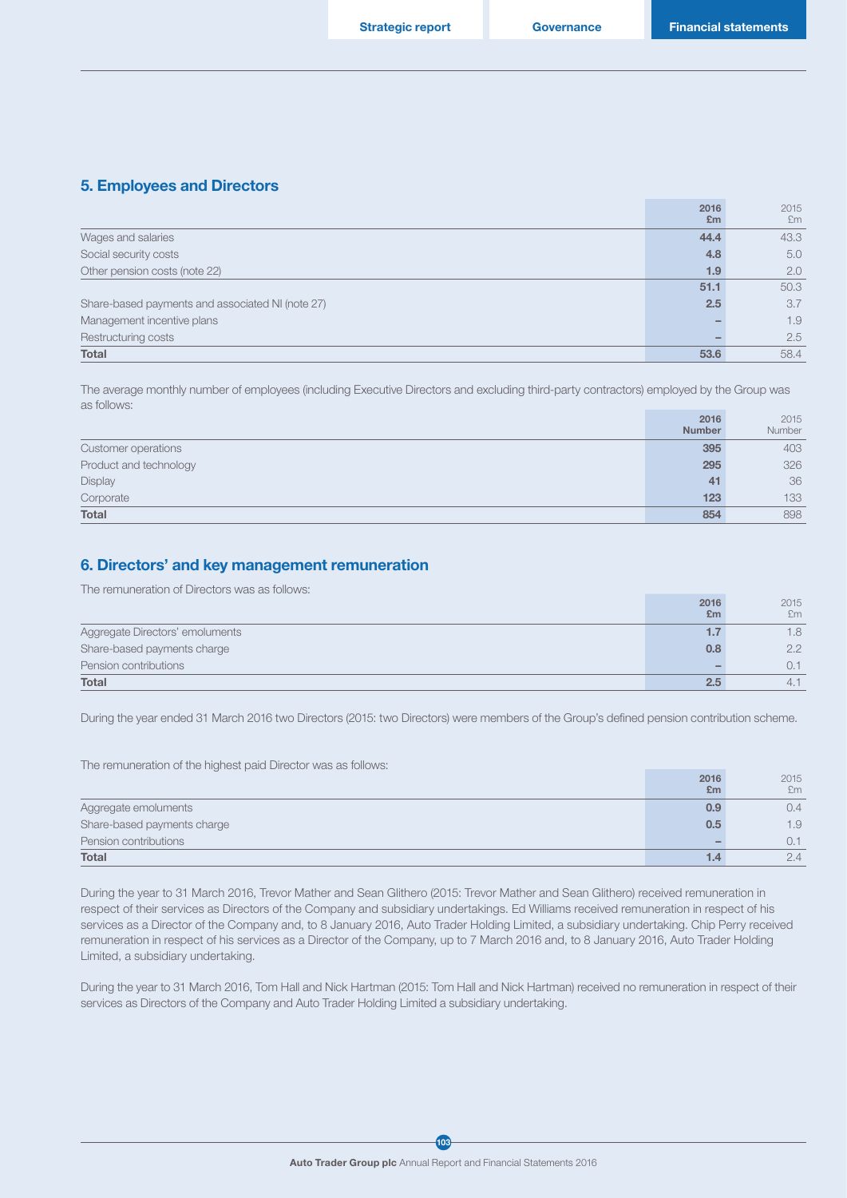### 5. Employees and Directors

|                                                  | 2016<br>Em | 2015<br>Em |
|--------------------------------------------------|------------|------------|
| Wages and salaries                               | 44.4       | 43.3       |
| Social security costs                            | 4.8        | 5.0        |
| Other pension costs (note 22)                    | 1.9        | 2.0        |
|                                                  | 51.1       | 50.3       |
| Share-based payments and associated NI (note 27) | 2.5        | 3.7        |
| Management incentive plans                       |            | 1.9        |
| Restructuring costs                              |            | 2.5        |
| <b>Total</b>                                     | 53.6       | 58.4       |

The average monthly number of employees (including Executive Directors and excluding third-party contractors) employed by the Group was as follows:

|                        | 2016          | 2015   |
|------------------------|---------------|--------|
|                        | <b>Number</b> | Number |
| Customer operations    | 395           | 403    |
| Product and technology | 295           | 326    |
| Display                | 41            | 36     |
| Corporate              | 123           | 133    |
| <b>Total</b>           | 854           | 898    |

## 6. Directors' and key management remuneration

The remuneration of Directors was as follows:

|                                 | 2016 | 2015          |
|---------------------------------|------|---------------|
|                                 | Em   | £m            |
| Aggregate Directors' emoluments | . .  | 1.8           |
| Share-based payments charge     | 0.8  | $2.2^{\circ}$ |
| Pension contributions           |      | 0.1           |
| Total                           |      | 4.1           |

During the year ended 31 March 2016 two Directors (2015: two Directors) were members of the Group's defined pension contribution scheme.

The remuneration of the highest paid Director was as follows:

|                             | 2016 | 2015          |
|-----------------------------|------|---------------|
|                             | Em   | £m            |
| Aggregate emoluments        | 0.9  | $0.4^{\circ}$ |
| Share-based payments charge | 0.5  | 1.9           |
| Pension contributions       |      | 0.1           |
| <b>Total</b>                |      | 2.4           |

During the year to 31 March 2016, Trevor Mather and Sean Glithero (2015: Trevor Mather and Sean Glithero) received remuneration in respect of their services as Directors of the Company and subsidiary undertakings. Ed Williams received remuneration in respect of his services as a Director of the Company and, to 8 January 2016, Auto Trader Holding Limited, a subsidiary undertaking. Chip Perry received remuneration in respect of his services as a Director of the Company, up to 7 March 2016 and, to 8 January 2016, Auto Trader Holding Limited, a subsidiary undertaking.

During the year to 31 March 2016, Tom Hall and Nick Hartman (2015: Tom Hall and Nick Hartman) received no remuneration in respect of their services as Directors of the Company and Auto Trader Holding Limited a subsidiary undertaking.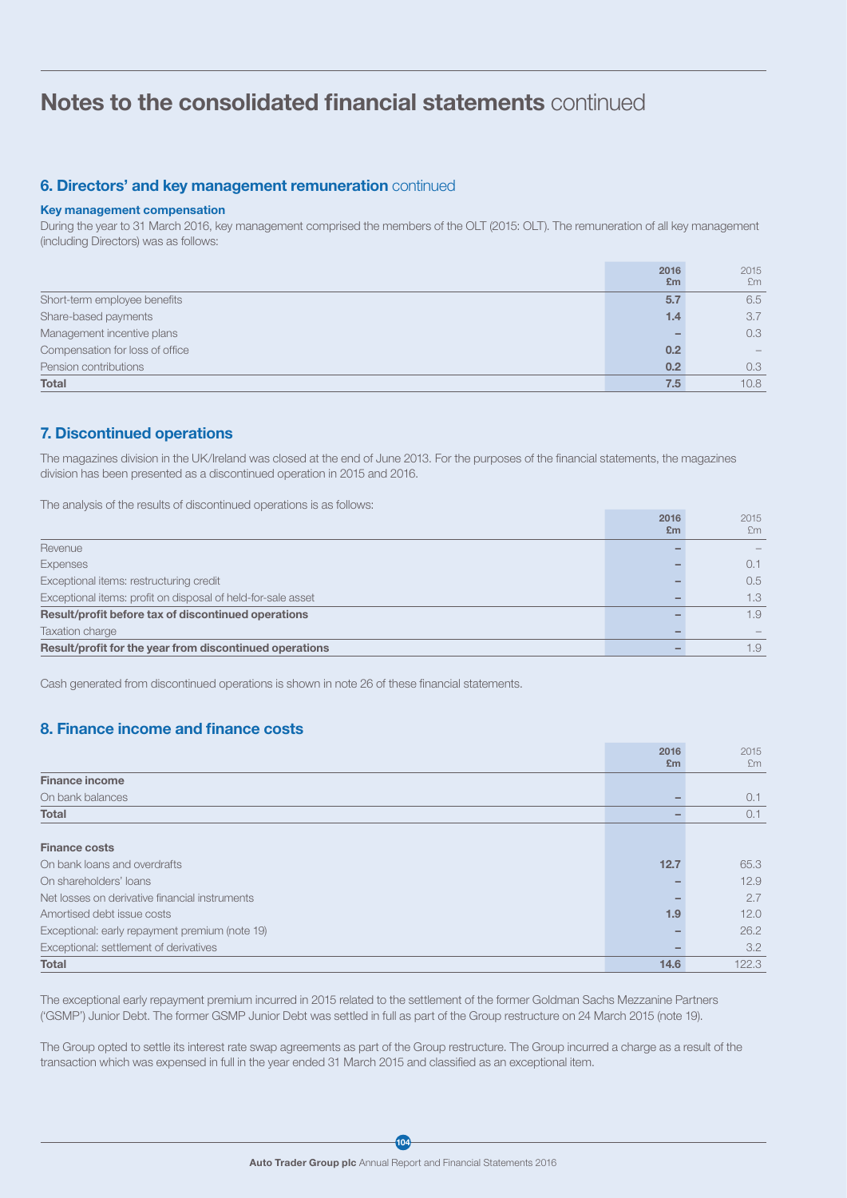### **6. Directors' and key management remuneration continued**

### Key management compensation

During the year to 31 March 2016, key management comprised the members of the OLT (2015: OLT). The remuneration of all key management (including Directors) was as follows:

|                                 | 2016<br>Em | 2015<br>Em |
|---------------------------------|------------|------------|
| Short-term employee benefits    | 5.7        | 6.5        |
| Share-based payments            | 1.4        | 3.7        |
| Management incentive plans      |            | 0.3        |
| Compensation for loss of office | 0.2        |            |
| Pension contributions           | 0.2        | 0.3        |
| <b>Total</b>                    | 7.5        | 10.8       |

## 7. Discontinued operations

The magazines division in the UK/Ireland was closed at the end of June 2013. For the purposes of the financial statements, the magazines division has been presented as a discontinued operation in 2015 and 2016.

The analysis of the results of discontinued operations is as follows:

|                                                              | 2016<br>Em | 2015<br>£m |
|--------------------------------------------------------------|------------|------------|
| Revenue                                                      |            |            |
| Expenses                                                     |            | 0.1        |
| Exceptional items: restructuring credit                      |            | 0.5        |
| Exceptional items: profit on disposal of held-for-sale asset |            | 1.3        |
| Result/profit before tax of discontinued operations          |            | 1.9        |
| Taxation charge                                              |            |            |
| Result/profit for the year from discontinued operations      |            | 1.9        |

Cash generated from discontinued operations is shown in note 26 of these financial statements.

## 8. Finance income and finance costs

|                                                | 2016 | 2015  |
|------------------------------------------------|------|-------|
|                                                | Em   | Em    |
| <b>Finance income</b>                          |      |       |
| On bank balances                               |      | 0.1   |
| Total                                          |      | 0.1   |
|                                                |      |       |
| <b>Finance costs</b>                           |      |       |
| On bank loans and overdrafts                   | 12.7 | 65.3  |
| On shareholders' loans                         |      | 12.9  |
| Net losses on derivative financial instruments |      | 2.7   |
| Amortised debt issue costs                     | 1.9  | 12.0  |
| Exceptional: early repayment premium (note 19) |      | 26.2  |
| Exceptional: settlement of derivatives         |      | 3.2   |
| <b>Total</b>                                   | 14.6 | 122.3 |

The exceptional early repayment premium incurred in 2015 related to the settlement of the former Goldman Sachs Mezzanine Partners ('GSMP') Junior Debt. The former GSMP Junior Debt was settled in full as part of the Group restructure on 24 March 2015 (note 19).

The Group opted to settle its interest rate swap agreements as part of the Group restructure. The Group incurred a charge as a result of the transaction which was expensed in full in the year ended 31 March 2015 and classified as an exceptional item.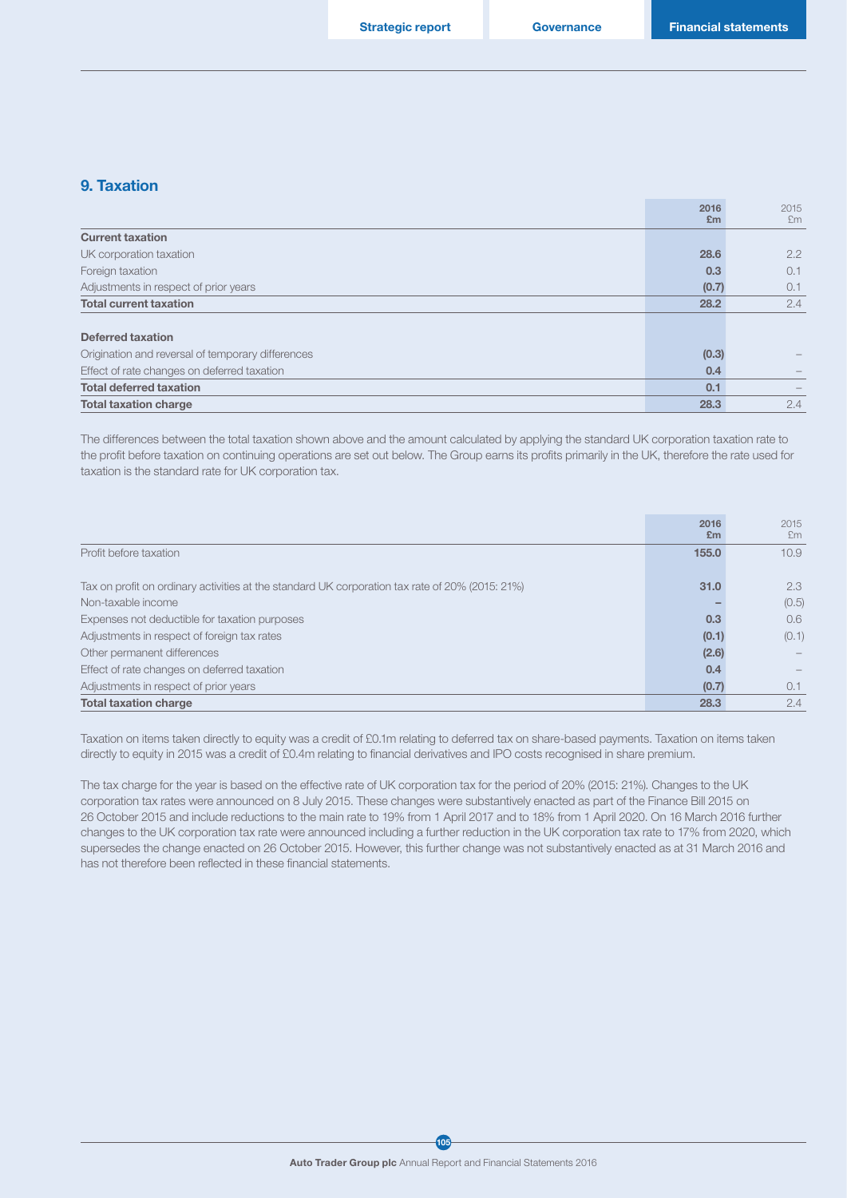## 9. Taxation

|                                                   | 2016<br>Em | 2015<br>Em |
|---------------------------------------------------|------------|------------|
| <b>Current taxation</b>                           |            |            |
| UK corporation taxation                           | 28.6       | 2.2        |
| Foreign taxation                                  | 0.3        | 0.1        |
| Adjustments in respect of prior years             | (0.7)      | 0.1        |
| <b>Total current taxation</b>                     | 28.2       | 2.4        |
|                                                   |            |            |
| Deferred taxation                                 |            |            |
| Origination and reversal of temporary differences | (0.3)      |            |
| Effect of rate changes on deferred taxation       | 0.4        |            |
| <b>Total deferred taxation</b>                    | 0.1        |            |
| <b>Total taxation charge</b>                      | 28.3       | 2.4        |

The differences between the total taxation shown above and the amount calculated by applying the standard UK corporation taxation rate to the profit before taxation on continuing operations are set out below. The Group earns its profits primarily in the UK, therefore the rate used for taxation is the standard rate for UK corporation tax.

|                                                                                                 | 2016<br>Em | 2015<br>£m    |
|-------------------------------------------------------------------------------------------------|------------|---------------|
| Profit before taxation                                                                          | 155.0      | 10.9          |
| Tax on profit on ordinary activities at the standard UK corporation tax rate of 20% (2015: 21%) | 31.0       | 2.3           |
| Non-taxable income                                                                              |            | (0.5)         |
| Expenses not deductible for taxation purposes                                                   | 0.3        | $0.6^{\circ}$ |
| Adjustments in respect of foreign tax rates                                                     | (0.1)      | (0.1)         |
| Other permanent differences                                                                     | (2.6)      |               |
| Effect of rate changes on deferred taxation                                                     | 0.4        |               |
| Adjustments in respect of prior years                                                           | (0.7)      | 0.1           |
| <b>Total taxation charge</b>                                                                    | 28.3       | 2.4           |

Taxation on items taken directly to equity was a credit of £0.1m relating to deferred tax on share-based payments. Taxation on items taken directly to equity in 2015 was a credit of £0.4m relating to financial derivatives and IPO costs recognised in share premium.

The tax charge for the year is based on the effective rate of UK corporation tax for the period of 20% (2015: 21%). Changes to the UK corporation tax rates were announced on 8 July 2015. These changes were substantively enacted as part of the Finance Bill 2015 on 26 October 2015 and include reductions to the main rate to 19% from 1 April 2017 and to 18% from 1 April 2020. On 16 March 2016 further changes to the UK corporation tax rate were announced including a further reduction in the UK corporation tax rate to 17% from 2020, which supersedes the change enacted on 26 October 2015. However, this further change was not substantively enacted as at 31 March 2016 and has not therefore been reflected in these financial statements.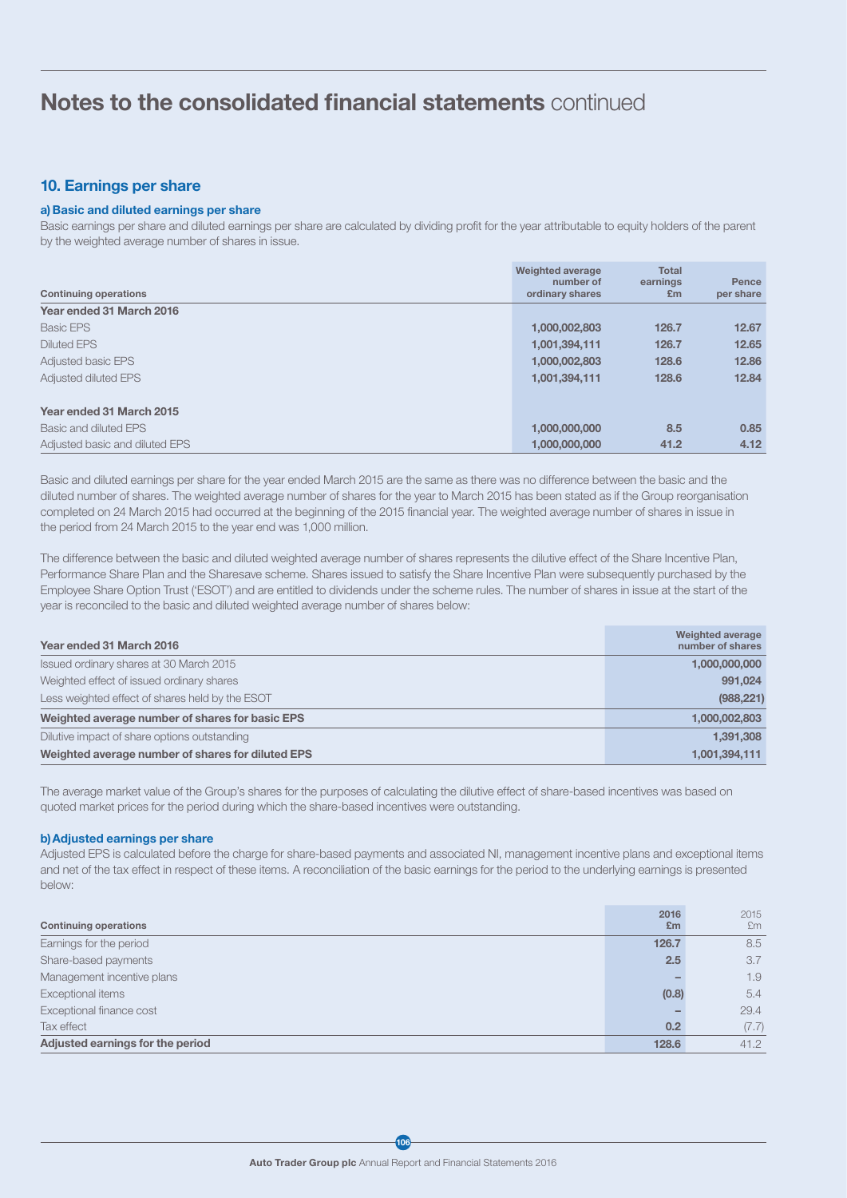## 10. Earnings per share

### a) Basic and diluted earnings per share

Basic earnings per share and diluted earnings per share are calculated by dividing profit for the year attributable to equity holders of the parent by the weighted average number of shares in issue.

| <b>Continuing operations</b>   | <b>Weighted average</b><br>number of<br>ordinary shares | <b>Total</b><br>earnings<br>Em | Pence<br>per share |
|--------------------------------|---------------------------------------------------------|--------------------------------|--------------------|
| Year ended 31 March 2016       |                                                         |                                |                    |
| <b>Basic EPS</b>               | 1,000,002,803                                           | 126.7                          | 12.67              |
| <b>Diluted EPS</b>             | 1,001,394,111                                           | 126.7                          | 12.65              |
| <b>Adjusted basic EPS</b>      | 1,000,002,803                                           | 128.6                          | 12.86              |
| Adjusted diluted EPS           | 1,001,394,111                                           | 128.6                          | 12.84              |
| Year ended 31 March 2015       |                                                         |                                |                    |
| Basic and diluted EPS          | 1,000,000,000                                           | 8.5                            | 0.85               |
| Adjusted basic and diluted EPS | 1.000.000.000                                           | 41.2                           | 4.12               |

Basic and diluted earnings per share for the year ended March 2015 are the same as there was no difference between the basic and the diluted number of shares. The weighted average number of shares for the year to March 2015 has been stated as if the Group reorganisation completed on 24 March 2015 had occurred at the beginning of the 2015 financial year. The weighted average number of shares in issue in the period from 24 March 2015 to the year end was 1,000 million.

The difference between the basic and diluted weighted average number of shares represents the dilutive effect of the Share Incentive Plan, Performance Share Plan and the Sharesave scheme. Shares issued to satisfy the Share Incentive Plan were subsequently purchased by the Employee Share Option Trust ('ESOT') and are entitled to dividends under the scheme rules. The number of shares in issue at the start of the year is reconciled to the basic and diluted weighted average number of shares below:

| Year ended 31 March 2016                          | Weighted average<br>number of shares |
|---------------------------------------------------|--------------------------------------|
| Issued ordinary shares at 30 March 2015           | 1,000,000,000                        |
| Weighted effect of issued ordinary shares         | 991,024                              |
| Less weighted effect of shares held by the ESOT   | (988, 221)                           |
| Weighted average number of shares for basic EPS   | 1,000,002,803                        |
| Dilutive impact of share options outstanding      | 1,391,308                            |
| Weighted average number of shares for diluted EPS | 1,001,394,111                        |

The average market value of the Group's shares for the purposes of calculating the dilutive effect of share-based incentives was based on quoted market prices for the period during which the share-based incentives were outstanding.

#### b)Adjusted earnings per share

Adjusted EPS is calculated before the charge for share-based payments and associated NI, management incentive plans and exceptional items and net of the tax effect in respect of these items. A reconciliation of the basic earnings for the period to the underlying earnings is presented below:

| <b>Continuing operations</b>     | 2016<br>Em | 2015<br>£m |
|----------------------------------|------------|------------|
| Earnings for the period          | 126.7      | 8.5        |
| Share-based payments             | 2.5        | 3.7        |
| Management incentive plans       |            | 1.9        |
| Exceptional items                | (0.8)      | 5.4        |
| Exceptional finance cost         |            | 29.4       |
| Tax effect                       | 0.2        | (7.7)      |
| Adjusted earnings for the period | 128.6      | 41.2       |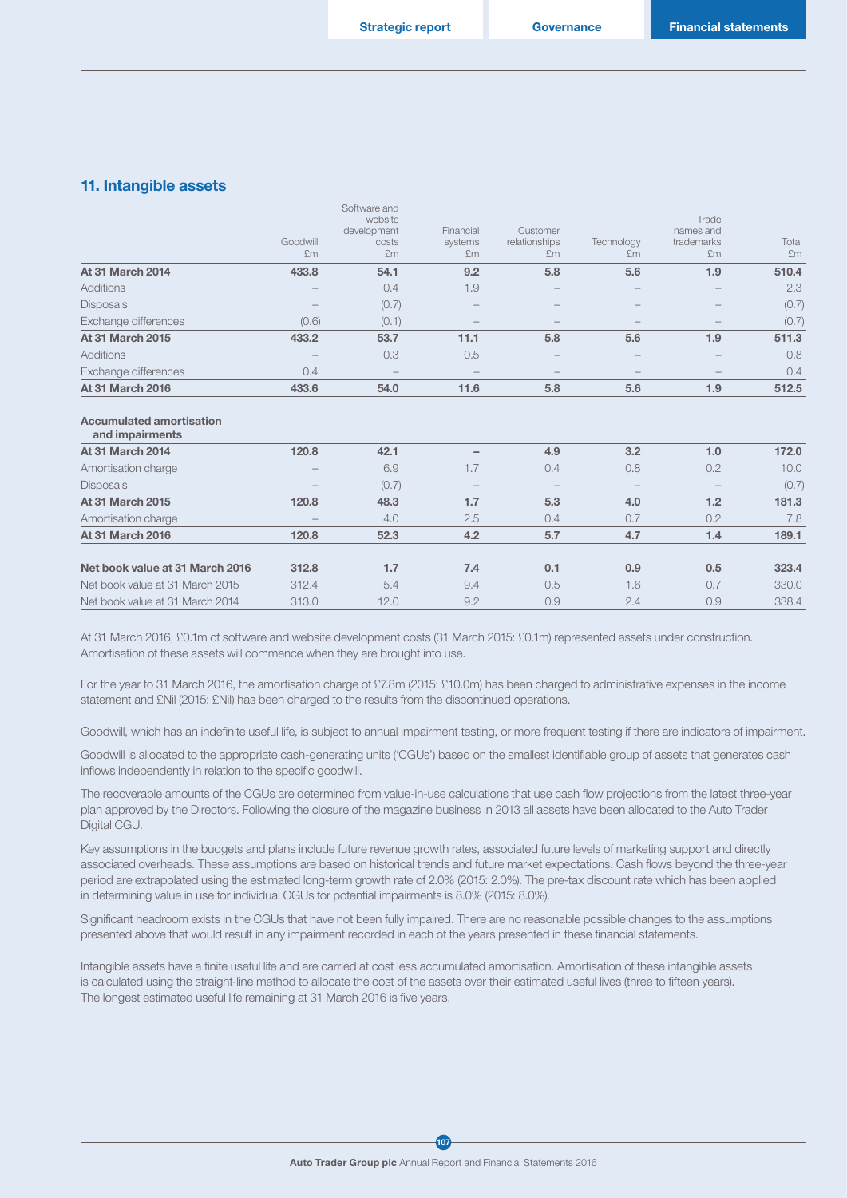### 11. Intangible assets

| <b>At 31 March 2016</b> | 433.6                    | 54.0                                                  | 11.6                       | 5.8                             | 5.6                      | 1.9                                    | 512.5       |
|-------------------------|--------------------------|-------------------------------------------------------|----------------------------|---------------------------------|--------------------------|----------------------------------------|-------------|
| Exchange differences    | 0.4                      | $\hspace{0.1mm}-\hspace{0.1mm}$                       | $\overline{\phantom{a}}$   |                                 | $\overline{\phantom{a}}$ |                                        | 0.4         |
| <b>Additions</b>        | $\sim$                   | 0.3                                                   | 0.5                        |                                 |                          |                                        | 0.8         |
| At 31 March 2015        | 433.2                    | 53.7                                                  | 11.1                       | 5.8                             | 5.6                      | 1.9                                    | 511.3       |
| Exchange differences    | (0.6)                    | (0.1)                                                 | $\overline{\phantom{a}}$   |                                 |                          |                                        | (0.7)       |
| <b>Disposals</b>        | $\qquad \qquad -$        | (0.7)                                                 | $\overline{\phantom{a}}$   |                                 |                          |                                        | (0.7)       |
| <b>Additions</b>        | $\overline{\phantom{a}}$ | 0.4                                                   | 1.9                        |                                 |                          |                                        | 2.3         |
| <b>At 31 March 2014</b> | 433.8                    | 54.1                                                  | 9.2                        | 5.8                             | 5.6                      | 1.9                                    | 510.4       |
|                         | Goodwill<br>£m           | Software and<br>website<br>development<br>costs<br>£m | Financial<br>systems<br>£m | Customer<br>relationships<br>£m | Technology<br>£m         | Trade<br>names and<br>trademarks<br>£m | Total<br>£m |

#### Accumulated amortisation

| and impairments                 |                          |       |                          |     |                          |     |       |
|---------------------------------|--------------------------|-------|--------------------------|-----|--------------------------|-----|-------|
| <b>At 31 March 2014</b>         | 120.8                    | 42.1  |                          | 4.9 | 3.2                      | 1.0 | 172.0 |
| Amortisation charge             | $\overline{\phantom{a}}$ | 6.9   | 1.7                      | 0.4 | 0.8                      | 0.2 | 10.0  |
| <b>Disposals</b>                | $\overline{\phantom{a}}$ | (0.7) | $\overline{\phantom{a}}$ |     | $\overline{\phantom{a}}$ |     | (0.7) |
| <b>At 31 March 2015</b>         | 120.8                    | 48.3  | 1.7                      | 5.3 | 4.0                      | 1.2 | 181.3 |
| Amortisation charge             | $\overline{\phantom{a}}$ | 4.0   | 2.5                      | 0.4 | 0.7                      | 0.2 | 7.8   |
| <b>At 31 March 2016</b>         | 120.8                    | 52.3  | 4.2                      | 5.7 | 4.7                      | 1.4 | 189.1 |
| Net book value at 31 March 2016 | 312.8                    | 1.7   | 7.4                      | 0.1 | 0.9                      | 0.5 | 323.4 |
| Net book value at 31 March 2015 | 312.4                    | 5.4   | 9.4                      | 0.5 | 1.6                      | 0.7 | 330.0 |
| Net book value at 31 March 2014 | 313.0                    | 12.0  | 9.2                      | 0.9 | 2.4                      | 0.9 | 338.4 |
|                                 |                          |       |                          |     |                          |     |       |

At 31 March 2016, £0.1m of software and website development costs (31 March 2015: £0.1m) represented assets under construction. Amortisation of these assets will commence when they are brought into use.

For the year to 31 March 2016, the amortisation charge of £7.8m (2015: £10.0m) has been charged to administrative expenses in the income statement and £Nil (2015: £Nil) has been charged to the results from the discontinued operations.

Goodwill, which has an indefinite useful life, is subject to annual impairment testing, or more frequent testing if there are indicators of impairment.

Goodwill is allocated to the appropriate cash-generating units ('CGUs') based on the smallest identifiable group of assets that generates cash inflows independently in relation to the specific goodwill.

The recoverable amounts of the CGUs are determined from value-in-use calculations that use cash flow projections from the latest three-year plan approved by the Directors. Following the closure of the magazine business in 2013 all assets have been allocated to the Auto Trader Digital CGU.

Key assumptions in the budgets and plans include future revenue growth rates, associated future levels of marketing support and directly associated overheads. These assumptions are based on historical trends and future market expectations. Cash flows beyond the three-year period are extrapolated using the estimated long-term growth rate of 2.0% (2015: 2.0%). The pre-tax discount rate which has been applied in determining value in use for individual CGUs for potential impairments is 8.0% (2015: 8.0%).

Significant headroom exists in the CGUs that have not been fully impaired. There are no reasonable possible changes to the assumptions presented above that would result in any impairment recorded in each of the years presented in these financial statements.

Intangible assets have a finite useful life and are carried at cost less accumulated amortisation. Amortisation of these intangible assets is calculated using the straight-line method to allocate the cost of the assets over their estimated useful lives (three to fifteen years). The longest estimated useful life remaining at 31 March 2016 is five years.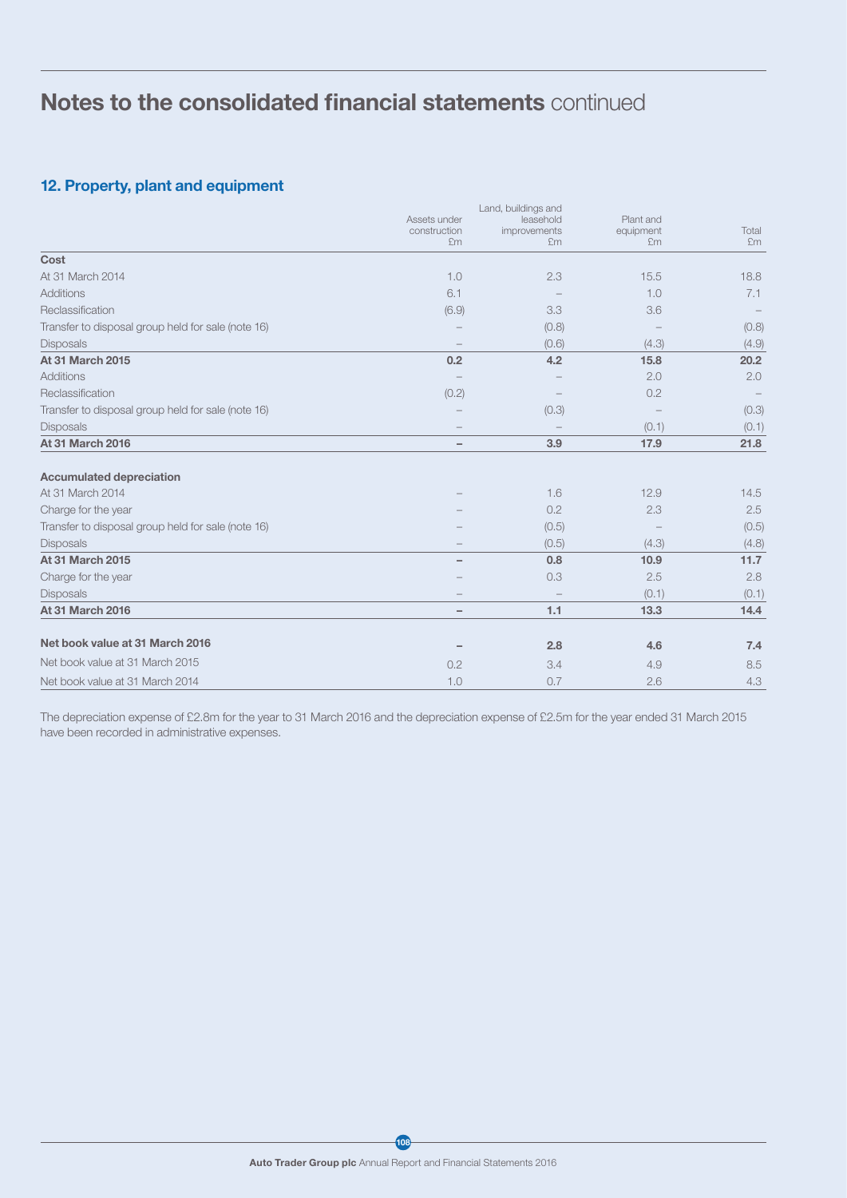## 12. Property, plant and equipment

|                                                    | Assets under<br>construction<br>£m | Land, buildings and<br>leasehold<br>improvements<br>£m | Plant and<br>equipment<br>Em | Total<br>£m |
|----------------------------------------------------|------------------------------------|--------------------------------------------------------|------------------------------|-------------|
| Cost                                               |                                    |                                                        |                              |             |
| At 31 March 2014                                   | 1.0                                | 2.3                                                    | 15.5                         | 18.8        |
| Additions                                          | 6.1                                |                                                        | 1.0                          | 7.1         |
| Reclassification                                   | (6.9)                              | 3.3                                                    | 3.6                          |             |
| Transfer to disposal group held for sale (note 16) |                                    | (0.8)                                                  |                              | (0.8)       |
| <b>Disposals</b>                                   |                                    | (0.6)                                                  | (4.3)                        | (4.9)       |
| At 31 March 2015                                   | 0.2                                | 4.2                                                    | 15.8                         | 20.2        |
| Additions                                          |                                    |                                                        | 2.0                          | 2.0         |
| Reclassification                                   | (0.2)                              |                                                        | 0.2                          |             |
| Transfer to disposal group held for sale (note 16) |                                    | (0.3)                                                  |                              | (0.3)       |
| <b>Disposals</b>                                   |                                    |                                                        | (0.1)                        | (0.1)       |
| <b>At 31 March 2016</b>                            | $\overline{\phantom{0}}$           | 3.9                                                    | 17.9                         | 21.8        |
| <b>Accumulated depreciation</b>                    |                                    |                                                        |                              |             |
| At 31 March 2014                                   |                                    | 1.6                                                    | 12.9                         | 14.5        |
| Charge for the year                                |                                    | 0.2                                                    | 2.3                          | 2.5         |
| Transfer to disposal group held for sale (note 16) |                                    | (0.5)                                                  |                              | (0.5)       |
| <b>Disposals</b>                                   |                                    | (0.5)                                                  | (4.3)                        | (4.8)       |
| <b>At 31 March 2015</b>                            |                                    | 0.8                                                    | 10.9                         | 11.7        |
| Charge for the year                                |                                    | 0.3                                                    | 2.5                          | 2.8         |
| <b>Disposals</b>                                   |                                    |                                                        | (0.1)                        | (0.1)       |
| <b>At 31 March 2016</b>                            | $\overline{\phantom{0}}$           | 1.1                                                    | 13.3                         | 14.4        |
| Net book value at 31 March 2016                    |                                    | 2.8                                                    | 4.6                          | 7.4         |
| Net book value at 31 March 2015                    | 0.2                                | 3.4                                                    | 4.9                          | 8.5         |
| Net book value at 31 March 2014                    | 1.0                                | 0.7                                                    | 2.6                          | 4.3         |

The depreciation expense of £2.8m for the year to 31 March 2016 and the depreciation expense of £2.5m for the year ended 31 March 2015 have been recorded in administrative expenses.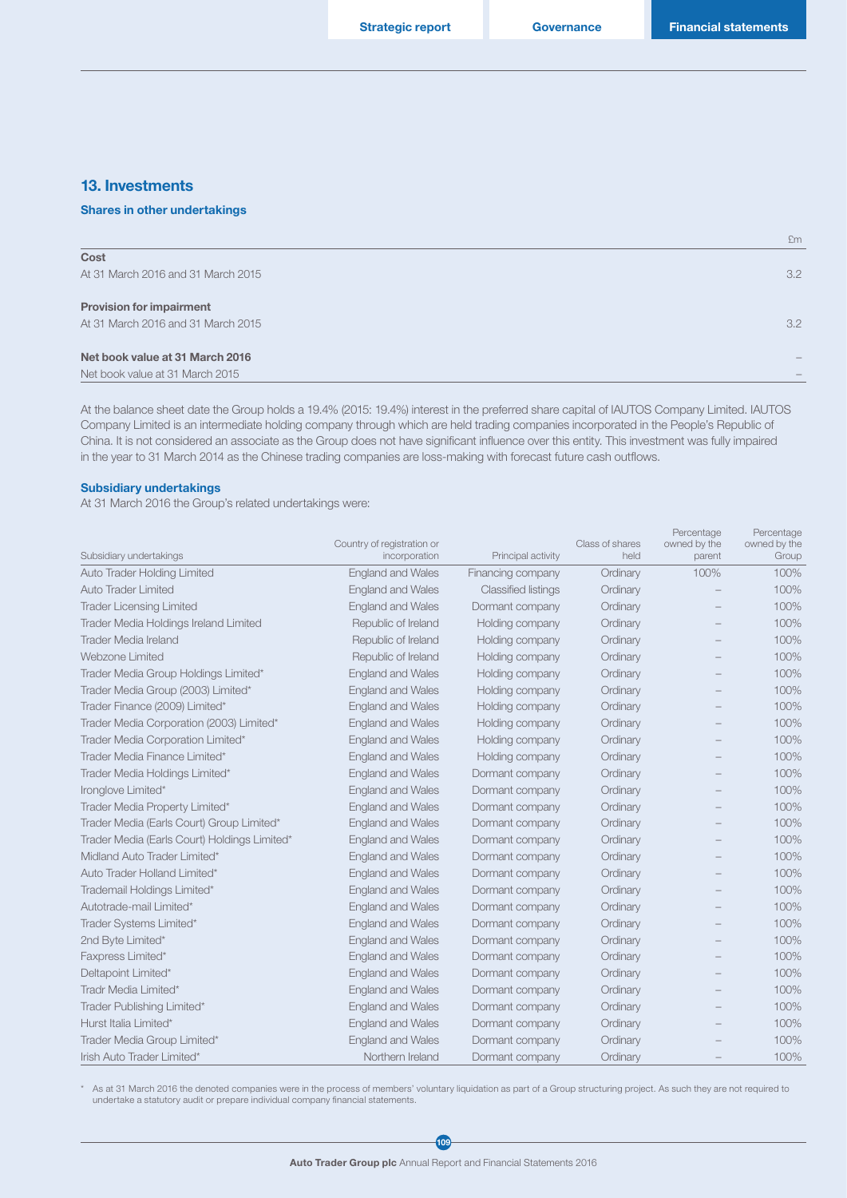£m

### 13. Investments

#### Shares in other undertakings

At 31 March 2016 and 31 March 2015 3.2

#### Provision for impairment

At 31 March 2016 and 31 March 2015 3.2

#### Net book value at 31 March 2016 –

Net book value at 31 March 2015 –

At the balance sheet date the Group holds a 19.4% (2015: 19.4%) interest in the preferred share capital of IAUTOS Company Limited. IAUTOS Company Limited is an intermediate holding company through which are held trading companies incorporated in the People's Republic of China. It is not considered an associate as the Group does not have significant influence over this entity. This investment was fully impaired in the year to 31 March 2014 as the Chinese trading companies are loss-making with forecast future cash outflows.

#### Subsidiary undertakings

At 31 March 2016 the Group's related undertakings were:

| Subsidiary undertakings                      | Country of registration or<br>incorporation | Principal activity         | Class of shares<br>held | Percentage<br>owned by the<br>parent | Percentage<br>owned by the<br>Group |
|----------------------------------------------|---------------------------------------------|----------------------------|-------------------------|--------------------------------------|-------------------------------------|
| <b>Auto Trader Holding Limited</b>           | <b>England and Wales</b>                    | Financing company          | Ordinary                | 100%                                 | 100%                                |
| Auto Trader Limited                          | <b>England and Wales</b>                    | <b>Classified listings</b> | Ordinary                |                                      | 100%                                |
| <b>Trader Licensing Limited</b>              | <b>England and Wales</b>                    | Dormant company            | Ordinary                |                                      | 100%                                |
| <b>Trader Media Holdings Ireland Limited</b> | Republic of Ireland                         | Holding company            | Ordinary                |                                      | 100%                                |
| <b>Trader Media Ireland</b>                  | Republic of Ireland                         | Holding company            | Ordinary                |                                      | 100%                                |
| Webzone Limited                              | Republic of Ireland                         | Holding company            | Ordinary                |                                      | 100%                                |
| Trader Media Group Holdings Limited*         | <b>England and Wales</b>                    | Holding company            | Ordinary                |                                      | 100%                                |
| Trader Media Group (2003) Limited*           | <b>England and Wales</b>                    | Holding company            | Ordinary                |                                      | 100%                                |
| Trader Finance (2009) Limited*               | <b>England and Wales</b>                    | Holding company            | Ordinary                |                                      | 100%                                |
| Trader Media Corporation (2003) Limited*     | <b>England and Wales</b>                    | Holding company            | Ordinary                |                                      | 100%                                |
| Trader Media Corporation Limited*            | <b>England and Wales</b>                    | Holding company            | Ordinary                |                                      | 100%                                |
| Trader Media Finance Limited*                | <b>England and Wales</b>                    | Holding company            | Ordinary                |                                      | 100%                                |
| Trader Media Holdings Limited*               | <b>England and Wales</b>                    | Dormant company            | Ordinary                |                                      | 100%                                |
| Ironglove Limited*                           | <b>England and Wales</b>                    | Dormant company            | Ordinary                |                                      | 100%                                |
| Trader Media Property Limited*               | <b>England and Wales</b>                    | Dormant company            | Ordinary                |                                      | 100%                                |
| Trader Media (Earls Court) Group Limited*    | <b>England and Wales</b>                    | Dormant company            | Ordinary                |                                      | 100%                                |
| Trader Media (Earls Court) Holdings Limited* | <b>England and Wales</b>                    | Dormant company            | Ordinary                |                                      | 100%                                |
| Midland Auto Trader Limited*                 | <b>England and Wales</b>                    | Dormant company            | Ordinary                |                                      | 100%                                |
| Auto Trader Holland Limited*                 | <b>England and Wales</b>                    | Dormant company            | Ordinary                |                                      | 100%                                |
| Trademail Holdings Limited*                  | <b>England and Wales</b>                    | Dormant company            | Ordinary                |                                      | 100%                                |
| Autotrade-mail Limited*                      | <b>England and Wales</b>                    | Dormant company            | Ordinary                |                                      | 100%                                |
| Trader Systems Limited*                      | <b>England and Wales</b>                    | Dormant company            | Ordinary                |                                      | 100%                                |
| 2nd Byte Limited*                            | <b>England and Wales</b>                    | Dormant company            | Ordinary                |                                      | 100%                                |
| Faxpress Limited*                            | <b>England and Wales</b>                    | Dormant company            | Ordinary                |                                      | 100%                                |
| Deltapoint Limited*                          | <b>England and Wales</b>                    | Dormant company            | Ordinary                |                                      | 100%                                |
| Tradr Media Limited*                         | <b>England and Wales</b>                    | Dormant company            | Ordinary                |                                      | 100%                                |
| Trader Publishing Limited*                   | <b>England and Wales</b>                    | Dormant company            | Ordinary                |                                      | 100%                                |
| Hurst Italia Limited*                        | <b>England and Wales</b>                    | Dormant company            | Ordinary                |                                      | 100%                                |
| Trader Media Group Limited*                  | <b>England and Wales</b>                    | Dormant company            | Ordinary                |                                      | 100%                                |
| Irish Auto Trader Limited*                   | Northern Ireland                            | Dormant company            | Ordinary                |                                      | 100%                                |

\* As at 31 March 2016 the denoted companies were in the process of members' voluntary liquidation as part of a Group structuring project. As such they are not required to undertake a statutory audit or prepare individual company financial statements.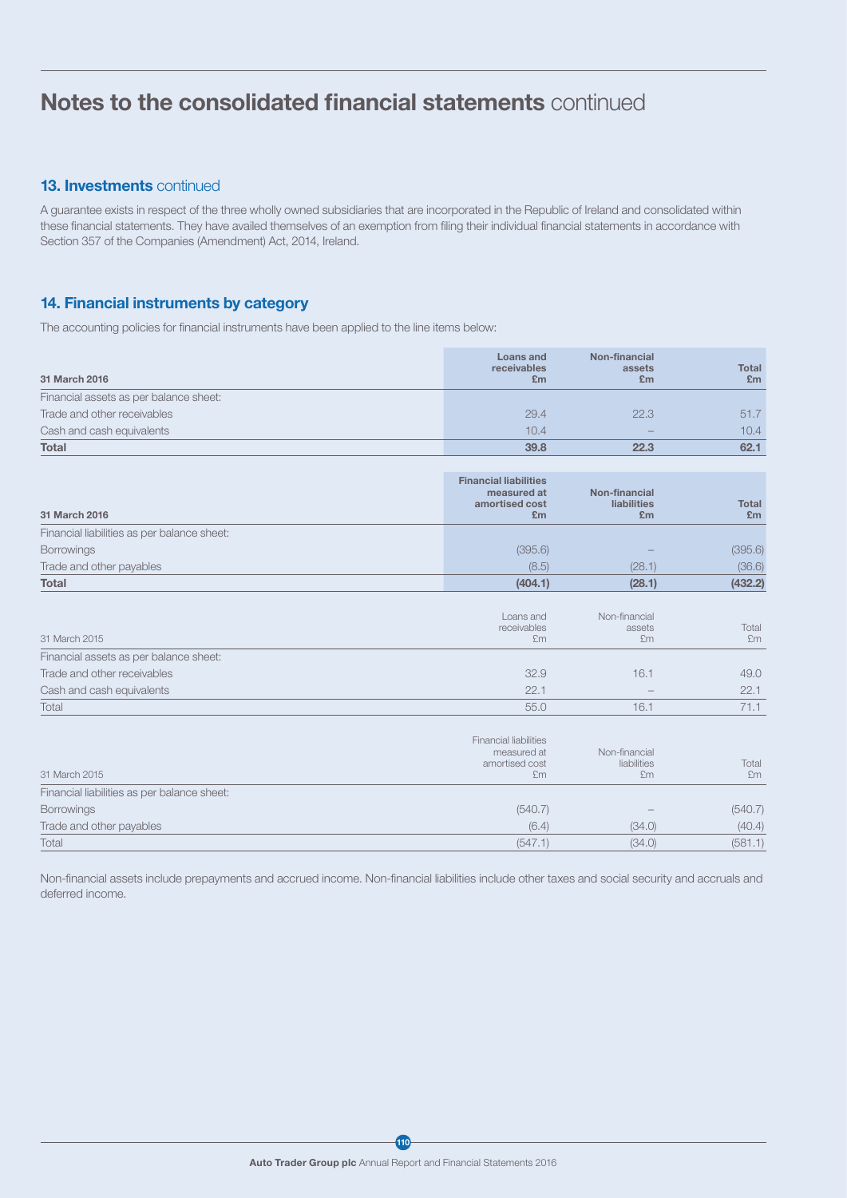## 13. Investments continued

A guarantee exists in respect of the three wholly owned subsidiaries that are incorporated in the Republic of Ireland and consolidated within these financial statements. They have availed themselves of an exemption from filing their individual financial statements in accordance with Section 357 of the Companies (Amendment) Act, 2014, Ireland.

## 14. Financial instruments by category

The accounting policies for financial instruments have been applied to the line items below:

| 31 March 2016                          | Loans and<br>receivables<br>£m | Non-financial<br>assets<br>£m | Total<br>£m |
|----------------------------------------|--------------------------------|-------------------------------|-------------|
| Financial assets as per balance sheet: |                                |                               |             |
| Trade and other receivables            | 29.4                           | 22.3                          | 51.7        |
| Cash and cash equivalents              | 10.4                           | $\sim$                        | 10.4        |
| <b>Total</b>                           | 39.8                           | 22.3                          | 62.1        |

| 31 March 2016                               | <b>Financial liabilities</b><br>measured at<br>amortised cost<br>£m | Non-financial<br>liabilities<br>£m | <b>Total</b><br>£m |
|---------------------------------------------|---------------------------------------------------------------------|------------------------------------|--------------------|
| Financial liabilities as per balance sheet: |                                                                     |                                    |                    |
| <b>Borrowings</b>                           | (395.6)                                                             | $\sim$                             | (395.6)            |
| Trade and other payables                    | (8.5)                                                               | (28.1)                             | (36.6)             |
| <b>Total</b>                                | (404.1)                                                             | (28.1)                             | (432.2)            |

| 31 March 2015                          | Loans and<br>receivables<br>£m | Non-financial<br>assets<br>£m | Total<br>£m |
|----------------------------------------|--------------------------------|-------------------------------|-------------|
| Financial assets as per balance sheet: |                                |                               |             |
| Trade and other receivables            | 32.9                           | 16.1                          | 49.0        |
| Cash and cash equivalents              | 22.1                           | $\overline{\phantom{a}}$      | 22.1        |
| Total                                  | 55.0                           | 16.1                          |             |

| 31 March 2015                               | <b>Financial liabilities</b><br>measured at<br>amortised cost<br>£m | Non-financial<br>liabilities<br>£m | Total<br>£m |
|---------------------------------------------|---------------------------------------------------------------------|------------------------------------|-------------|
| Financial liabilities as per balance sheet: |                                                                     |                                    |             |
| <b>Borrowings</b>                           | (540.7)                                                             | $\sim$                             | (540.7)     |
| Trade and other payables                    | (6.4)                                                               | (34.0)                             | (40.4)      |
| Total                                       | (547.1)                                                             | (34.0)                             | (581.1)     |

Non-financial assets include prepayments and accrued income. Non-financial liabilities include other taxes and social security and accruals and deferred income.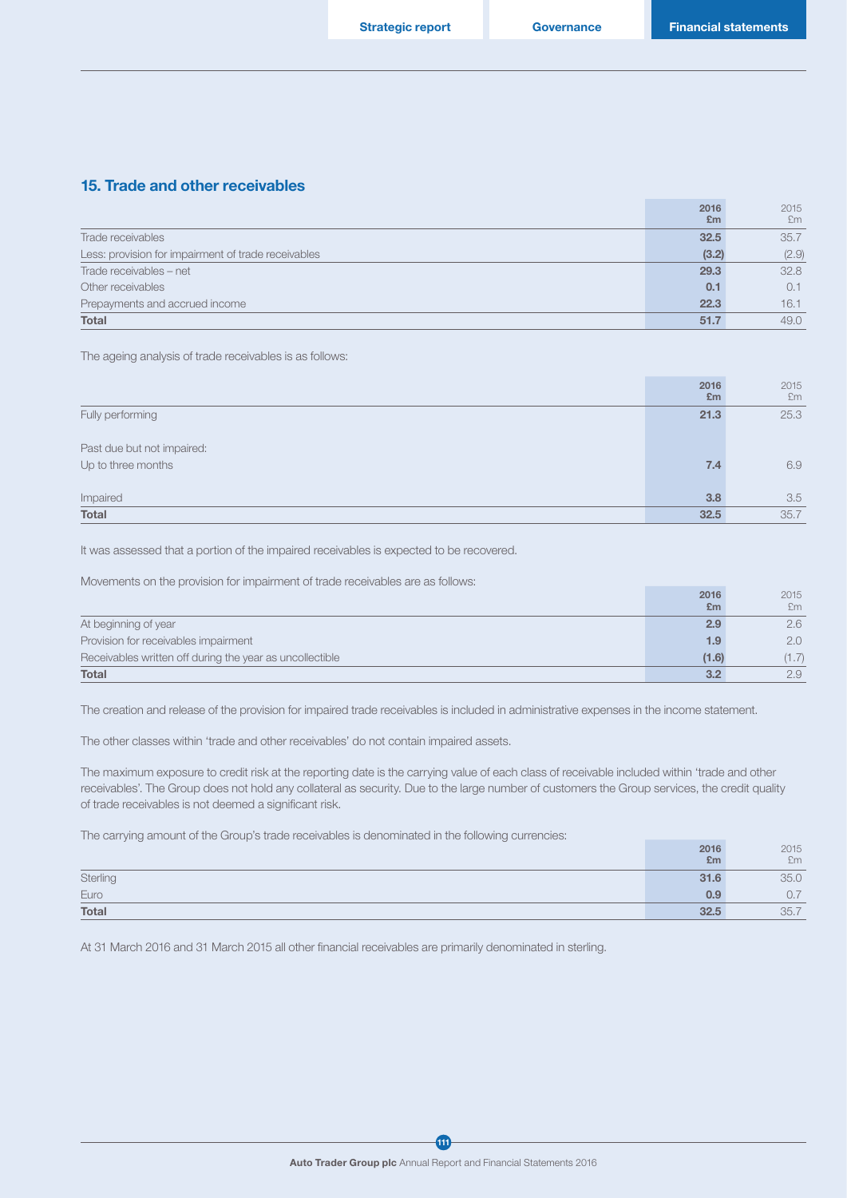### 15. Trade and other receivables

|                                                     | 2016           | 2015  |
|-----------------------------------------------------|----------------|-------|
|                                                     | E <sub>m</sub> | £m    |
| Trade receivables                                   | 32.5           | 35.7  |
| Less: provision for impairment of trade receivables | (3.2)          | (2.9) |
| Trade receivables - net                             | 29.3           | 32.8  |
| Other receivables                                   | 0.1            | 0.1   |
| Prepayments and accrued income                      | 22.3           | 16.1  |
| <b>Total</b>                                        | 51.7           | 49.0  |

The ageing analysis of trade receivables is as follows:

|                                                  | 2016<br>£m | 2015<br>£m |
|--------------------------------------------------|------------|------------|
| Fully performing                                 | 21.3       | 25.3       |
| Past due but not impaired:<br>Up to three months | 7.4        | 6.9        |
| Impaired                                         | 3.8        | 3.5        |
| Total                                            | 32.5       | 35.7       |

It was assessed that a portion of the impaired receivables is expected to be recovered.

Movements on the provision for impairment of trade receivables are as follows:

|                                                          | 2016  | 2015  |
|----------------------------------------------------------|-------|-------|
|                                                          | £m    | £m    |
| At beginning of year                                     | 2.9   | 2.6   |
| Provision for receivables impairment                     | 1.9   | 2.0   |
| Receivables written off during the year as uncollectible | (1.6) | (1.7) |
| <b>Total</b>                                             | 3.2   | 2.9   |

The creation and release of the provision for impaired trade receivables is included in administrative expenses in the income statement.

The other classes within 'trade and other receivables' do not contain impaired assets.

The maximum exposure to credit risk at the reporting date is the carrying value of each class of receivable included within 'trade and other receivables'. The Group does not hold any collateral as security. Due to the large number of customers the Group services, the credit quality of trade receivables is not deemed a significant risk.

The carrying amount of the Group's trade receivables is denominated in the following currencies:

|              | 2016 | 2015 |
|--------------|------|------|
|              | £m   | £m   |
| Sterling     | 31.6 | 35.0 |
| Euro         | 0.9  | 0.7  |
| <b>Total</b> | 32.5 | 35.7 |

At 31 March 2016 and 31 March 2015 all other financial receivables are primarily denominated in sterling.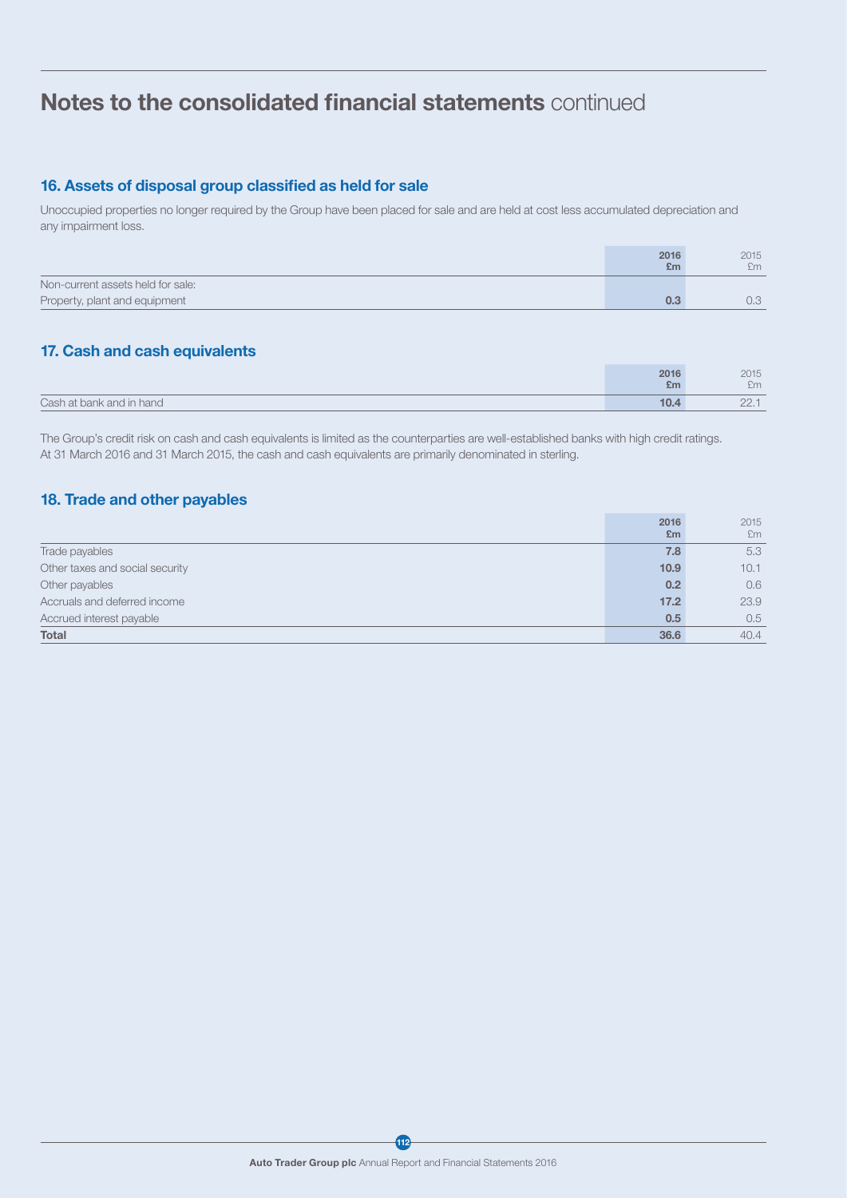## 16. Assets of disposal group classified as held for sale

Unoccupied properties no longer required by the Group have been placed for sale and are held at cost less accumulated depreciation and any impairment loss.

|                                   | 2016<br>£m | 2015<br>fm. |
|-----------------------------------|------------|-------------|
| Non-current assets held for sale: |            |             |
| Property, plant and equipment     |            | $J_{\nu}$   |

## 17. Cash and cash equivalents

|                          | 2016 | 2015              |
|--------------------------|------|-------------------|
|                          | £m   | £m                |
| Cash at bank and in hand | 10.4 | $\cap$<br>$- - -$ |

The Group's credit risk on cash and cash equivalents is limited as the counterparties are well-established banks with high credit ratings. At 31 March 2016 and 31 March 2015, the cash and cash equivalents are primarily denominated in sterling.

## 18. Trade and other payables

|                                 | 2016 | 2015 |
|---------------------------------|------|------|
|                                 | £m   | Em   |
| Trade payables                  | 7.8  | 5.3  |
| Other taxes and social security | 10.9 | 10.1 |
| Other payables                  | 0.2  | 0.6  |
| Accruals and deferred income    | 17.2 | 23.9 |
| Accrued interest payable        | 0.5  | 0.5  |
| <b>Total</b>                    | 36.6 | 40.4 |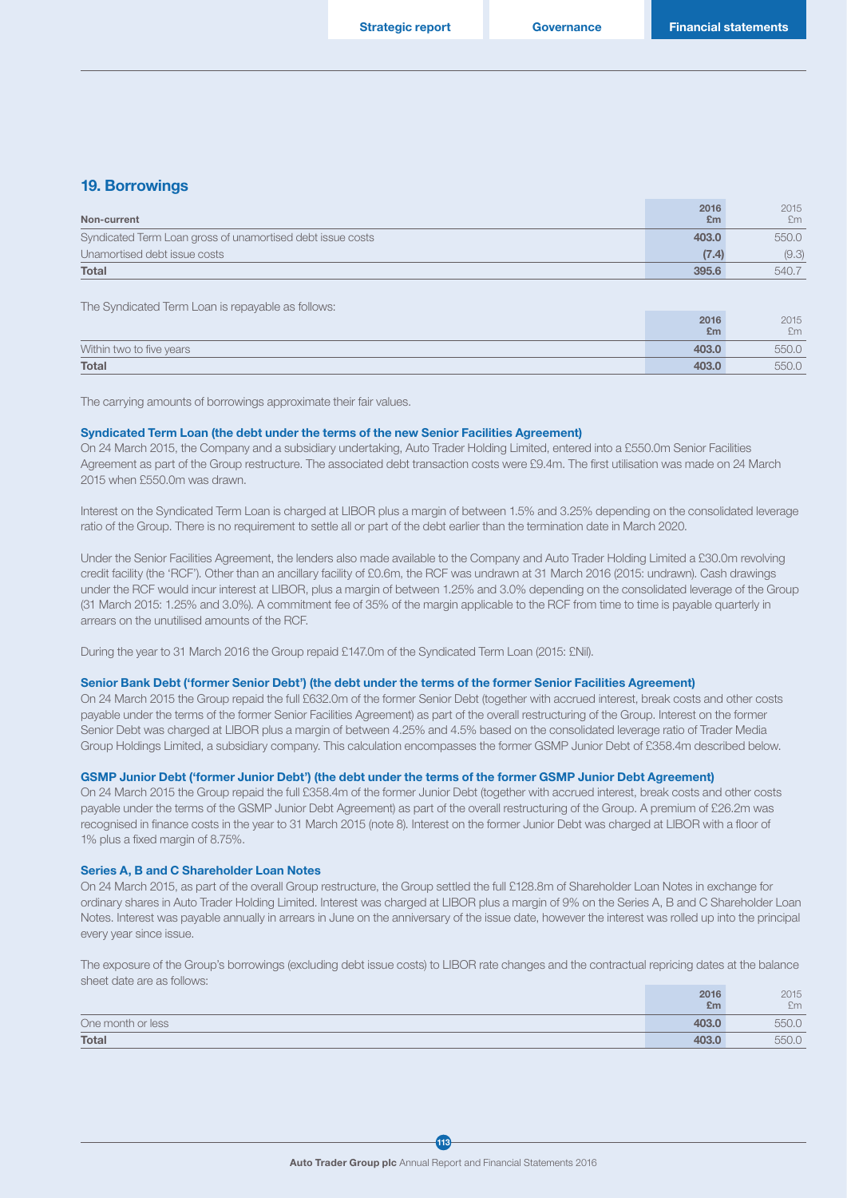$0016$ 

 $0.25$ 

### 19. Borrowings

| Non-current                                                | 2016<br>E <sub>m</sub> | 2015<br>£m |
|------------------------------------------------------------|------------------------|------------|
| Syndicated Term Loan gross of unamortised debt issue costs | 403.0                  | 550.0      |
| Unamortised debt issue costs                               | (7.4)                  | (9.3)      |
| <b>Total</b>                                               | 395.6                  | 540.7      |

The Syndicated Term Loan is repayable as follows:

|                          | ----  | $-0.10$ |
|--------------------------|-------|---------|
|                          | £m    | £m      |
| Within two to five years | 403.0 | 550.0   |
| <b>Total</b>             | 403.0 | 550.0   |

The carrying amounts of borrowings approximate their fair values.

### Syndicated Term Loan (the debt under the terms of the new Senior Facilities Agreement)

On 24 March 2015, the Company and a subsidiary undertaking, Auto Trader Holding Limited, entered into a £550.0m Senior Facilities Agreement as part of the Group restructure. The associated debt transaction costs were £9.4m. The first utilisation was made on 24 March 2015 when £550.0m was drawn.

Interest on the Syndicated Term Loan is charged at LIBOR plus a margin of between 1.5% and 3.25% depending on the consolidated leverage ratio of the Group. There is no requirement to settle all or part of the debt earlier than the termination date in March 2020.

Under the Senior Facilities Agreement, the lenders also made available to the Company and Auto Trader Holding Limited a £30.0m revolving credit facility (the 'RCF'). Other than an ancillary facility of £0.6m, the RCF was undrawn at 31 March 2016 (2015: undrawn). Cash drawings under the RCF would incur interest at LIBOR, plus a margin of between 1.25% and 3.0% depending on the consolidated leverage of the Group (31 March 2015: 1.25% and 3.0%). A commitment fee of 35% of the margin applicable to the RCF from time to time is payable quarterly in arrears on the unutilised amounts of the RCF.

During the year to 31 March 2016 the Group repaid £147.0m of the Syndicated Term Loan (2015: £Nil).

#### Senior Bank Debt ('former Senior Debt') (the debt under the terms of the former Senior Facilities Agreement)

On 24 March 2015 the Group repaid the full £632.0m of the former Senior Debt (together with accrued interest, break costs and other costs payable under the terms of the former Senior Facilities Agreement) as part of the overall restructuring of the Group. Interest on the former Senior Debt was charged at LIBOR plus a margin of between 4.25% and 4.5% based on the consolidated leverage ratio of Trader Media Group Holdings Limited, a subsidiary company. This calculation encompasses the former GSMP Junior Debt of £358.4m described below.

#### GSMP Junior Debt ('former Junior Debt') (the debt under the terms of the former GSMP Junior Debt Agreement)

On 24 March 2015 the Group repaid the full £358.4m of the former Junior Debt (together with accrued interest, break costs and other costs payable under the terms of the GSMP Junior Debt Agreement) as part of the overall restructuring of the Group. A premium of £26.2m was recognised in finance costs in the year to 31 March 2015 (note 8). Interest on the former Junior Debt was charged at LIBOR with a floor of 1% plus a fixed margin of 8.75%.

#### Series A, B and C Shareholder Loan Notes

On 24 March 2015, as part of the overall Group restructure, the Group settled the full £128.8m of Shareholder Loan Notes in exchange for ordinary shares in Auto Trader Holding Limited. Interest was charged at LIBOR plus a margin of 9% on the Series A, B and C Shareholder Loan Notes. Interest was payable annually in arrears in June on the anniversary of the issue date, however the interest was rolled up into the principal every year since issue.

The exposure of the Group's borrowings (excluding debt issue costs) to LIBOR rate changes and the contractual repricing dates at the balance sheet date are as follows:

|                   | 2016  | 2015  |
|-------------------|-------|-------|
|                   | £m    | £m    |
| One month or less | 403.0 | 550.0 |
| Total             | 403.0 | 550.C |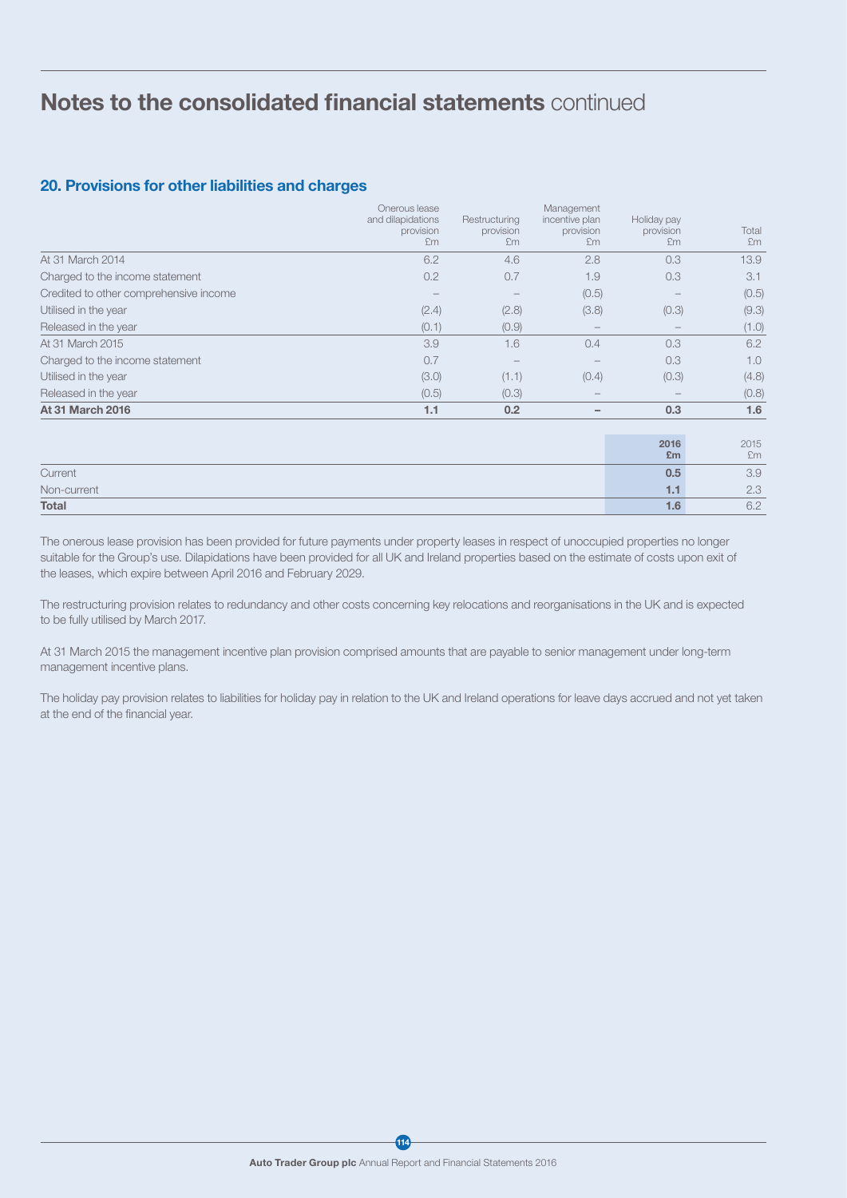## 20. Provisions for other liabilities and charges

|                                        | Onerous lease<br>and dilapidations<br>provision<br>£m | Restructuring<br>provision<br>£m | Management<br>incentive plan<br>provision<br>£m | Holiday pay<br>provision<br>£m | Total<br>£m |
|----------------------------------------|-------------------------------------------------------|----------------------------------|-------------------------------------------------|--------------------------------|-------------|
| At 31 March 2014                       | 6.2                                                   | 4.6                              | 2.8                                             | 0.3                            | 13.9        |
| Charged to the income statement        | 0.2                                                   | 0.7                              | 1.9                                             | 0.3                            | 3.1         |
| Credited to other comprehensive income |                                                       |                                  | (0.5)                                           |                                | (0.5)       |
| Utilised in the year                   | (2.4)                                                 | (2.8)                            | (3.8)                                           | (0.3)                          | (9.3)       |
| Released in the year                   | (0.1)                                                 | (0.9)                            | $\qquad \qquad -$                               |                                | (1.0)       |
| At 31 March 2015                       | 3.9                                                   | 1.6                              | 0.4                                             | 0.3                            | 6.2         |
| Charged to the income statement        | 0.7                                                   |                                  |                                                 | 0.3                            | 1.0         |
| Utilised in the year                   | (3.0)                                                 | (1.1)                            | (0.4)                                           | (0.3)                          | (4.8)       |
| Released in the year                   | (0.5)                                                 | (0.3)                            |                                                 |                                | (0.8)       |
| <b>At 31 March 2016</b>                | 1.1                                                   | 0.2                              | -                                               | 0.3                            | 1.6         |
|                                        |                                                       |                                  |                                                 | 2016<br>£m                     | 2015<br>£m  |
| Current                                |                                                       |                                  |                                                 | 0.5                            | 3.9         |
| Non-current                            |                                                       |                                  |                                                 | 1.1                            | 2.3         |
| <b>Total</b>                           |                                                       |                                  |                                                 | 1.6                            | 6.2         |

The onerous lease provision has been provided for future payments under property leases in respect of unoccupied properties no longer suitable for the Group's use. Dilapidations have been provided for all UK and Ireland properties based on the estimate of costs upon exit of the leases, which expire between April 2016 and February 2029.

The restructuring provision relates to redundancy and other costs concerning key relocations and reorganisations in the UK and is expected to be fully utilised by March 2017.

At 31 March 2015 the management incentive plan provision comprised amounts that are payable to senior management under long-term management incentive plans.

The holiday pay provision relates to liabilities for holiday pay in relation to the UK and Ireland operations for leave days accrued and not yet taken at the end of the financial year.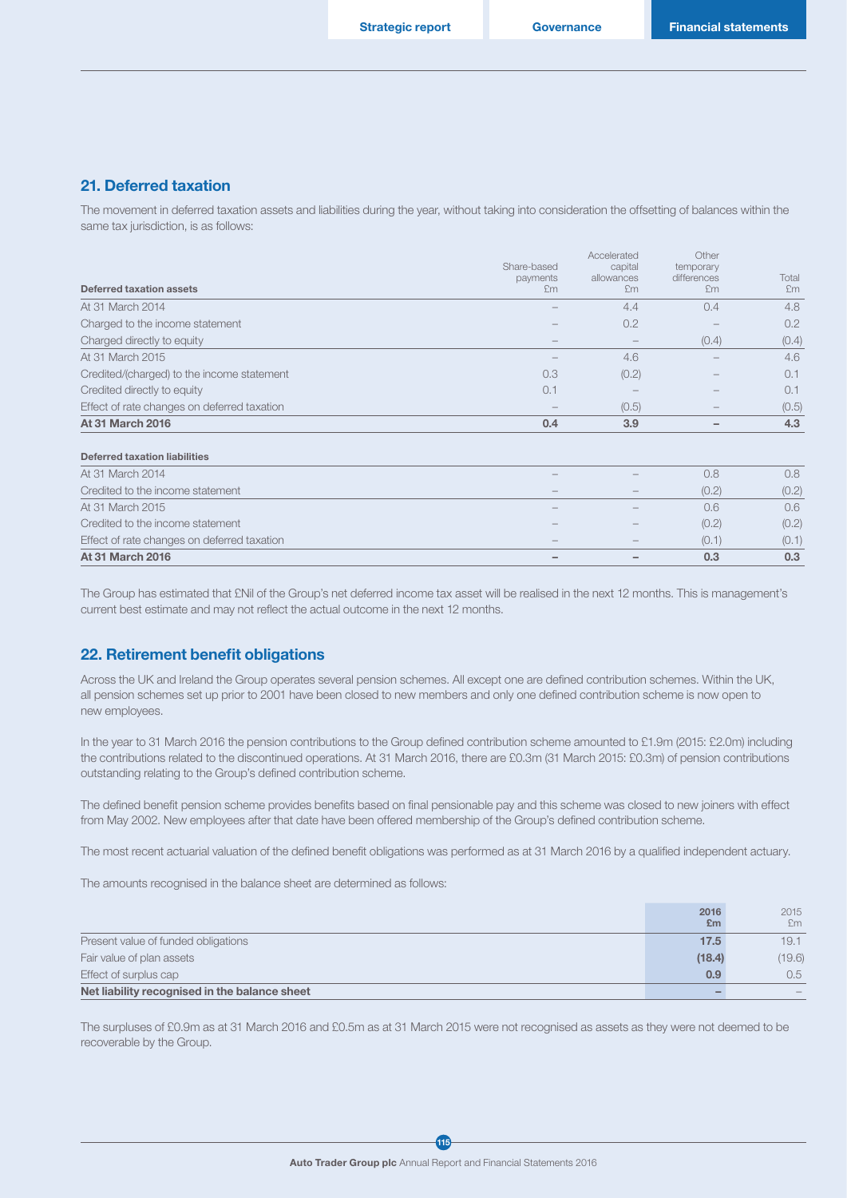### 21. Deferred taxation

The movement in deferred taxation assets and liabilities during the year, without taking into consideration the offsetting of balances within the same tax jurisdiction, is as follows:

|                                             | Share-based | Accelerated<br>capital | Other<br>temporary |       |
|---------------------------------------------|-------------|------------------------|--------------------|-------|
|                                             | payments    | allowances             | differences        | Total |
| <b>Deferred taxation assets</b>             | £m          | Em                     | £m                 | Fm    |
| At 31 March 2014                            |             | 4.4                    | 0.4                | 4.8   |
| Charged to the income statement             |             | 0.2                    |                    | 0.2   |
| Charged directly to equity                  |             |                        | (0.4)              | (0.4) |
| At 31 March 2015                            |             | 4.6                    |                    | 4.6   |
| Credited/(charged) to the income statement  | 0.3         | (0.2)                  |                    | 0.1   |
| Credited directly to equity                 | 0.1         |                        |                    | 0.1   |
| Effect of rate changes on deferred taxation |             | (0.5)                  |                    | (0.5) |
| <b>At 31 March 2016</b>                     | 0.4         | 3.9                    |                    | 4.3   |
| <b>Deferred taxation liabilities</b>        |             |                        |                    |       |
| At 31 March 2014                            |             |                        | 0.8                | 0.8   |
| Credited to the income statement            |             |                        | (0.2)              | (0.2) |
| At 31 March 2015                            |             |                        | 0.6                | 0.6   |
| Credited to the income statement            |             |                        | (0.2)              | (0.2) |
| Effect of rate changes on deferred taxation |             |                        | (0.1)              | (0.1) |
| <b>At 31 March 2016</b>                     |             |                        | 0.3                | 0.3   |

The Group has estimated that £Nil of the Group's net deferred income tax asset will be realised in the next 12 months. This is management's current best estimate and may not reflect the actual outcome in the next 12 months.

### 22. Retirement benefit obligations

Across the UK and Ireland the Group operates several pension schemes. All except one are defined contribution schemes. Within the UK, all pension schemes set up prior to 2001 have been closed to new members and only one defined contribution scheme is now open to new employees.

In the year to 31 March 2016 the pension contributions to the Group defined contribution scheme amounted to £1.9m (2015: £2.0m) including the contributions related to the discontinued operations. At 31 March 2016, there are £0.3m (31 March 2015: £0.3m) of pension contributions outstanding relating to the Group's defined contribution scheme.

The defined benefit pension scheme provides benefits based on final pensionable pay and this scheme was closed to new joiners with effect from May 2002. New employees after that date have been offered membership of the Group's defined contribution scheme.

The most recent actuarial valuation of the defined benefit obligations was performed as at 31 March 2016 by a qualified independent actuary.

The amounts recognised in the balance sheet are determined as follows:

|                                               | 2016<br>E <sub>m</sub> | 2015<br>£m |
|-----------------------------------------------|------------------------|------------|
| Present value of funded obligations           | 17.5                   | 19.1       |
| Fair value of plan assets                     | (18.4)                 | (19.6)     |
| Effect of surplus cap                         | 0.9                    | 0.5        |
| Net liability recognised in the balance sheet |                        |            |

The surpluses of £0.9m as at 31 March 2016 and £0.5m as at 31 March 2015 were not recognised as assets as they were not deemed to be recoverable by the Group.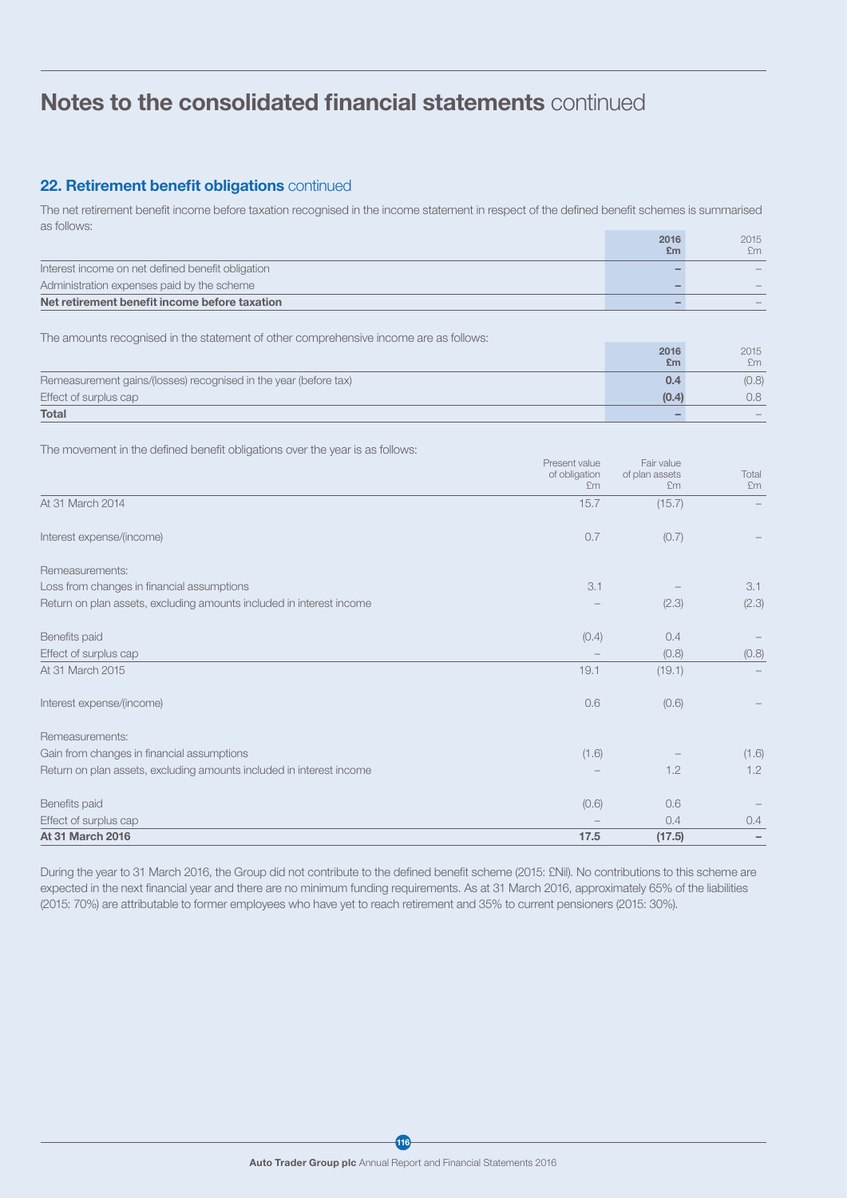## 22. Retirement benefit obligations continued

The net retirement benefit income before taxation recognised in the income statement in respect of the defined benefit schemes is summarised as follows:

|                                                   | 2016 | 2015 |
|---------------------------------------------------|------|------|
|                                                   | £m   | £m   |
| Interest income on net defined benefit obligation |      |      |
| Administration expenses paid by the scheme        |      |      |
| Net retirement benefit income before taxation     |      |      |

The amounts recognised in the statement of other comprehensive income are as follows:

|                                                                  | 2016  | 2015  |
|------------------------------------------------------------------|-------|-------|
|                                                                  | £m    | £m    |
| Remeasurement gains/(losses) recognised in the year (before tax) |       | (0.8) |
| Effect of surplus cap                                            | (0.4) | 0.8   |
| <b>Total</b>                                                     |       |       |

The movement in the defined benefit obligations over the year is as follows:

|                                                                      | Present value<br>of obligation<br>£m | Fair value<br>of plan assets<br>£m | Total<br>Em |
|----------------------------------------------------------------------|--------------------------------------|------------------------------------|-------------|
| At 31 March 2014                                                     | 15.7                                 | (15.7)                             |             |
| Interest expense/(income)                                            | 0.7                                  | (0.7)                              |             |
| Remeasurements:                                                      |                                      |                                    |             |
| Loss from changes in financial assumptions                           | 3.1                                  |                                    | 3.1         |
| Return on plan assets, excluding amounts included in interest income |                                      | (2.3)                              | (2.3)       |
| Benefits paid                                                        | (0.4)                                | 0.4                                |             |
| Effect of surplus cap                                                |                                      | (0.8)                              | (0.8)       |
| At 31 March 2015                                                     | 19.1                                 | (19.1)                             |             |
| Interest expense/(income)                                            | 0.6                                  | (0.6)                              |             |
| Remeasurements:                                                      |                                      |                                    |             |
| Gain from changes in financial assumptions                           | (1.6)                                |                                    | (1.6)       |
| Return on plan assets, excluding amounts included in interest income |                                      | 1.2                                | 1.2         |
| Benefits paid                                                        | (0.6)                                | 0.6                                |             |
| Effect of surplus cap                                                |                                      | 0.4                                | 0.4         |
| <b>At 31 March 2016</b>                                              | 17.5                                 | (17.5)                             |             |

During the year to 31 March 2016, the Group did not contribute to the defined benefit scheme (2015: £Nil). No contributions to this scheme are expected in the next financial year and there are no minimum funding requirements. As at 31 March 2016, approximately 65% of the liabilities (2015: 70%) are attributable to former employees who have yet to reach retirement and 35% to current pensioners (2015: 30%).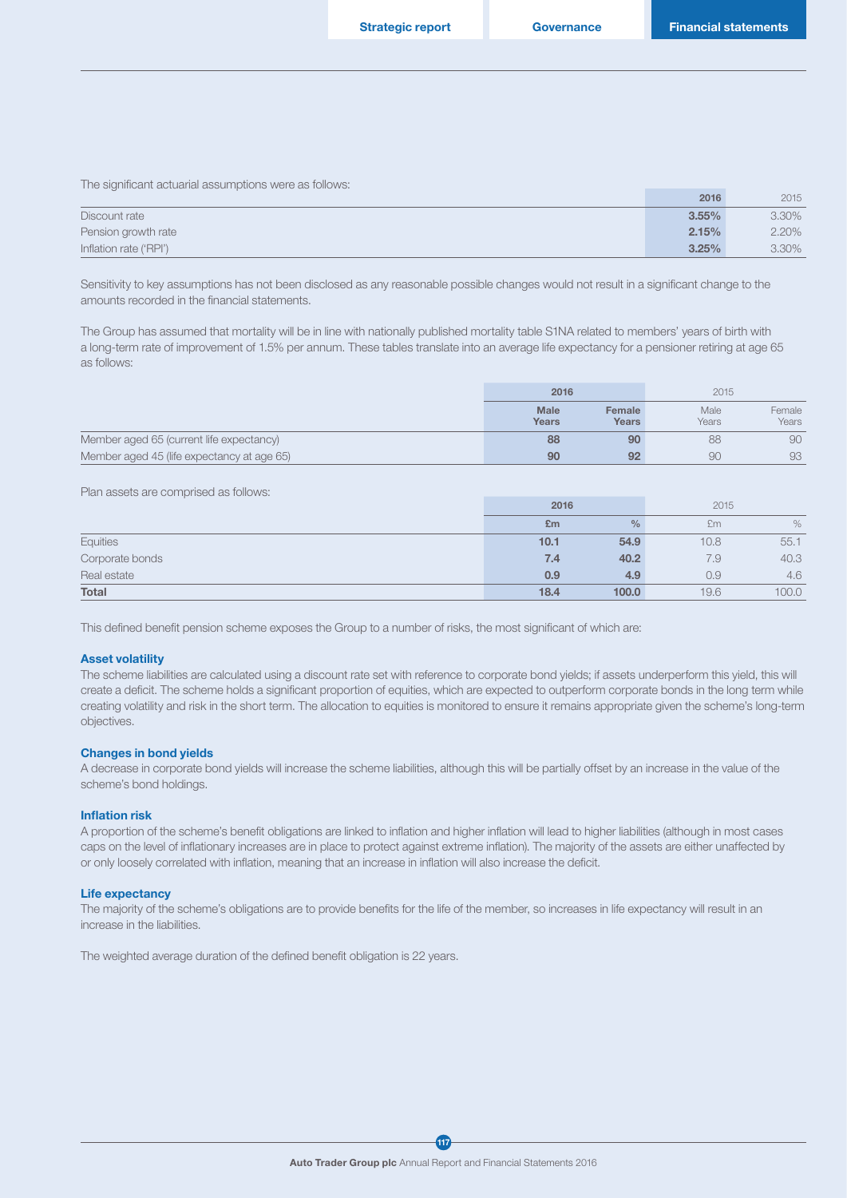The significant actuarial assumptions were as follows:

|                        | 2016     | 2015  |
|------------------------|----------|-------|
| Discount rate          | $3.55\%$ | 3.30% |
| Pension growth rate    | 2.15%    | 2.20% |
| Inflation rate ('RPI') | 3.25%    | 3.30% |

Sensitivity to key assumptions has not been disclosed as any reasonable possible changes would not result in a significant change to the amounts recorded in the financial statements.

The Group has assumed that mortality will be in line with nationally published mortality table S1NA related to members' years of birth with a long-term rate of improvement of 1.5% per annum. These tables translate into an average life expectancy for a pensioner retiring at age 65 as follows:

|                                            | 2016                 |                 | 2015          |                 |
|--------------------------------------------|----------------------|-----------------|---------------|-----------------|
|                                            | <b>Male</b><br>Years | Female<br>Years | Male<br>Years | Female<br>Years |
| Member aged 65 (current life expectancy)   | 88                   | 90              | 88            | 90              |
| Member aged 45 (life expectancy at age 65) | 90                   | 92              | 90            | 93              |

Plan assets are comprised as follows:

|                 | 2016 |               | 2015 |       |
|-----------------|------|---------------|------|-------|
|                 | £m   | $\frac{0}{0}$ | £m   | %     |
| Equities        | 10.1 | 54.9          | 10.8 | 55.1  |
| Corporate bonds | 7.4  | 40.2          | 7.9  | 40.3  |
| Real estate     | 0.9  | 4.9           | 0.9  | 4.6   |
| <b>Total</b>    | 18.4 | 100.0         | 19.6 | 100.0 |

This defined benefit pension scheme exposes the Group to a number of risks, the most significant of which are:

#### Asset volatility

The scheme liabilities are calculated using a discount rate set with reference to corporate bond yields; if assets underperform this yield, this will create a deficit. The scheme holds a significant proportion of equities, which are expected to outperform corporate bonds in the long term while creating volatility and risk in the short term. The allocation to equities is monitored to ensure it remains appropriate given the scheme's long-term objectives.

#### Changes in bond yields

A decrease in corporate bond yields will increase the scheme liabilities, although this will be partially offset by an increase in the value of the scheme's bond holdings.

#### Inflation risk

A proportion of the scheme's benefit obligations are linked to inflation and higher inflation will lead to higher liabilities (although in most cases caps on the level of inflationary increases are in place to protect against extreme inflation). The majority of the assets are either unaffected by or only loosely correlated with inflation, meaning that an increase in inflation will also increase the deficit.

#### Life expectancy

The majority of the scheme's obligations are to provide benefits for the life of the member, so increases in life expectancy will result in an increase in the liabilities.

The weighted average duration of the defined benefit obligation is 22 years.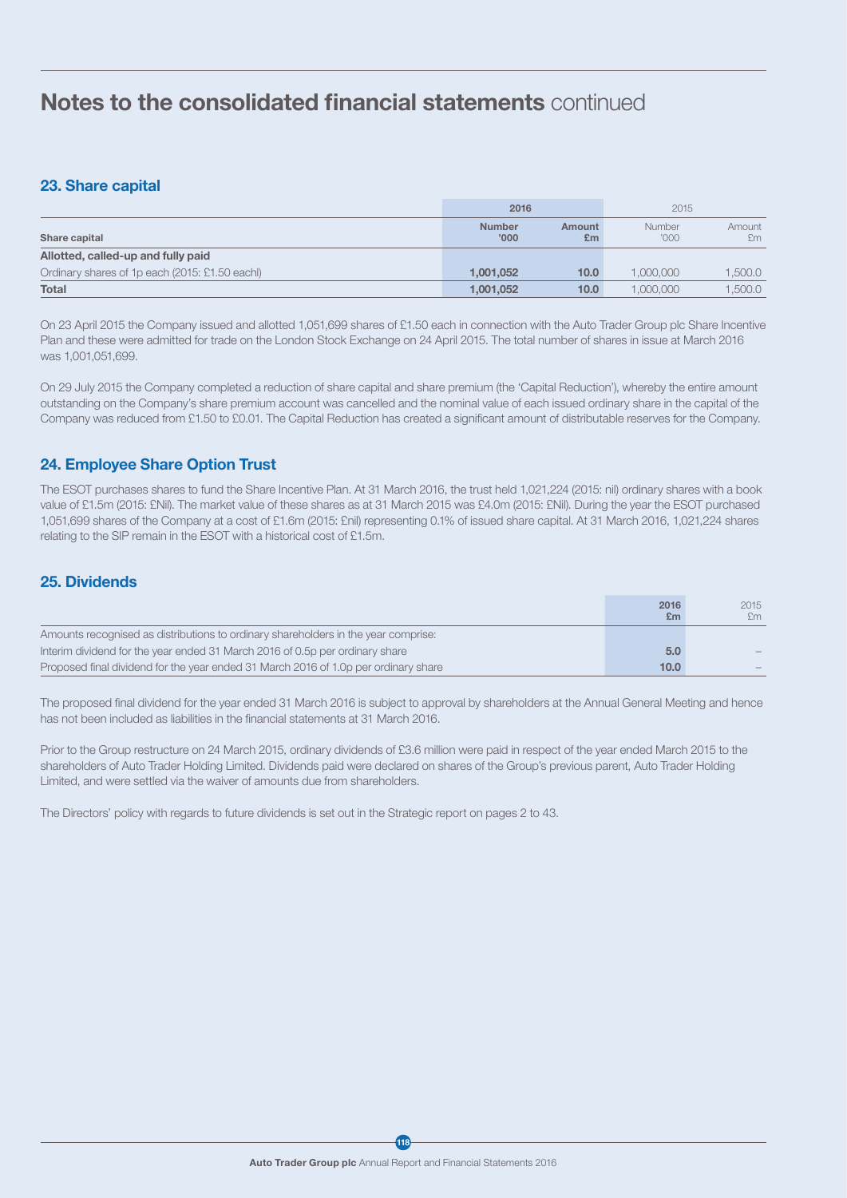## 23. Share capital

|                                                | 2016                   |              | 2015                   |              |
|------------------------------------------------|------------------------|--------------|------------------------|--------------|
| Share capital                                  | <b>Number</b><br>'000' | Amount<br>£m | <b>Number</b><br>'000' | Amount<br>£m |
| Allotted, called-up and fully paid             |                        |              |                        |              |
| Ordinary shares of 1p each (2015: £1.50 eachl) | 1.001.052              | 10.0         | 1.000.000              | 1,500.0      |
| <b>Total</b>                                   | 1.001.052              | 10.0         | 1,000,000              | .500.0       |

On 23 April 2015 the Company issued and allotted 1,051,699 shares of £1.50 each in connection with the Auto Trader Group plc Share Incentive Plan and these were admitted for trade on the London Stock Exchange on 24 April 2015. The total number of shares in issue at March 2016 was 1,001,051,699.

On 29 July 2015 the Company completed a reduction of share capital and share premium (the 'Capital Reduction'), whereby the entire amount outstanding on the Company's share premium account was cancelled and the nominal value of each issued ordinary share in the capital of the Company was reduced from £1.50 to £0.01. The Capital Reduction has created a significant amount of distributable reserves for the Company.

## 24. Employee Share Option Trust

The ESOT purchases shares to fund the Share Incentive Plan. At 31 March 2016, the trust held 1,021,224 (2015: nil) ordinary shares with a book value of £1.5m (2015: £Nil). The market value of these shares as at 31 March 2015 was £4.0m (2015: £Nil). During the year the ESOT purchased 1,051,699 shares of the Company at a cost of £1.6m (2015: £nil) representing 0.1% of issued share capital. At 31 March 2016, 1,021,224 shares relating to the SIP remain in the ESOT with a historical cost of £1.5m.

## 25. Dividends

|                                                                                     | 2016<br>£m    | 2015<br>£m                      |
|-------------------------------------------------------------------------------------|---------------|---------------------------------|
| Amounts recognised as distributions to ordinary shareholders in the year comprise:  |               |                                 |
| Interim dividend for the year ended 31 March 2016 of 0.5p per ordinary share        | $5.0^{\circ}$ | $\hspace{0.1mm}-\hspace{0.1mm}$ |
| Proposed final dividend for the year ended 31 March 2016 of 1.0p per ordinary share | 10.0          |                                 |

The proposed final dividend for the year ended 31 March 2016 is subject to approval by shareholders at the Annual General Meeting and hence has not been included as liabilities in the financial statements at 31 March 2016.

Prior to the Group restructure on 24 March 2015, ordinary dividends of £3.6 million were paid in respect of the year ended March 2015 to the shareholders of Auto Trader Holding Limited. Dividends paid were declared on shares of the Group's previous parent, Auto Trader Holding Limited, and were settled via the waiver of amounts due from shareholders.

The Directors' policy with regards to future dividends is set out in the Strategic report on pages 2 to 43.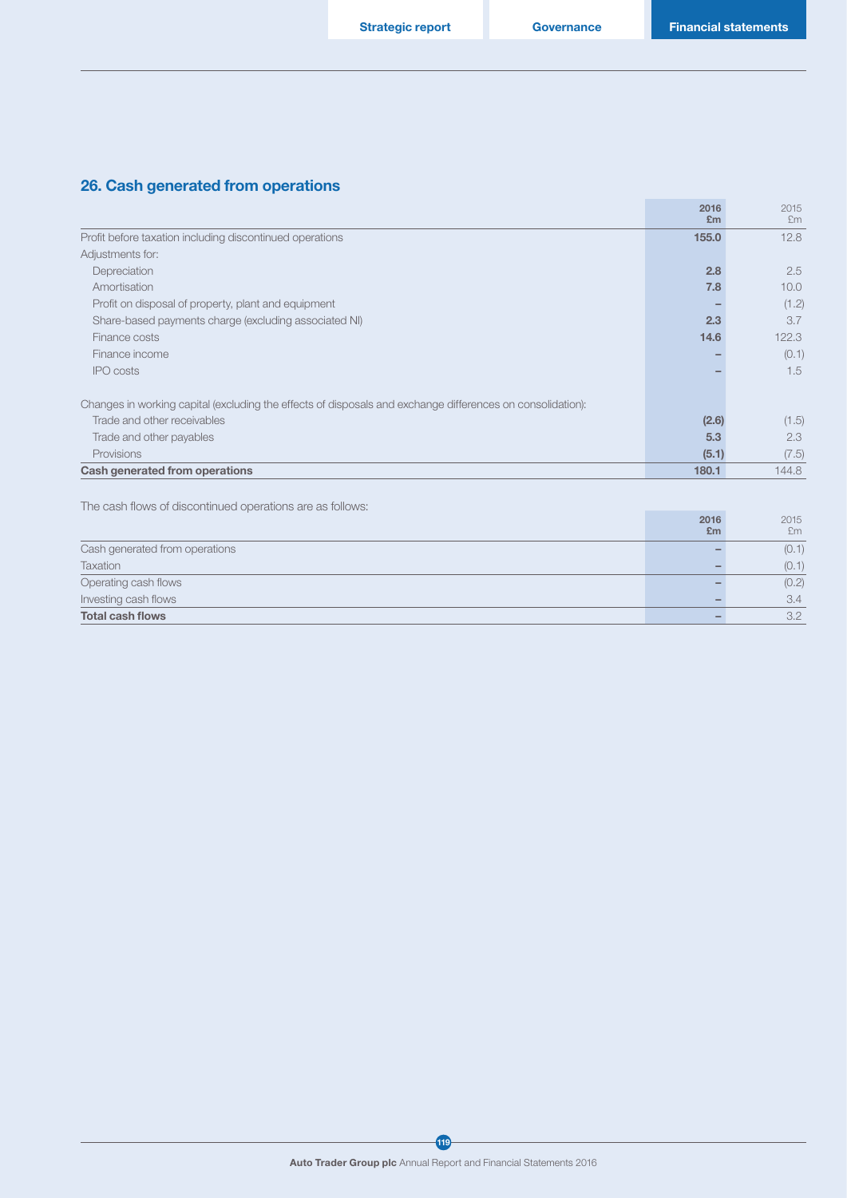## 26. Cash generated from operations

|                                                                                                            | 2016<br>E <sub>m</sub> | 2015<br>Em        |
|------------------------------------------------------------------------------------------------------------|------------------------|-------------------|
| Profit before taxation including discontinued operations                                                   | 155.0                  | 12.8              |
| Adjustments for:                                                                                           |                        |                   |
| Depreciation                                                                                               | 2.8                    | 2.5               |
| Amortisation                                                                                               | 7.8                    | 10.0 <sub>1</sub> |
| Profit on disposal of property, plant and equipment                                                        |                        | (1.2)             |
| Share-based payments charge (excluding associated NI)                                                      | 2.3                    | 3.7               |
| Finance costs                                                                                              | 14.6                   | 122.3             |
| Finance income                                                                                             |                        | (0.1)             |
| <b>IPO</b> costs                                                                                           |                        | 1.5               |
| Changes in working capital (excluding the effects of disposals and exchange differences on consolidation): |                        |                   |
| Trade and other receivables                                                                                | (2.6)                  | (1.5)             |
| Trade and other payables                                                                                   | 5.3                    | 2.3               |
| Provisions                                                                                                 | (5.1)                  | (7.5)             |
| Cash generated from operations                                                                             | 180.1                  | 144.8             |
|                                                                                                            |                        |                   |

The cash flows of discontinued operations are as follows:

| THE CASH HOWS OF GISCO RIFIGEO OPCREDIO TO ALC AS TOILOWS. | 2016<br>E <sub>m</sub> | 2015<br>Em |
|------------------------------------------------------------|------------------------|------------|
|                                                            |                        |            |
| Cash generated from operations                             |                        | (0.1)      |
| Taxation                                                   |                        | (0.1)      |
| Operating cash flows                                       |                        | (0.2)      |
| Investing cash flows                                       |                        | 3.4        |
| <b>Total cash flows</b>                                    |                        | 3.2        |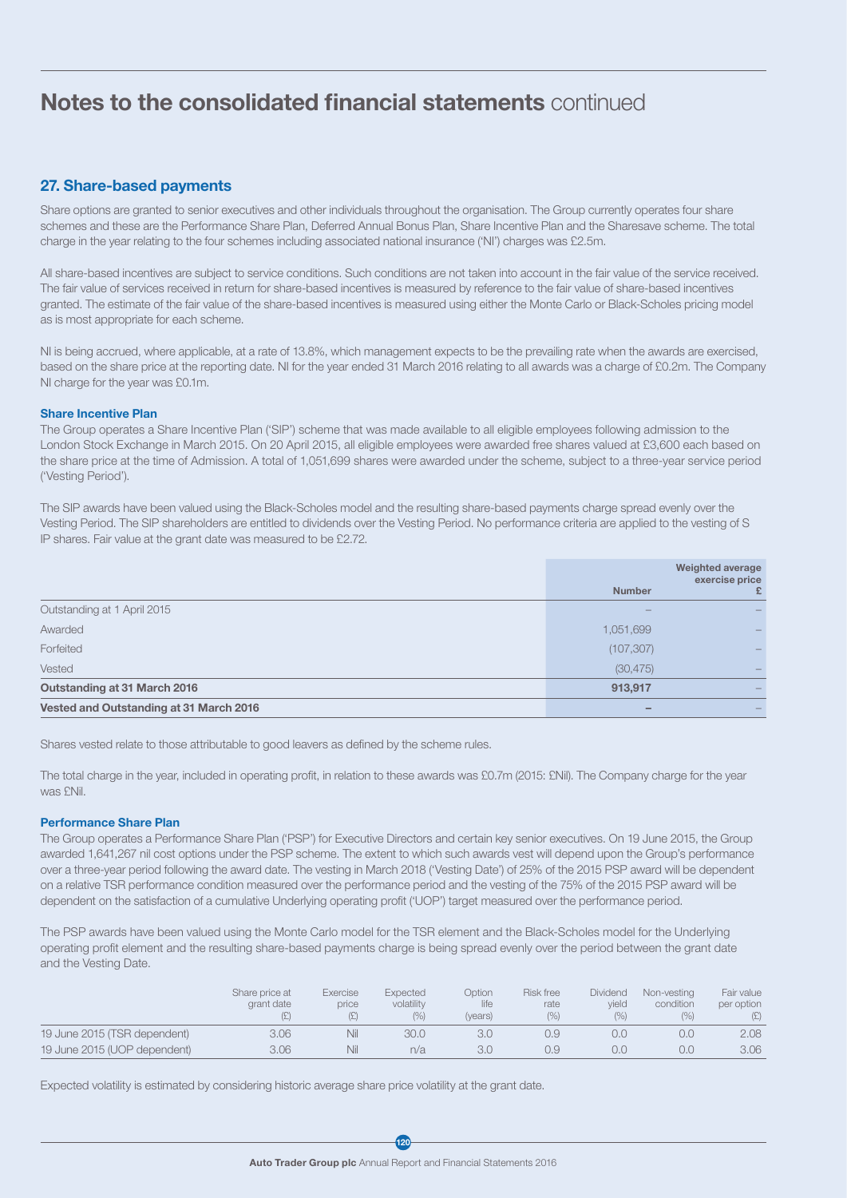## 27. Share-based payments

Share options are granted to senior executives and other individuals throughout the organisation. The Group currently operates four share schemes and these are the Performance Share Plan, Deferred Annual Bonus Plan, Share Incentive Plan and the Sharesave scheme. The total charge in the year relating to the four schemes including associated national insurance ('NI') charges was £2.5m.

All share-based incentives are subject to service conditions. Such conditions are not taken into account in the fair value of the service received. The fair value of services received in return for share-based incentives is measured by reference to the fair value of share-based incentives granted. The estimate of the fair value of the share-based incentives is measured using either the Monte Carlo or Black-Scholes pricing model as is most appropriate for each scheme.

NI is being accrued, where applicable, at a rate of 13.8%, which management expects to be the prevailing rate when the awards are exercised, based on the share price at the reporting date. NI for the year ended 31 March 2016 relating to all awards was a charge of £0.2m. The Company NI charge for the year was £0.1m.

#### Share Incentive Plan

The Group operates a Share Incentive Plan ('SIP') scheme that was made available to all eligible employees following admission to the London Stock Exchange in March 2015. On 20 April 2015, all eligible employees were awarded free shares valued at £3,600 each based on the share price at the time of Admission. A total of 1,051,699 shares were awarded under the scheme, subject to a three-year service period ('Vesting Period').

The SIP awards have been valued using the Black-Scholes model and the resulting share-based payments charge spread evenly over the Vesting Period. The SIP shareholders are entitled to dividends over the Vesting Period. No performance criteria are applied to the vesting of S IP shares. Fair value at the grant date was measured to be £2.72.

|                                         | <b>Number</b> | <b>Weighted average</b><br>exercise price  |
|-----------------------------------------|---------------|--------------------------------------------|
| Outstanding at 1 April 2015             |               |                                            |
| Awarded                                 | 1,051,699     |                                            |
| Forfeited                               | (107, 307)    | $\qquad \qquad \overline{\qquad \qquad }$  |
| Vested                                  | (30, 475)     | $\qquad \qquad \overline{\qquad \qquad }$  |
| Outstanding at 31 March 2016            | 913,917       | $\qquad \qquad \overline{\qquad \qquad }%$ |
| Vested and Outstanding at 31 March 2016 |               |                                            |

Shares vested relate to those attributable to good leavers as defined by the scheme rules.

The total charge in the year, included in operating profit, in relation to these awards was £0.7m (2015: £Nil). The Company charge for the year was £Nil.

#### Performance Share Plan

The Group operates a Performance Share Plan ('PSP') for Executive Directors and certain key senior executives. On 19 June 2015, the Group awarded 1,641,267 nil cost options under the PSP scheme. The extent to which such awards vest will depend upon the Group's performance over a three-year period following the award date. The vesting in March 2018 ('Vesting Date') of 25% of the 2015 PSP award will be dependent on a relative TSR performance condition measured over the performance period and the vesting of the 75% of the 2015 PSP award will be dependent on the satisfaction of a cumulative Underlying operating profit ('UOP') target measured over the performance period.

The PSP awards have been valued using the Monte Carlo model for the TSR element and the Black-Scholes model for the Underlying operating profit element and the resulting share-based payments charge is being spread evenly over the period between the grant date and the Vesting Date.

|                              | Share price at<br>grant date | Exercise<br>price | Expected<br>volatility<br>(% ) | <b>Option</b><br>life<br>(years) | <b>Risk free</b><br>rate<br>(% ) | Dividend<br>vield<br>(% ) | Non-vesting<br>condition<br>(9/0) | Fair value<br>per option |
|------------------------------|------------------------------|-------------------|--------------------------------|----------------------------------|----------------------------------|---------------------------|-----------------------------------|--------------------------|
| 19 June 2015 (TSR dependent) | 3.06                         | Nil               | 30.0                           | 3.0                              | 0.9                              |                           | 0.0                               | 2.08                     |
| 19 June 2015 (UOP dependent) | 3.06                         | Nil               | n/a                            | 3.0                              | 0.9                              |                           | 0.0                               | 3.06                     |

Expected volatility is estimated by considering historic average share price volatility at the grant date.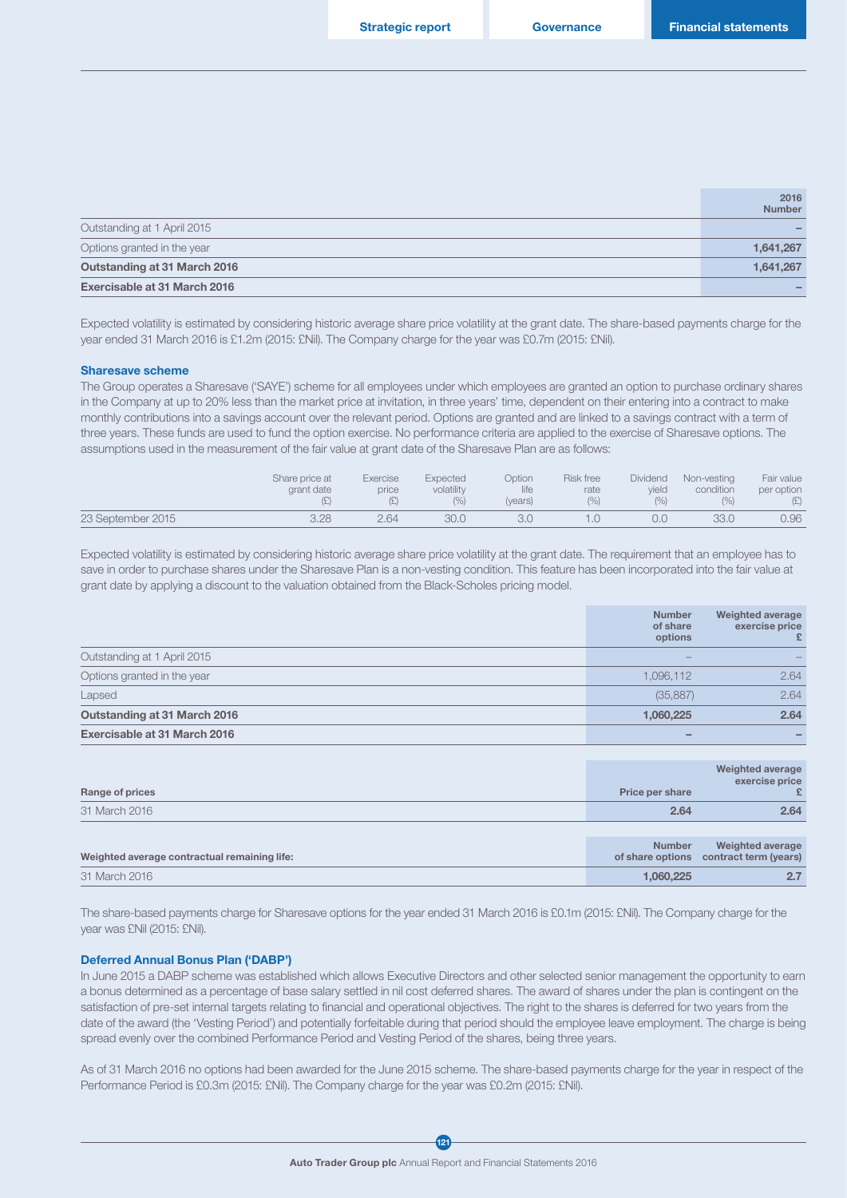|                              | 2016<br><b>Number</b> |
|------------------------------|-----------------------|
| Outstanding at 1 April 2015  |                       |
| Options granted in the year  | 1,641,267             |
| Outstanding at 31 March 2016 | 1,641,267             |
| Exercisable at 31 March 2016 |                       |

Expected volatility is estimated by considering historic average share price volatility at the grant date. The share-based payments charge for the year ended 31 March 2016 is £1.2m (2015: £Nil). The Company charge for the year was £0.7m (2015: £Nil).

#### Sharesave scheme

The Group operates a Sharesave ('SAYE') scheme for all employees under which employees are granted an option to purchase ordinary shares in the Company at up to 20% less than the market price at invitation, in three years' time, dependent on their entering into a contract to make monthly contributions into a savings account over the relevant period. Options are granted and are linked to a savings contract with a term of three years. These funds are used to fund the option exercise. No performance criteria are applied to the exercise of Sharesave options. The assumptions used in the measurement of the fair value at grant date of the Sharesave Plan are as follows:

|                   | Share price at<br>grant date | Exercise<br>price | Expected<br>volatility<br>(0/0) | <b>Option</b><br>life<br>(years) | Risk free<br>rate<br>(%) | Dividend<br>vield<br>(% ) | Non-vesting<br>condition<br>(0/0) | Fair value<br>per option |
|-------------------|------------------------------|-------------------|---------------------------------|----------------------------------|--------------------------|---------------------------|-----------------------------------|--------------------------|
| 23 September 2015 | 3.28                         | 2.64              | 30.0                            |                                  |                          | O.C                       | 33.0                              | 0.96                     |

Expected volatility is estimated by considering historic average share price volatility at the grant date. The requirement that an employee has to save in order to purchase shares under the Sharesave Plan is a non-vesting condition. This feature has been incorporated into the fair value at grant date by applying a discount to the valuation obtained from the Black-Scholes pricing model.

|                              | <b>Number</b><br>of share<br>options | Weighted average<br>exercise price |
|------------------------------|--------------------------------------|------------------------------------|
| Outstanding at 1 April 2015  | $\sim$                               |                                    |
| Options granted in the year  | 1.096.112                            | 2.64                               |
| Lapsed                       | (35, 887)                            | 2.64                               |
| Outstanding at 31 March 2016 | 1,060,225                            | 2.64                               |
| Exercisable at 31 March 2016 | $\overline{\phantom{a}}$             |                                    |

| Range of prices                              | Price per share | Weighted average<br>exercise price<br>£                           |
|----------------------------------------------|-----------------|-------------------------------------------------------------------|
| 31 March 2016                                | 2.64            | 2.64                                                              |
|                                              |                 |                                                                   |
| Weighted average contractual remaining life: | <b>Number</b>   | <b>Weighted average</b><br>of share options contract term (years) |
| 31 March 2016                                | 1,060,225       | 2.7                                                               |

The share-based payments charge for Sharesave options for the year ended 31 March 2016 is £0.1m (2015: £Nil). The Company charge for the year was £Nil (2015: £Nil).

#### Deferred Annual Bonus Plan ('DABP')

In June 2015 a DABP scheme was established which allows Executive Directors and other selected senior management the opportunity to earn a bonus determined as a percentage of base salary settled in nil cost deferred shares. The award of shares under the plan is contingent on the satisfaction of pre-set internal targets relating to financial and operational objectives. The right to the shares is deferred for two years from the date of the award (the 'Vesting Period') and potentially forfeitable during that period should the employee leave employment. The charge is being spread evenly over the combined Performance Period and Vesting Period of the shares, being three years.

As of 31 March 2016 no options had been awarded for the June 2015 scheme. The share-based payments charge for the year in respect of the Performance Period is £0.3m (2015: £Nil). The Company charge for the year was £0.2m (2015: £Nil).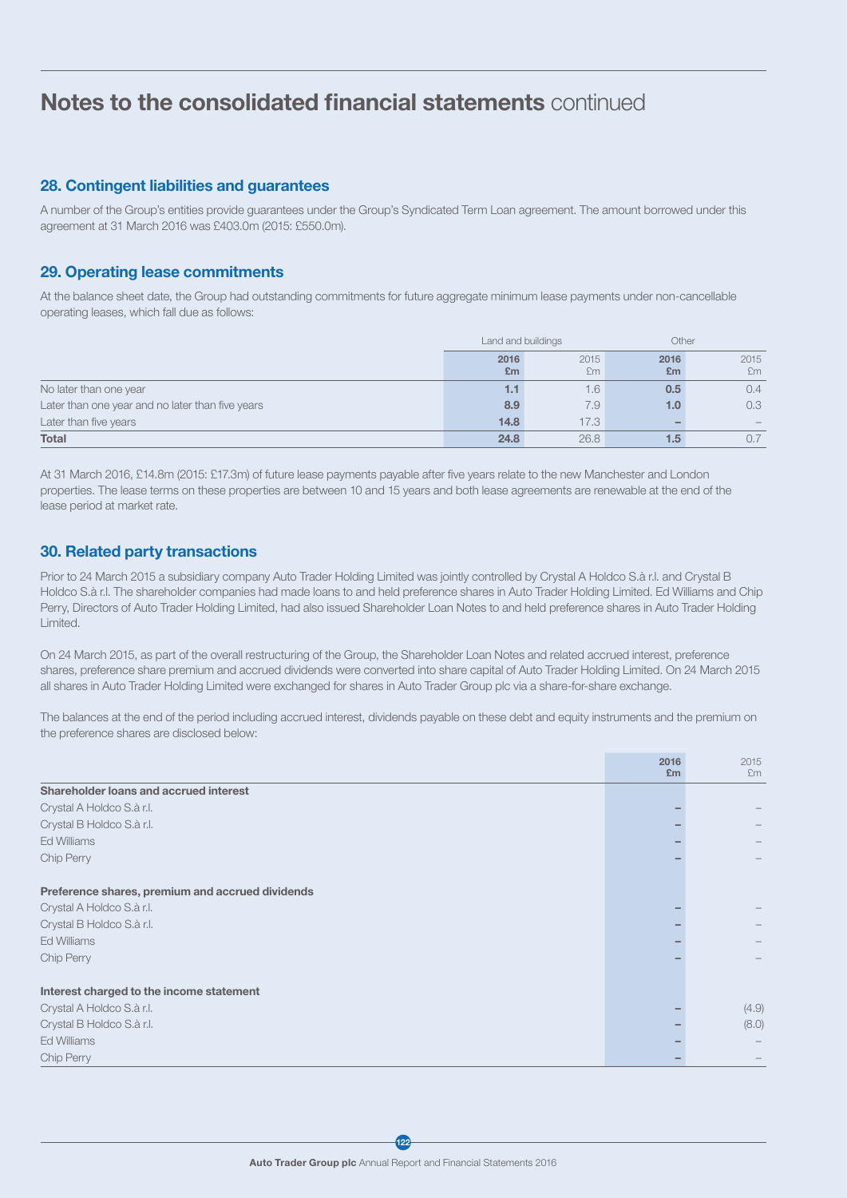### 28. Contingent liabilities and guarantees

A number of the Group's entities provide guarantees under the Group's Syndicated Term Loan agreement. The amount borrowed under this agreement at 31 March 2016 was £403.0m (2015: £550.0m).

## 29. Operating lease commitments

At the balance sheet date, the Group had outstanding commitments for future aggregate minimum lease payments under non-cancellable operating leases, which fall due as follows:

|                                                  | Land and buildings     |            | Other                  |            |
|--------------------------------------------------|------------------------|------------|------------------------|------------|
|                                                  | 2016<br>E <sub>m</sub> | 2015<br>£m | 2016<br>E <sub>m</sub> | 2015<br>£m |
| No later than one year                           | 1.1                    | 6.1        | 0.5                    | 0.4        |
| Later than one year and no later than five years | 8.9                    | 7.9        | 1.0                    | 0.3        |
| Later than five years                            | 14.8                   | 17.3       |                        |            |
| <b>Total</b>                                     | 24.8                   | 26.8       | $1.5^{\circ}$          |            |

At 31 March 2016, £14.8m (2015: £17.3m) of future lease payments payable after five years relate to the new Manchester and London properties. The lease terms on these properties are between 10 and 15 years and both lease agreements are renewable at the end of the lease period at market rate.

## 30. Related party transactions

Prior to 24 March 2015 a subsidiary company Auto Trader Holding Limited was jointly controlled by Crystal A Holdco S.à r.l. and Crystal B Holdco S.à r.l. The shareholder companies had made loans to and held preference shares in Auto Trader Holding Limited. Ed Williams and Chip Perry, Directors of Auto Trader Holding Limited, had also issued Shareholder Loan Notes to and held preference shares in Auto Trader Holding Limited.

On 24 March 2015, as part of the overall restructuring of the Group, the Shareholder Loan Notes and related accrued interest, preference shares, preference share premium and accrued dividends were converted into share capital of Auto Trader Holding Limited. On 24 March 2015 all shares in Auto Trader Holding Limited were exchanged for shares in Auto Trader Group plc via a share-for-share exchange.

The balances at the end of the period including accrued interest, dividends payable on these debt and equity instruments and the premium on the preference shares are disclosed below:

|                                                  | 2016<br>£m | 2015<br>Em |
|--------------------------------------------------|------------|------------|
| Shareholder loans and accrued interest           |            |            |
| Crystal A Holdco S.à r.l.                        |            |            |
| Crystal B Holdco S.à r.l.                        |            |            |
| <b>Ed Williams</b>                               |            |            |
| Chip Perry                                       |            |            |
| Preference shares, premium and accrued dividends |            |            |
| Crystal A Holdco S.à r.l.                        |            |            |
| Crystal B Holdco S.à r.l.                        |            |            |
| Ed Williams                                      |            |            |
| Chip Perry                                       |            |            |
| Interest charged to the income statement         |            |            |
| Crystal A Holdco S.à r.l.                        |            | (4.9)      |
| Crystal B Holdco S.à r.l.                        |            | (8.0)      |
| Ed Williams                                      |            |            |
| Chip Perry                                       |            |            |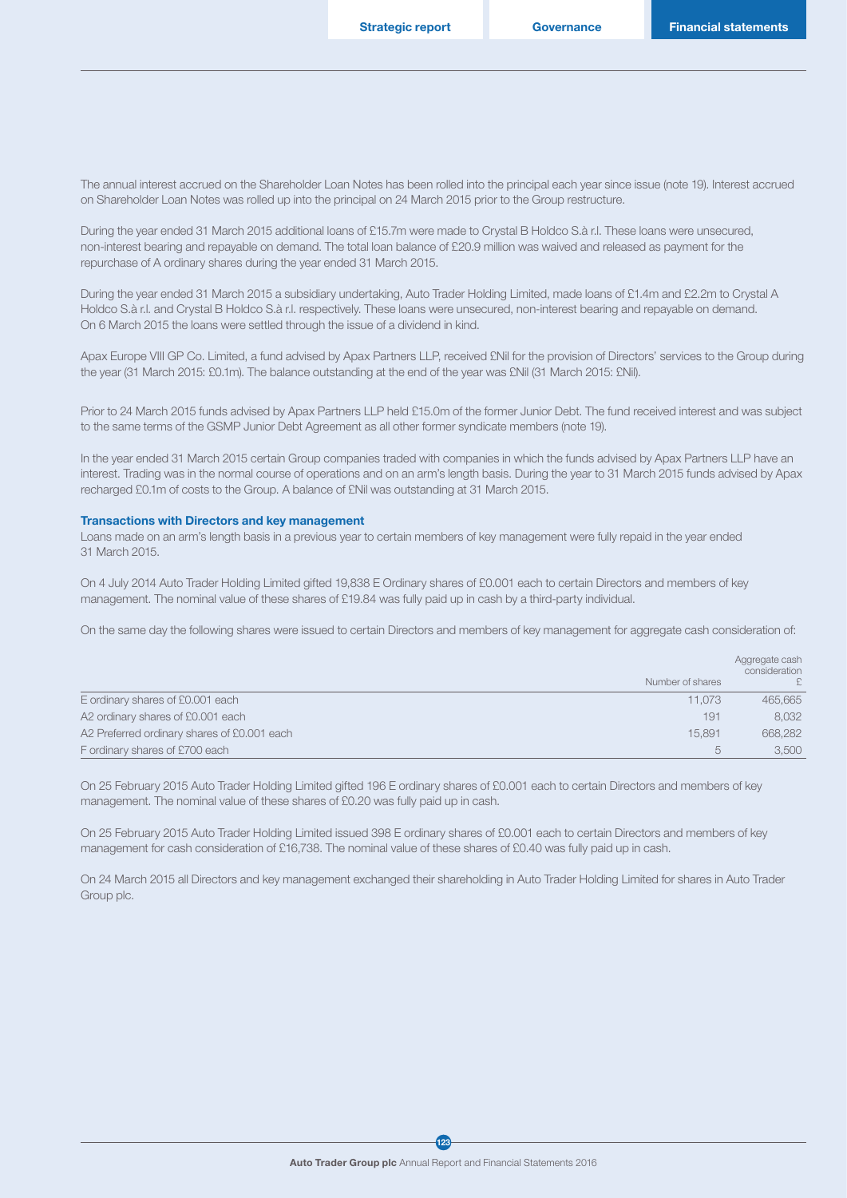The annual interest accrued on the Shareholder Loan Notes has been rolled into the principal each year since issue (note 19). Interest accrued on Shareholder Loan Notes was rolled up into the principal on 24 March 2015 prior to the Group restructure.

During the year ended 31 March 2015 additional loans of £15.7m were made to Crystal B Holdco S.à r.l. These loans were unsecured, non-interest bearing and repayable on demand. The total loan balance of £20.9 million was waived and released as payment for the repurchase of A ordinary shares during the year ended 31 March 2015.

During the year ended 31 March 2015 a subsidiary undertaking, Auto Trader Holding Limited, made loans of £1.4m and £2.2m to Crystal A Holdco S.à r.l. and Crystal B Holdco S.à r.l. respectively. These loans were unsecured, non-interest bearing and repayable on demand. On 6 March 2015 the loans were settled through the issue of a dividend in kind.

Apax Europe VIII GP Co. Limited, a fund advised by Apax Partners LLP, received £Nil for the provision of Directors' services to the Group during the year (31 March 2015: £0.1m). The balance outstanding at the end of the year was £Nil (31 March 2015: £Nil).

Prior to 24 March 2015 funds advised by Apax Partners LLP held £15.0m of the former Junior Debt. The fund received interest and was subject to the same terms of the GSMP Junior Debt Agreement as all other former syndicate members (note 19).

In the year ended 31 March 2015 certain Group companies traded with companies in which the funds advised by Apax Partners LLP have an interest. Trading was in the normal course of operations and on an arm's length basis. During the year to 31 March 2015 funds advised by Apax recharged £0.1m of costs to the Group. A balance of £Nil was outstanding at 31 March 2015.

#### Transactions with Directors and key management

Loans made on an arm's length basis in a previous year to certain members of key management were fully repaid in the year ended 31 March 2015.

On 4 July 2014 Auto Trader Holding Limited gifted 19,838 E Ordinary shares of £0.001 each to certain Directors and members of key management. The nominal value of these shares of £19.84 was fully paid up in cash by a third-party individual.

On the same day the following shares were issued to certain Directors and members of key management for aggregate cash consideration of:

|                                             |                  | Aggregate cash<br>consideration |
|---------------------------------------------|------------------|---------------------------------|
|                                             | Number of shares |                                 |
| E ordinary shares of £0.001 each            | 11,073           | 465,665                         |
| A2 ordinary shares of £0.001 each           | 191              | 8.032                           |
| A2 Preferred ordinary shares of £0.001 each | 15.891           | 668,282                         |
| F ordinary shares of £700 each              | b                | 3,500                           |

On 25 February 2015 Auto Trader Holding Limited gifted 196 E ordinary shares of £0.001 each to certain Directors and members of key management. The nominal value of these shares of £0.20 was fully paid up in cash.

On 25 February 2015 Auto Trader Holding Limited issued 398 E ordinary shares of £0.001 each to certain Directors and members of key management for cash consideration of £16,738. The nominal value of these shares of £0.40 was fully paid up in cash.

On 24 March 2015 all Directors and key management exchanged their shareholding in Auto Trader Holding Limited for shares in Auto Trader Group plc.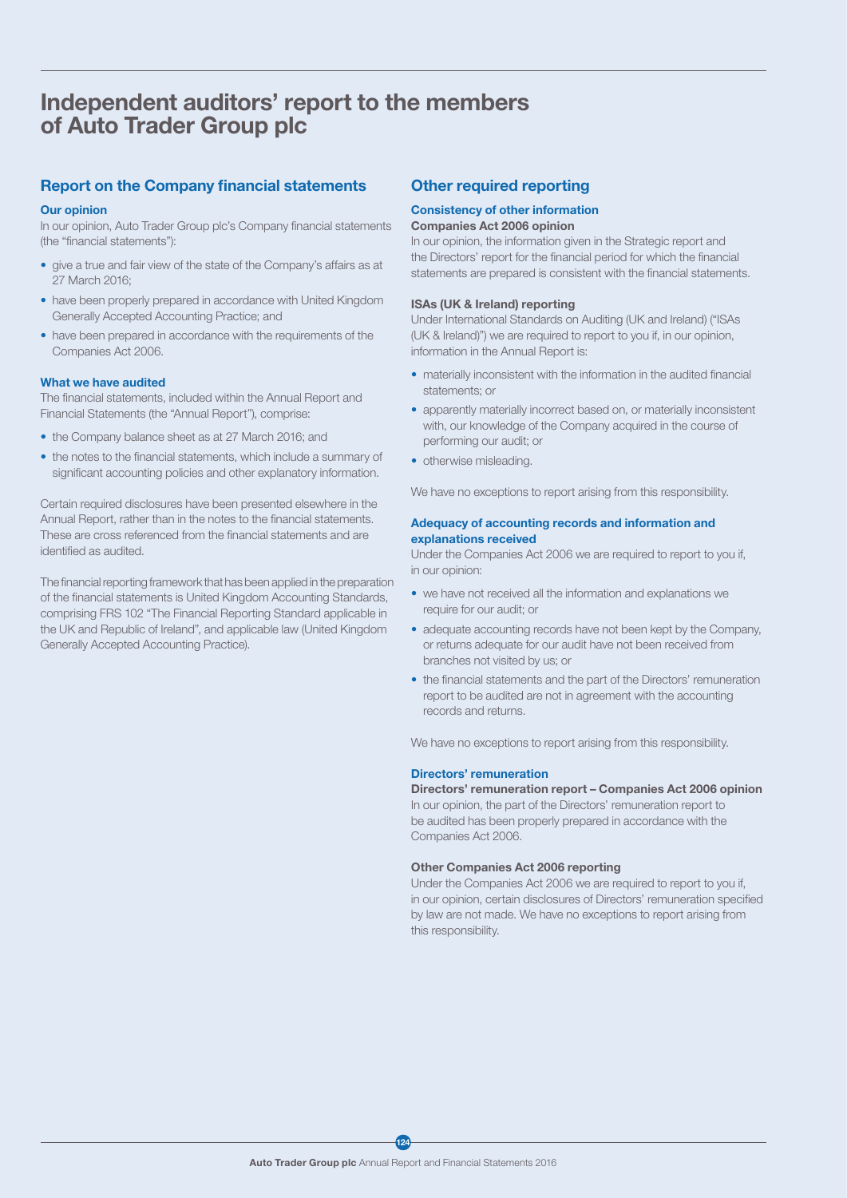## Independent auditors' report to the members of Auto Trader Group plc

## Report on the Company financial statements

#### Our opinion

In our opinion, Auto Trader Group plc's Company financial statements (the "financial statements"):

- give a true and fair view of the state of the Company's affairs as at 27 March 2016;
- have been properly prepared in accordance with United Kingdom Generally Accepted Accounting Practice; and
- have been prepared in accordance with the requirements of the Companies Act 2006.

#### What we have audited

The financial statements, included within the Annual Report and Financial Statements (the "Annual Report"), comprise:

- the Company balance sheet as at 27 March 2016; and
- the notes to the financial statements, which include a summary of significant accounting policies and other explanatory information.

Certain required disclosures have been presented elsewhere in the Annual Report, rather than in the notes to the financial statements. These are cross referenced from the financial statements and are identified as audited.

The financial reporting framework that has been applied in the preparation of the financial statements is United Kingdom Accounting Standards, comprising FRS 102 "The Financial Reporting Standard applicable in the UK and Republic of Ireland", and applicable law (United Kingdom Generally Accepted Accounting Practice).

### Other required reporting

## Consistency of other information

### Companies Act 2006 opinion

In our opinion, the information given in the Strategic report and the Directors' report for the financial period for which the financial statements are prepared is consistent with the financial statements.

#### ISAs (UK & Ireland) reporting

Under International Standards on Auditing (UK and Ireland) ("ISAs (UK & Ireland)") we are required to report to you if, in our opinion, information in the Annual Report is:

- materially inconsistent with the information in the audited financial statements; or
- apparently materially incorrect based on, or materially inconsistent with, our knowledge of the Company acquired in the course of performing our audit; or
- otherwise misleading.

We have no exceptions to report arising from this responsibility.

#### Adequacy of accounting records and information and explanations received

Under the Companies Act 2006 we are required to report to you if, in our opinion:

- we have not received all the information and explanations we require for our audit; or
- adequate accounting records have not been kept by the Company, or returns adequate for our audit have not been received from branches not visited by us; or
- the financial statements and the part of the Directors' remuneration report to be audited are not in agreement with the accounting records and returns.

We have no exceptions to report arising from this responsibility.

#### Directors' remuneration

Directors' remuneration report – Companies Act 2006 opinion In our opinion, the part of the Directors' remuneration report to be audited has been properly prepared in accordance with the Companies Act 2006.

#### Other Companies Act 2006 reporting

Under the Companies Act 2006 we are required to report to you if, in our opinion, certain disclosures of Directors' remuneration specified by law are not made. We have no exceptions to report arising from this responsibility.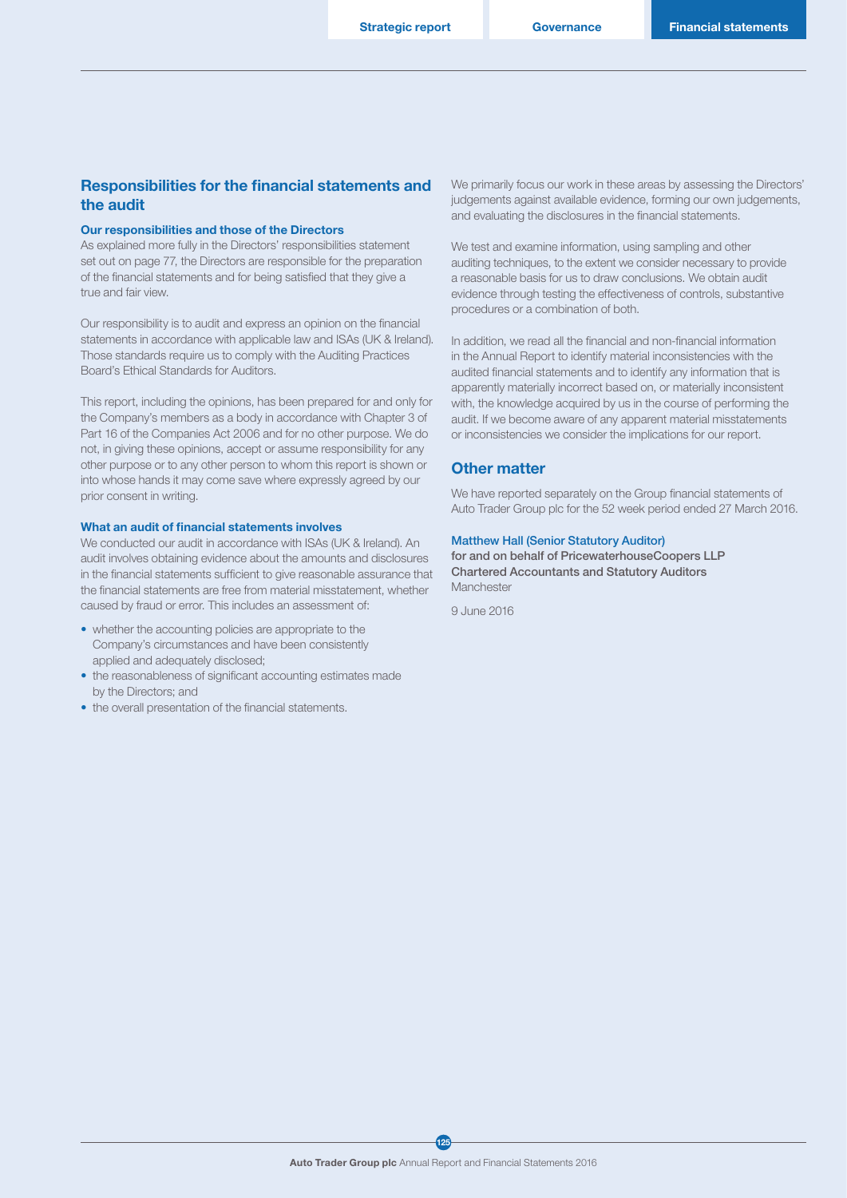**Governance** 

### Responsibilities for the financial statements and the audit

#### Our responsibilities and those of the Directors

As explained more fully in the Directors' responsibilities statement set out on page 77, the Directors are responsible for the preparation of the financial statements and for being satisfied that they give a true and fair view.

Our responsibility is to audit and express an opinion on the financial statements in accordance with applicable law and ISAs (UK & Ireland). Those standards require us to comply with the Auditing Practices Board's Ethical Standards for Auditors.

This report, including the opinions, has been prepared for and only for the Company's members as a body in accordance with Chapter 3 of Part 16 of the Companies Act 2006 and for no other purpose. We do not, in giving these opinions, accept or assume responsibility for any other purpose or to any other person to whom this report is shown or into whose hands it may come save where expressly agreed by our prior consent in writing.

#### What an audit of financial statements involves

We conducted our audit in accordance with ISAs (UK & Ireland). An audit involves obtaining evidence about the amounts and disclosures in the financial statements sufficient to give reasonable assurance that the financial statements are free from material misstatement, whether caused by fraud or error. This includes an assessment of:

- whether the accounting policies are appropriate to the Company's circumstances and have been consistently applied and adequately disclosed;
- the reasonableness of significant accounting estimates made by the Directors; and
- the overall presentation of the financial statements.

We primarily focus our work in these areas by assessing the Directors' judgements against available evidence, forming our own judgements, and evaluating the disclosures in the financial statements.

We test and examine information, using sampling and other auditing techniques, to the extent we consider necessary to provide a reasonable basis for us to draw conclusions. We obtain audit evidence through testing the effectiveness of controls, substantive procedures or a combination of both.

In addition, we read all the financial and non-financial information in the Annual Report to identify material inconsistencies with the audited financial statements and to identify any information that is apparently materially incorrect based on, or materially inconsistent with, the knowledge acquired by us in the course of performing the audit. If we become aware of any apparent material misstatements or inconsistencies we consider the implications for our report.

#### Other matter

We have reported separately on the Group financial statements of Auto Trader Group plc for the 52 week period ended 27 March 2016.

#### Matthew Hall (Senior Statutory Auditor)

for and on behalf of PricewaterhouseCoopers LLP Chartered Accountants and Statutory Auditors Manchester

9 June 2016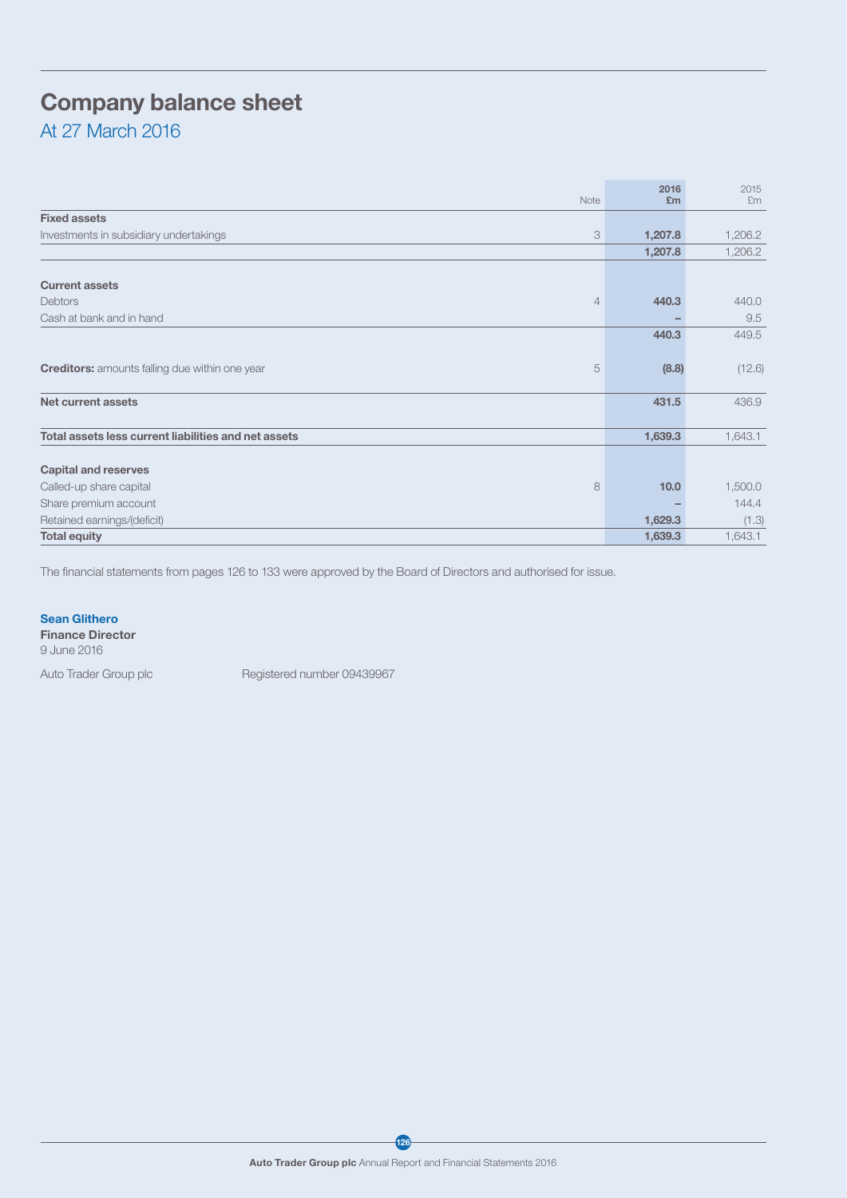## Company balance sheet

At 27 March 2016

| Note                                                       | 2016<br>Em | 2015<br>Em |
|------------------------------------------------------------|------------|------------|
| <b>Fixed assets</b>                                        |            |            |
| 3<br>Investments in subsidiary undertakings                | 1,207.8    | 1,206.2    |
|                                                            | 1,207.8    | 1,206.2    |
|                                                            |            |            |
| <b>Current assets</b>                                      |            |            |
| Debtors<br>4                                               | 440.3      | 440.0      |
| Cash at bank and in hand                                   |            | 9.5        |
|                                                            | 440.3      | 449.5      |
|                                                            |            |            |
| 5<br><b>Creditors:</b> amounts falling due within one year | (8.8)      | (12.6)     |
|                                                            |            |            |
| Net current assets                                         | 431.5      | 436.9      |
|                                                            |            |            |
| Total assets less current liabilities and net assets       | 1,639.3    | 1,643.1    |
|                                                            |            |            |
| <b>Capital and reserves</b>                                |            |            |
| Called-up share capital<br>8                               | 10.0       | 1,500.0    |
| Share premium account                                      |            | 144.4      |
| Retained earnings/(deficit)                                | 1,629.3    | (1.3)      |
| <b>Total equity</b>                                        | 1,639.3    | 1,643.1    |

The financial statements from pages 126 to 133 were approved by the Board of Directors and authorised for issue.

#### Sean Glithero

Finance Director

9 June 2016

Auto Trader Group plc Registered number 09439967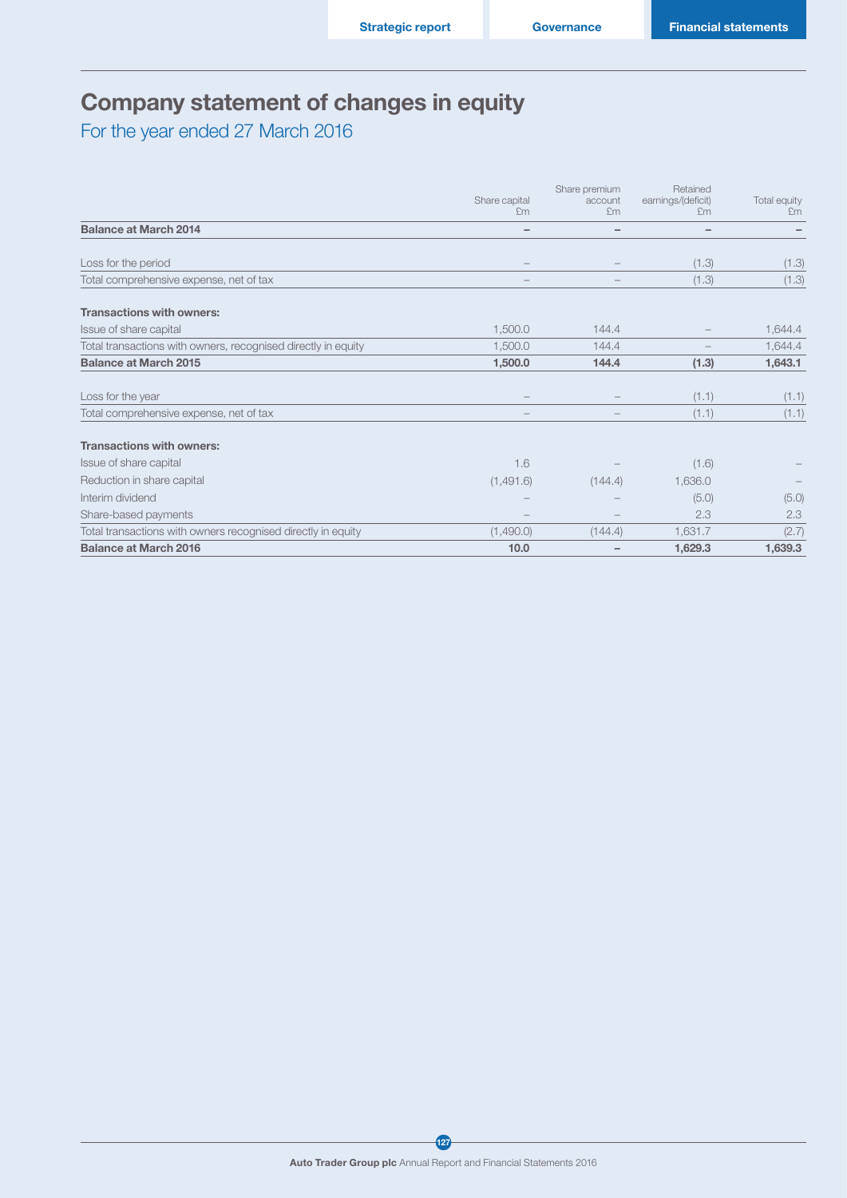## Company statement of changes in equity

For the year ended 27 March 2016

|                                                               |                     | Share premium            | Retained                 |                    |
|---------------------------------------------------------------|---------------------|--------------------------|--------------------------|--------------------|
|                                                               | Share capital<br>£m | account<br>£m            | earnings/(deficit)<br>£m | Total equity<br>Em |
| <b>Balance at March 2014</b>                                  | -                   | $\overline{\phantom{0}}$ | $\overline{\phantom{0}}$ |                    |
| Loss for the period                                           |                     |                          | (1.3)                    | (1.3)              |
| Total comprehensive expense, net of tax                       |                     |                          | (1.3)                    | (1.3)              |
| <b>Transactions with owners:</b>                              |                     |                          |                          |                    |
| Issue of share capital                                        | 1,500.0             | 144.4                    |                          | 1,644.4            |
| Total transactions with owners, recognised directly in equity | 1,500.0             | 144.4                    |                          | 1,644.4            |
| <b>Balance at March 2015</b>                                  | 1,500.0             | 144.4                    | (1.3)                    | 1,643.1            |
| Loss for the year                                             |                     |                          | (1.1)                    | (1.1)              |
| Total comprehensive expense, net of tax                       |                     |                          | (1.1)                    | (1.1)              |
| <b>Transactions with owners:</b>                              |                     |                          |                          |                    |
| Issue of share capital                                        | 1.6                 |                          | (1.6)                    |                    |
| Reduction in share capital                                    | (1,491.6)           | (144.4)                  | 1,636.0                  |                    |
| Interim dividend                                              |                     |                          | (5.0)                    | (5.0)              |
| Share-based payments                                          |                     |                          | 2.3                      | 2.3                |
| Total transactions with owners recognised directly in equity  | (1,490.0)           | (144.4)                  | 1,631.7                  | (2.7)              |
| <b>Balance at March 2016</b>                                  | 10.0                |                          | 1,629.3                  | 1,639.3            |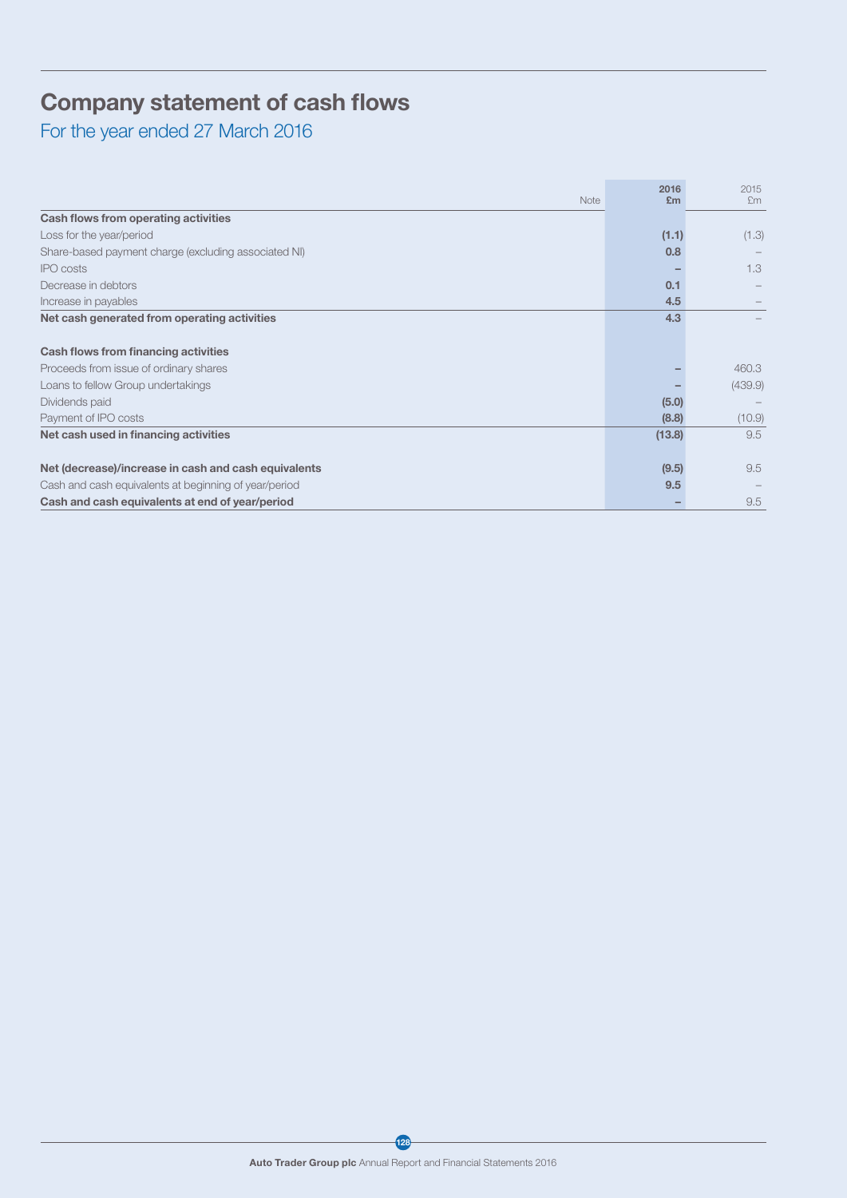## Company statement of cash flows

For the year ended 27 March 2016

| Note                                                  | 2016<br>E <sub>m</sub> | 2015<br>Em |
|-------------------------------------------------------|------------------------|------------|
| Cash flows from operating activities                  |                        |            |
| Loss for the year/period                              | (1.1)                  | (1.3)      |
| Share-based payment charge (excluding associated NI)  | 0.8                    |            |
| <b>IPO</b> costs                                      |                        | 1.3        |
| Decrease in debtors                                   | 0.1                    |            |
| Increase in payables                                  | 4.5                    |            |
| Net cash generated from operating activities          | 4.3                    |            |
|                                                       |                        |            |
| Cash flows from financing activities                  |                        |            |
| Proceeds from issue of ordinary shares                |                        | 460.3      |
| Loans to fellow Group undertakings                    |                        | (439.9)    |
| Dividends paid                                        | (5.0)                  |            |
| Payment of IPO costs                                  | (8.8)                  | (10.9)     |
| Net cash used in financing activities                 | (13.8)                 | 9.5        |
|                                                       |                        |            |
| Net (decrease)/increase in cash and cash equivalents  | (9.5)                  | 9.5        |
| Cash and cash equivalents at beginning of year/period | 9.5                    |            |
| Cash and cash equivalents at end of year/period       |                        | 9.5        |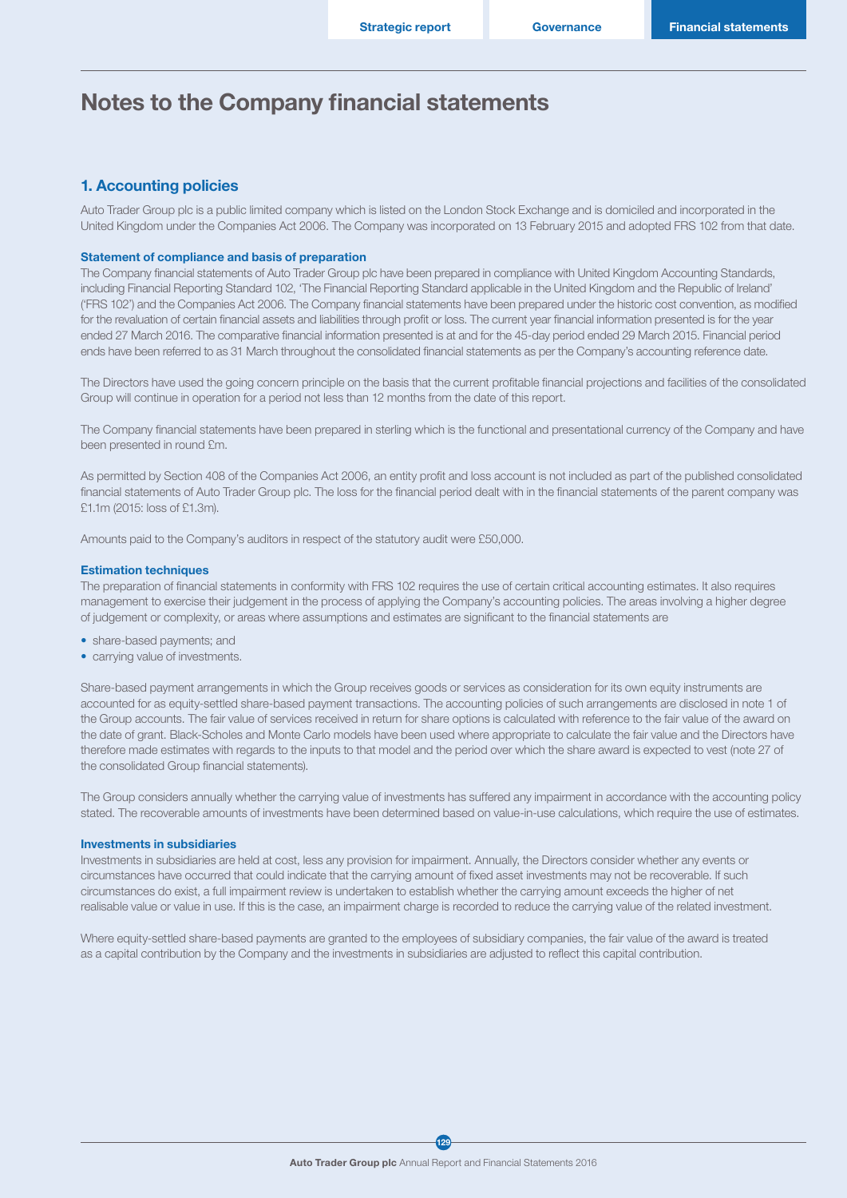## Notes to the Company financial statements

### 1. Accounting policies

Auto Trader Group plc is a public limited company which is listed on the London Stock Exchange and is domiciled and incorporated in the United Kingdom under the Companies Act 2006. The Company was incorporated on 13 February 2015 and adopted FRS 102 from that date.

#### Statement of compliance and basis of preparation

The Company financial statements of Auto Trader Group plc have been prepared in compliance with United Kingdom Accounting Standards, including Financial Reporting Standard 102, 'The Financial Reporting Standard applicable in the United Kingdom and the Republic of Ireland' ('FRS 102') and the Companies Act 2006. The Company financial statements have been prepared under the historic cost convention, as modified for the revaluation of certain financial assets and liabilities through profit or loss. The current year financial information presented is for the year ended 27 March 2016. The comparative financial information presented is at and for the 45-day period ended 29 March 2015. Financial period ends have been referred to as 31 March throughout the consolidated financial statements as per the Company's accounting reference date.

The Directors have used the going concern principle on the basis that the current profitable financial projections and facilities of the consolidated Group will continue in operation for a period not less than 12 months from the date of this report.

The Company financial statements have been prepared in sterling which is the functional and presentational currency of the Company and have been presented in round £m.

As permitted by Section 408 of the Companies Act 2006, an entity profit and loss account is not included as part of the published consolidated financial statements of Auto Trader Group plc. The loss for the financial period dealt with in the financial statements of the parent company was £1.1m (2015: loss of £1.3m).

Amounts paid to the Company's auditors in respect of the statutory audit were £50,000.

#### Estimation techniques

The preparation of financial statements in conformity with FRS 102 requires the use of certain critical accounting estimates. It also requires management to exercise their judgement in the process of applying the Company's accounting policies. The areas involving a higher degree of judgement or complexity, or areas where assumptions and estimates are significant to the financial statements are

- share-based payments; and
- carrying value of investments.

Share-based payment arrangements in which the Group receives goods or services as consideration for its own equity instruments are accounted for as equity-settled share-based payment transactions. The accounting policies of such arrangements are disclosed in note 1 of the Group accounts. The fair value of services received in return for share options is calculated with reference to the fair value of the award on the date of grant. Black-Scholes and Monte Carlo models have been used where appropriate to calculate the fair value and the Directors have therefore made estimates with regards to the inputs to that model and the period over which the share award is expected to vest (note 27 of the consolidated Group financial statements).

The Group considers annually whether the carrying value of investments has suffered any impairment in accordance with the accounting policy stated. The recoverable amounts of investments have been determined based on value-in-use calculations, which require the use of estimates.

#### Investments in subsidiaries

Investments in subsidiaries are held at cost, less any provision for impairment. Annually, the Directors consider whether any events or circumstances have occurred that could indicate that the carrying amount of fixed asset investments may not be recoverable. If such circumstances do exist, a full impairment review is undertaken to establish whether the carrying amount exceeds the higher of net realisable value or value in use. If this is the case, an impairment charge is recorded to reduce the carrying value of the related investment.

Where equity-settled share-based payments are granted to the employees of subsidiary companies, the fair value of the award is treated as a capital contribution by the Company and the investments in subsidiaries are adjusted to reflect this capital contribution.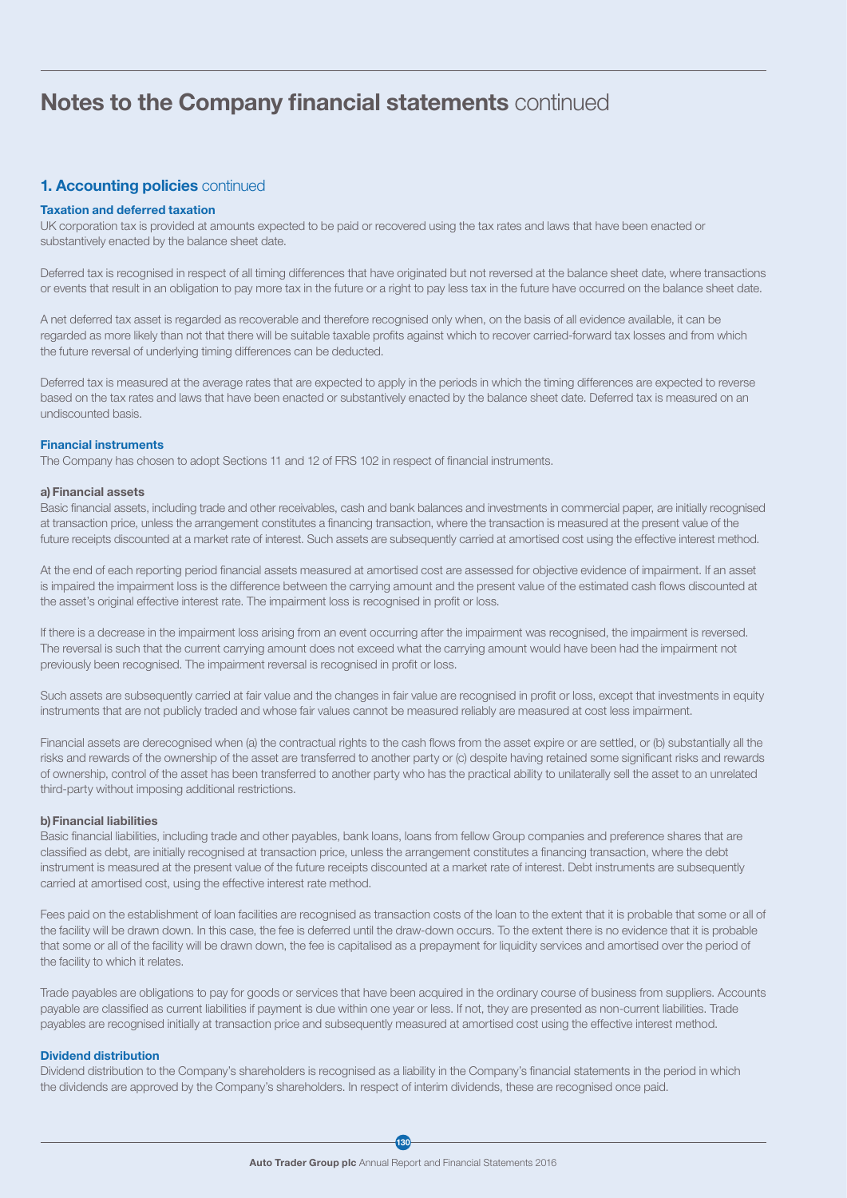## Notes to the Company financial statements continued

## 1. Accounting policies continued

#### Taxation and deferred taxation

UK corporation tax is provided at amounts expected to be paid or recovered using the tax rates and laws that have been enacted or substantively enacted by the balance sheet date.

Deferred tax is recognised in respect of all timing differences that have originated but not reversed at the balance sheet date, where transactions or events that result in an obligation to pay more tax in the future or a right to pay less tax in the future have occurred on the balance sheet date.

A net deferred tax asset is regarded as recoverable and therefore recognised only when, on the basis of all evidence available, it can be regarded as more likely than not that there will be suitable taxable profits against which to recover carried-forward tax losses and from which the future reversal of underlying timing differences can be deducted.

Deferred tax is measured at the average rates that are expected to apply in the periods in which the timing differences are expected to reverse based on the tax rates and laws that have been enacted or substantively enacted by the balance sheet date. Deferred tax is measured on an undiscounted basis.

### Financial instruments

The Company has chosen to adopt Sections 11 and 12 of FRS 102 in respect of financial instruments.

#### a)Financial assets

Basic financial assets, including trade and other receivables, cash and bank balances and investments in commercial paper, are initially recognised at transaction price, unless the arrangement constitutes a financing transaction, where the transaction is measured at the present value of the future receipts discounted at a market rate of interest. Such assets are subsequently carried at amortised cost using the effective interest method.

At the end of each reporting period financial assets measured at amortised cost are assessed for objective evidence of impairment. If an asset is impaired the impairment loss is the difference between the carrying amount and the present value of the estimated cash flows discounted at the asset's original effective interest rate. The impairment loss is recognised in profit or loss.

If there is a decrease in the impairment loss arising from an event occurring after the impairment was recognised, the impairment is reversed. The reversal is such that the current carrying amount does not exceed what the carrying amount would have been had the impairment not previously been recognised. The impairment reversal is recognised in profit or loss.

Such assets are subsequently carried at fair value and the changes in fair value are recognised in profit or loss, except that investments in equity instruments that are not publicly traded and whose fair values cannot be measured reliably are measured at cost less impairment.

Financial assets are derecognised when (a) the contractual rights to the cash flows from the asset expire or are settled, or (b) substantially all the risks and rewards of the ownership of the asset are transferred to another party or (c) despite having retained some significant risks and rewards of ownership, control of the asset has been transferred to another party who has the practical ability to unilaterally sell the asset to an unrelated third-party without imposing additional restrictions.

### b)Financial liabilities

Basic financial liabilities, including trade and other payables, bank loans, loans from fellow Group companies and preference shares that are classified as debt, are initially recognised at transaction price, unless the arrangement constitutes a financing transaction, where the debt instrument is measured at the present value of the future receipts discounted at a market rate of interest. Debt instruments are subsequently carried at amortised cost, using the effective interest rate method.

Fees paid on the establishment of loan facilities are recognised as transaction costs of the loan to the extent that it is probable that some or all of the facility will be drawn down. In this case, the fee is deferred until the draw-down occurs. To the extent there is no evidence that it is probable that some or all of the facility will be drawn down, the fee is capitalised as a prepayment for liquidity services and amortised over the period of the facility to which it relates.

Trade payables are obligations to pay for goods or services that have been acquired in the ordinary course of business from suppliers. Accounts payable are classified as current liabilities if payment is due within one year or less. If not, they are presented as non-current liabilities. Trade payables are recognised initially at transaction price and subsequently measured at amortised cost using the effective interest method.

#### Dividend distribution

Dividend distribution to the Company's shareholders is recognised as a liability in the Company's financial statements in the period in which the dividends are approved by the Company's shareholders. In respect of interim dividends, these are recognised once paid.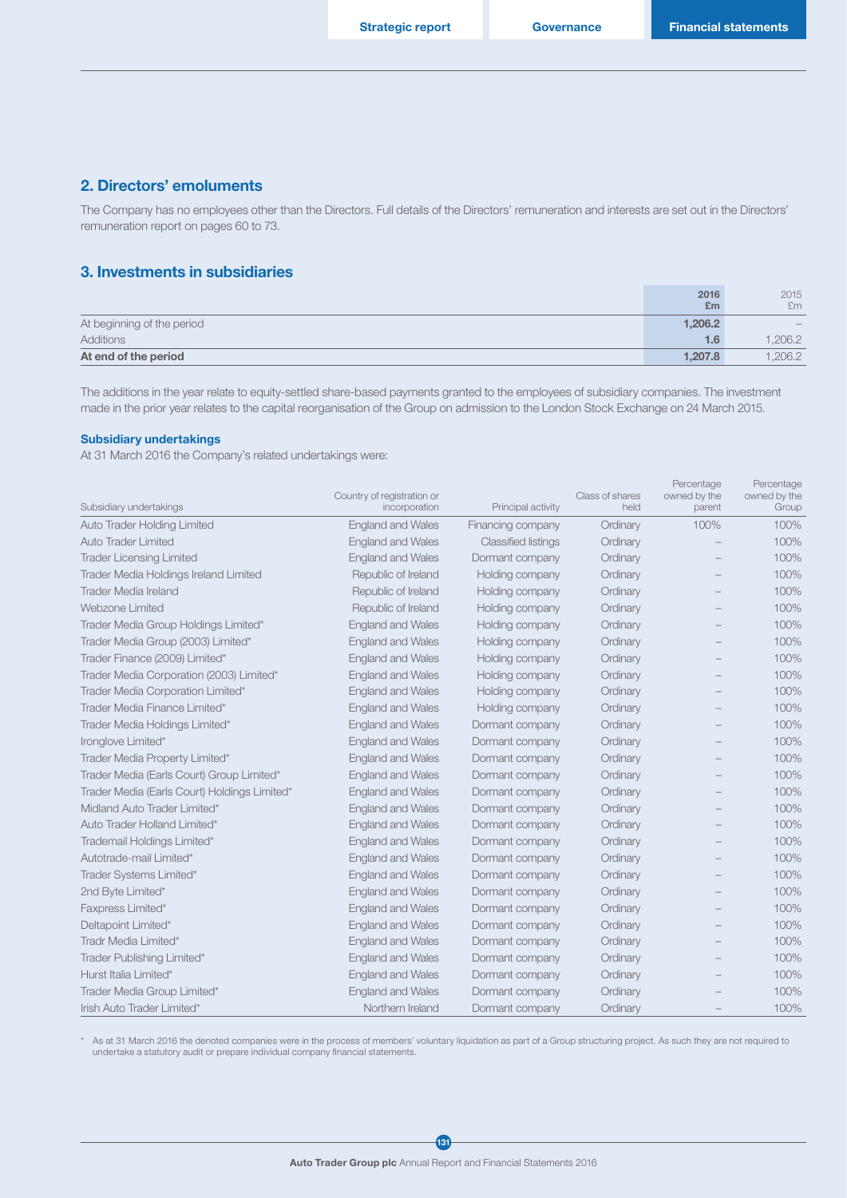### 2. Directors' emoluments

The Company has no employees other than the Directors. Full details of the Directors' remuneration and interests are set out in the Directors' remuneration report on pages 60 to 73.

## 3. Investments in subsidiaries

|                            | 2016    | 2015   |
|----------------------------|---------|--------|
|                            | Em      | £m     |
| At beginning of the period | 1,206.2 | $\sim$ |
| Additions                  | 1.6     | .206.2 |
| At end of the period       | 1.207.8 | .206.2 |

The additions in the year relate to equity-settled share-based payments granted to the employees of subsidiary companies. The investment made in the prior year relates to the capital reorganisation of the Group on admission to the London Stock Exchange on 24 March 2015.

#### Subsidiary undertakings

At 31 March 2016 the Company's related undertakings were:

| Subsidiary undertakings                      | Country of registration or<br>incorporation | Principal activity         | Class of shares<br>held | Percentage<br>owned by the<br>parent | Percentage<br>owned by the<br>Group |
|----------------------------------------------|---------------------------------------------|----------------------------|-------------------------|--------------------------------------|-------------------------------------|
| <b>Auto Trader Holding Limited</b>           | <b>England and Wales</b>                    | Financing company          | Ordinary                | 100%                                 | 100%                                |
| Auto Trader Limited                          | <b>England and Wales</b>                    | <b>Classified listings</b> | Ordinary                |                                      | 100%                                |
| <b>Trader Licensing Limited</b>              | <b>England and Wales</b>                    | Dormant company            | Ordinary                |                                      | 100%                                |
| Trader Media Holdings Ireland Limited        | Republic of Ireland                         | Holding company            | Ordinary                |                                      | 100%                                |
| <b>Trader Media Ireland</b>                  | Republic of Ireland                         | Holding company            | Ordinary                |                                      | 100%                                |
| Webzone Limited                              | Republic of Ireland                         | Holding company            | Ordinary                |                                      | 100%                                |
| Trader Media Group Holdings Limited*         | <b>England and Wales</b>                    | Holding company            | Ordinary                |                                      | 100%                                |
| Trader Media Group (2003) Limited*           | <b>England and Wales</b>                    | Holding company            | Ordinary                |                                      | 100%                                |
| Trader Finance (2009) Limited*               | <b>England and Wales</b>                    | Holding company            | Ordinary                |                                      | 100%                                |
| Trader Media Corporation (2003) Limited*     | <b>England and Wales</b>                    | Holding company            | Ordinary                |                                      | 100%                                |
| Trader Media Corporation Limited*            | <b>England and Wales</b>                    | Holding company            | Ordinary                |                                      | 100%                                |
| Trader Media Finance Limited*                | <b>England and Wales</b>                    | Holding company            | Ordinary                |                                      | 100%                                |
| Trader Media Holdings Limited*               | <b>England and Wales</b>                    | Dormant company            | Ordinary                |                                      | 100%                                |
| Ironglove Limited*                           | <b>England and Wales</b>                    | Dormant company            | Ordinary                |                                      | 100%                                |
| Trader Media Property Limited*               | <b>England and Wales</b>                    | Dormant company            | Ordinary                |                                      | 100%                                |
| Trader Media (Earls Court) Group Limited*    | <b>England and Wales</b>                    | Dormant company            | Ordinary                |                                      | 100%                                |
| Trader Media (Earls Court) Holdings Limited* | <b>England and Wales</b>                    | Dormant company            | Ordinary                |                                      | 100%                                |
| Midland Auto Trader Limited*                 | <b>England and Wales</b>                    | Dormant company            | Ordinary                |                                      | 100%                                |
| Auto Trader Holland Limited*                 | <b>England and Wales</b>                    | Dormant company            | Ordinary                |                                      | 100%                                |
| Trademail Holdings Limited*                  | <b>England and Wales</b>                    | Dormant company            | Ordinary                |                                      | 100%                                |
| Autotrade-mail Limited*                      | <b>England and Wales</b>                    | Dormant company            | Ordinary                |                                      | 100%                                |
| Trader Systems Limited*                      | <b>England and Wales</b>                    | Dormant company            | Ordinary                |                                      | 100%                                |
| 2nd Byte Limited*                            | <b>England and Wales</b>                    | Dormant company            | Ordinary                |                                      | 100%                                |
| Faxpress Limited*                            | <b>England and Wales</b>                    | Dormant company            | Ordinary                |                                      | 100%                                |
| Deltapoint Limited*                          | <b>England and Wales</b>                    | Dormant company            | Ordinary                |                                      | 100%                                |
| Tradr Media Limited*                         | <b>England and Wales</b>                    | Dormant company            | Ordinary                |                                      | 100%                                |
| Trader Publishing Limited*                   | <b>England and Wales</b>                    | Dormant company            | Ordinary                |                                      | 100%                                |
| Hurst Italia Limited*                        | <b>England and Wales</b>                    | Dormant company            | Ordinary                |                                      | 100%                                |
| Trader Media Group Limited*                  | <b>England and Wales</b>                    | Dormant company            | Ordinary                |                                      | 100%                                |
| Irish Auto Trader Limited*                   | Northern Ireland                            | Dormant company            | Ordinary                |                                      | 100%                                |

\* As at 31 March 2016 the denoted companies were in the process of members' voluntary liquidation as part of a Group structuring project. As such they are not required to undertake a statutory audit or prepare individual company financial statements.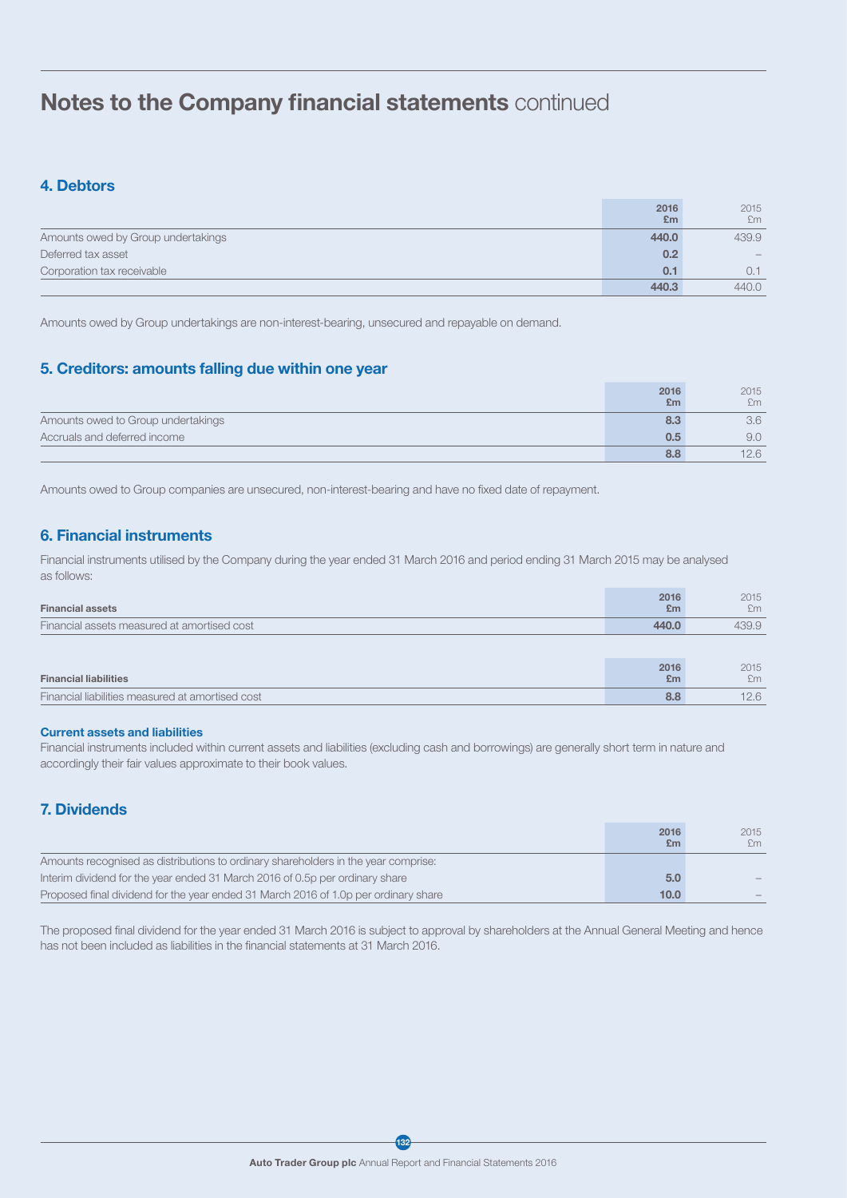## Notes to the Company financial statements continued

## 4. Debtors

|                                    | 2016<br>E <sub>m</sub> | 2015<br>£m |
|------------------------------------|------------------------|------------|
| Amounts owed by Group undertakings | 440.0                  | 439.9      |
| Deferred tax asset                 | 0.2                    |            |
| Corporation tax receivable         | 0.1                    | 0.1        |
|                                    | 440.3                  | 440.0      |

Amounts owed by Group undertakings are non-interest-bearing, unsecured and repayable on demand.

## 5. Creditors: amounts falling due within one year

|                                    | 2016<br>Em | 2015<br>£m |
|------------------------------------|------------|------------|
| Amounts owed to Group undertakings | 8.3        | 3.6        |
| Accruals and deferred income       | 0.5        | 9.0        |
|                                    | 8.8        | 12.6       |

Amounts owed to Group companies are unsecured, non-interest-bearing and have no fixed date of repayment.

## 6. Financial instruments

Financial instruments utilised by the Company during the year ended 31 March 2016 and period ending 31 March 2015 may be analysed as follows:

| <b>Financial assets</b>                          | 2016<br>£m | 2015<br>Em |
|--------------------------------------------------|------------|------------|
| Financial assets measured at amortised cost      | 440.0      | 439.9      |
|                                                  |            |            |
| <b>Financial liabilities</b>                     | 2016<br>£m | 2015<br>Em |
| Financial liabilities measured at amortised cost | 8.8        | 12.6       |

### Current assets and liabilities

Financial instruments included within current assets and liabilities (excluding cash and borrowings) are generally short term in nature and accordingly their fair values approximate to their book values.

## 7. Dividends

|                                                                                     | 2016<br>£m        | 2015<br>£m               |
|-------------------------------------------------------------------------------------|-------------------|--------------------------|
| Amounts recognised as distributions to ordinary shareholders in the year comprise:  |                   |                          |
| Interim dividend for the year ended 31 March 2016 of 0.5p per ordinary share        | 5.0               |                          |
| Proposed final dividend for the year ended 31 March 2016 of 1.0p per ordinary share | 10.0 <sub>1</sub> | $\overline{\phantom{a}}$ |

The proposed final dividend for the year ended 31 March 2016 is subject to approval by shareholders at the Annual General Meeting and hence has not been included as liabilities in the financial statements at 31 March 2016.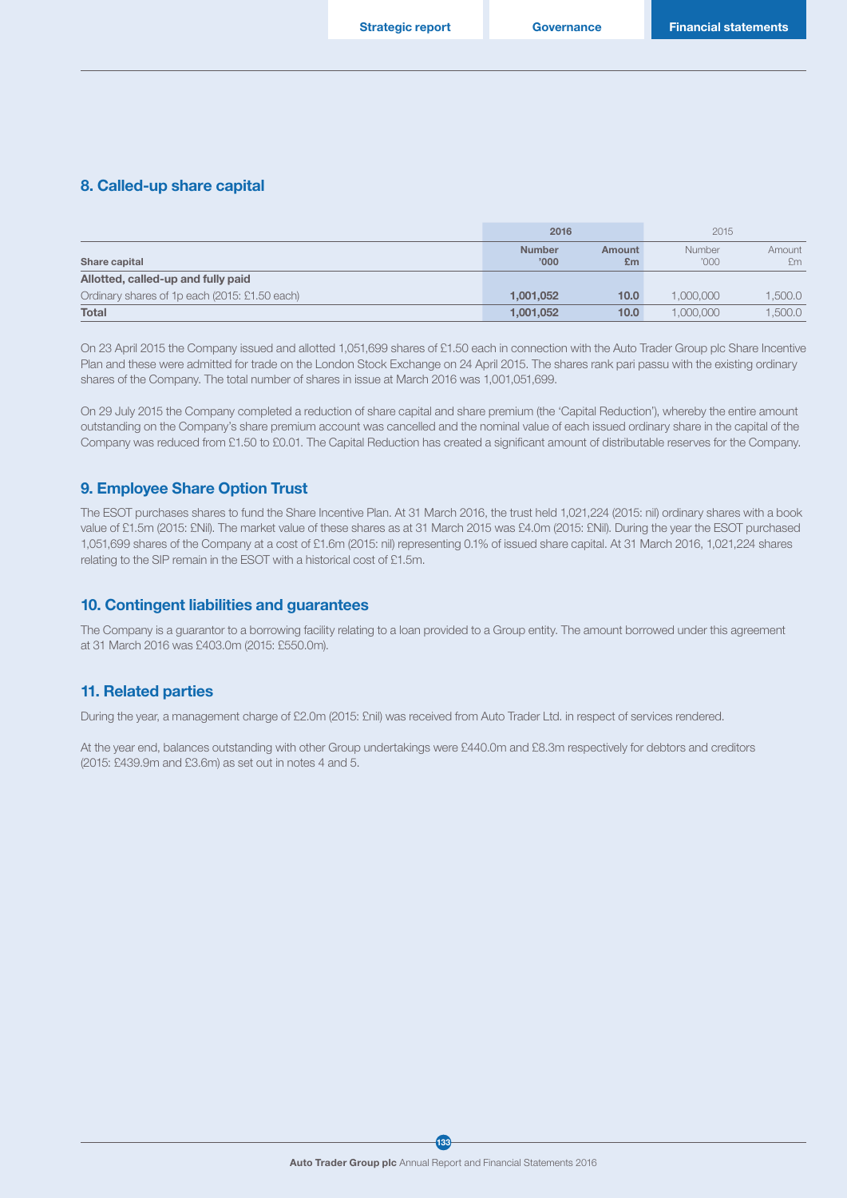#### 8. Called-up share capital

|                                               | 2016                   |              | 2015           |              |
|-----------------------------------------------|------------------------|--------------|----------------|--------------|
| Share capital                                 | <b>Number</b><br>'000' | Amount<br>£m | Number<br>'000 | Amount<br>£m |
| Allotted, called-up and fully paid            |                        |              |                |              |
| Ordinary shares of 1p each (2015: £1.50 each) | 1.001.052              | 10.0         | 1,000,000      | 1,500.0      |
| <b>Total</b>                                  | 1.001.052              | 10.0         | 000.000.       | 1.500.0      |

On 23 April 2015 the Company issued and allotted 1,051,699 shares of £1.50 each in connection with the Auto Trader Group plc Share Incentive Plan and these were admitted for trade on the London Stock Exchange on 24 April 2015. The shares rank pari passu with the existing ordinary shares of the Company. The total number of shares in issue at March 2016 was 1,001,051,699.

On 29 July 2015 the Company completed a reduction of share capital and share premium (the 'Capital Reduction'), whereby the entire amount outstanding on the Company's share premium account was cancelled and the nominal value of each issued ordinary share in the capital of the Company was reduced from £1.50 to £0.01. The Capital Reduction has created a significant amount of distributable reserves for the Company.

### 9. Employee Share Option Trust

The ESOT purchases shares to fund the Share Incentive Plan. At 31 March 2016, the trust held 1,021,224 (2015: nil) ordinary shares with a book value of £1.5m (2015: £Nil). The market value of these shares as at 31 March 2015 was £4.0m (2015: £Nil). During the year the ESOT purchased 1,051,699 shares of the Company at a cost of £1.6m (2015: nil) representing 0.1% of issued share capital. At 31 March 2016, 1,021,224 shares relating to the SIP remain in the ESOT with a historical cost of £1.5m.

### 10. Contingent liabilities and guarantees

The Company is a guarantor to a borrowing facility relating to a loan provided to a Group entity. The amount borrowed under this agreement at 31 March 2016 was £403.0m (2015: £550.0m).

### 11. Related parties

During the year, a management charge of £2.0m (2015: £nil) was received from Auto Trader Ltd. in respect of services rendered.

At the year end, balances outstanding with other Group undertakings were £440.0m and £8.3m respectively for debtors and creditors (2015: £439.9m and £3.6m) as set out in notes 4 and 5.